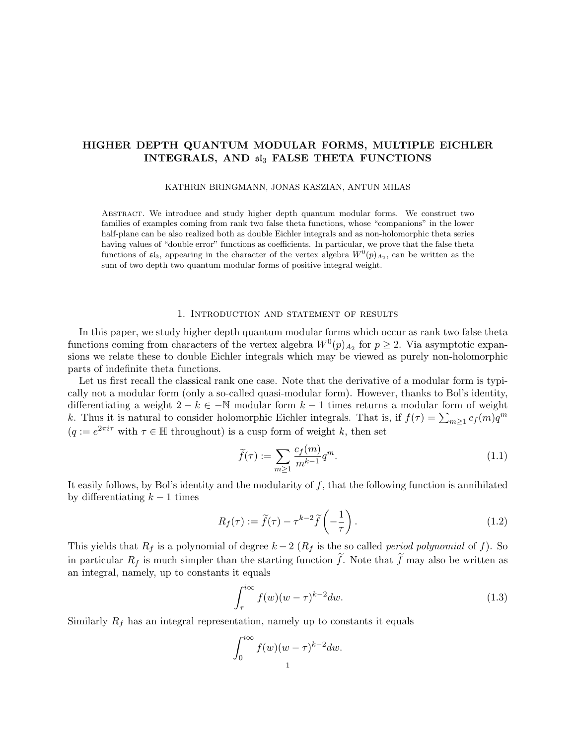## HIGHER DEPTH QUANTUM MODULAR FORMS, MULTIPLE EICHLER INTEGRALS, AND  $5I_3$  FALSE THETA FUNCTIONS

#### KATHRIN BRINGMANN, JONAS KASZIAN, ANTUN MILAS

ABSTRACT. We introduce and study higher depth quantum modular forms. We construct two families of examples coming from rank two false theta functions, whose "companions" in the lower half-plane can be also realized both as double Eichler integrals and as non-holomorphic theta series having values of "double error" functions as coefficients. In particular, we prove that the false theta functions of  $\mathfrak{sl}_3$ , appearing in the character of the vertex algebra  $W^0(p)_{A_2}$ , can be written as the sum of two depth two quantum modular forms of positive integral weight.

#### 1. Introduction and statement of results

In this paper, we study higher depth quantum modular forms which occur as rank two false theta functions coming from characters of the vertex algebra  $W^0(p)_{A_2}$  for  $p \geq 2$ . Via asymptotic expansions we relate these to double Eichler integrals which may be viewed as purely non-holomorphic parts of indefinite theta functions.

Let us first recall the classical rank one case. Note that the derivative of a modular form is typically not a modular form (only a so-called quasi-modular form). However, thanks to Bol's identity, differentiating a weight  $2 - k \in \mathbb{N}$  modular form  $k - 1$  times returns a modular form of weight k. Thus it is natural to consider holomorphic Eichler integrals. That is, if  $f(\tau) = \sum_{m \geq 1} c_f(m)q^m$  $(q := e^{2\pi i \tau}$  with  $\tau \in \mathbb{H}$  throughout) is a cusp form of weight k, then set

$$
\widetilde{f}(\tau) := \sum_{m \ge 1} \frac{c_f(m)}{m^{k-1}} q^m.
$$
\n(1.1)

It easily follows, by Bol's identity and the modularity of  $f$ , that the following function is annihilated by differentiating  $k-1$  times

$$
R_f(\tau) := \widetilde{f}(\tau) - \tau^{k-2} \widetilde{f}\left(-\frac{1}{\tau}\right). \tag{1.2}
$$

This yields that  $R_f$  is a polynomial of degree  $k-2$  ( $R_f$  is the so called *period polynomial* of f). So in particular  $R_f$  is much simpler than the starting function  $\tilde{f}$ . Note that  $\tilde{f}$  may also be written as an integral, namely, up to constants it equals

$$
\int_{\tau}^{i\infty} f(w)(w-\tau)^{k-2} dw.
$$
\n(1.3)

Similarly  $R_f$  has an integral representation, namely up to constants it equals

$$
\int_0^{i\infty} f(w)(w-\tau)^{k-2} dw.
$$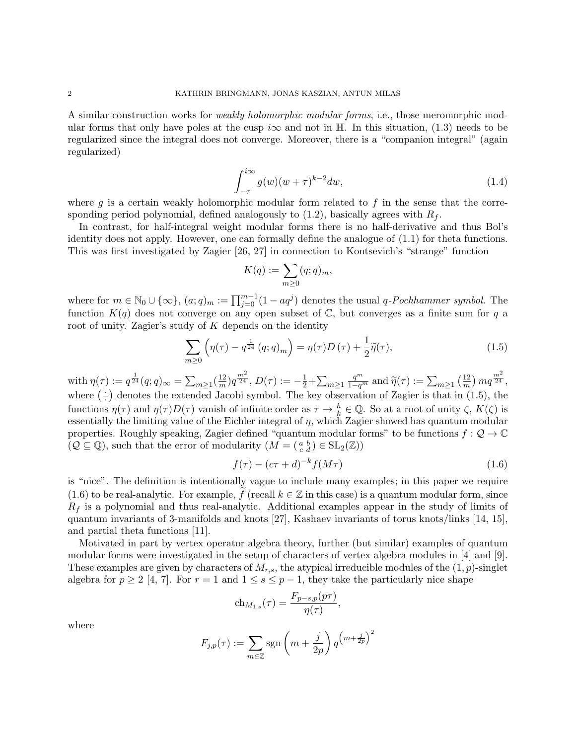A similar construction works for weakly holomorphic modular forms, i.e., those meromorphic modular forms that only have poles at the cusp i $\infty$  and not in H. In this situation, (1.3) needs to be regularized since the integral does not converge. Moreover, there is a "companion integral" (again regularized)

$$
\int_{-\overline{\tau}}^{i\infty} g(w)(w+\tau)^{k-2} dw,
$$
\n(1.4)

where g is a certain weakly holomorphic modular form related to f in the sense that the corresponding period polynomial, defined analogously to  $(1.2)$ , basically agrees with  $R_f$ .

In contrast, for half-integral weight modular forms there is no half-derivative and thus Bol's identity does not apply. However, one can formally define the analogue of (1.1) for theta functions. This was first investigated by Zagier [26, 27] in connection to Kontsevich's "strange" function

$$
K(q) := \sum_{m \geq 0} (q; q)_m,
$$

where for  $m \in \mathbb{N}_0 \cup \{\infty\}$ ,  $(a;q)_m := \prod_{j=0}^{m-1} (1 - aq^j)$  denotes the usual q-Pochhammer symbol. The function  $K(q)$  does not converge on any open subset of C, but converges as a finite sum for q a root of unity. Zagier's study of  $K$  depends on the identity

$$
\sum_{m\geq 0} \left(\eta(\tau) - q^{\frac{1}{24}} (q;q)_m\right) = \eta(\tau)D(\tau) + \frac{1}{2}\widetilde{\eta}(\tau),\tag{1.5}
$$

with  $\eta(\tau) := q^{\frac{1}{24}}(q;q)_{\infty} = \sum_{m \geq 1} (\frac{12}{m})^2$  $(\frac{12}{m})q^{\frac{m^2}{24}},$   $D(\tau) := -\frac{1}{2} + \sum_{m\geq 1}$  $\frac{q^m}{1-q^m}$  and  $\widetilde{\eta}(\tau) := \sum_{m \geq 1} \left(\frac{12}{m}\right)$  $\frac{12}{m}$ )  $mq^{\frac{m^2}{24}},$ where  $(\frac{1}{\cdot})$ · denotes the extended Jacobi symbol. The key observation of Zagier is that in (1.5), the functions  $\eta(\tau)$  and  $\eta(\tau)D(\tau)$  vanish of infinite order as  $\tau \to \frac{h}{k} \in \mathbb{Q}$ . So at a root of unity  $\zeta$ ,  $K(\zeta)$  is essentially the limiting value of the Eichler integral of  $\eta$ , which Zagier showed has quantum modular properties. Roughly speaking, Zagier defined "quantum modular forms" to be functions  $f: \mathcal{Q} \to \mathbb{C}$  $(Q \subseteq \mathbb{Q})$ , such that the error of modularity  $(M = \begin{pmatrix} a & b \\ c & d \end{pmatrix} \in SL_2(\mathbb{Z})$ 

$$
f(\tau) - (c\tau + d)^{-k} f(M\tau) \tag{1.6}
$$

is "nice". The definition is intentionally vague to include many examples; in this paper we require (1.6) to be real-analytic. For example, f (recall  $k \in \mathbb{Z}$  in this case) is a quantum modular form, since  $R_f$  is a polynomial and thus real-analytic. Additional examples appear in the study of limits of quantum invariants of 3-manifolds and knots [27], Kashaev invariants of torus knots/links [14, 15], and partial theta functions [11].

Motivated in part by vertex operator algebra theory, further (but similar) examples of quantum modular forms were investigated in the setup of characters of vertex algebra modules in [4] and [9]. These examples are given by characters of  $M_{r,s}$ , the atypical irreducible modules of the  $(1,p)$ -singlet algebra for  $p \geq 2$  [4, 7]. For  $r = 1$  and  $1 \leq s \leq p-1$ , they take the particularly nice shape

$$
\text{ch}_{M_{1,s}}(\tau) = \frac{F_{p-s,p}(p\tau)}{\eta(\tau)},
$$

where

$$
F_{j,p}(\tau) := \sum_{m \in \mathbb{Z}} \operatorname{sgn}\left(m + \frac{j}{2p}\right) q^{\left(m + \frac{j}{2p}\right)^2}
$$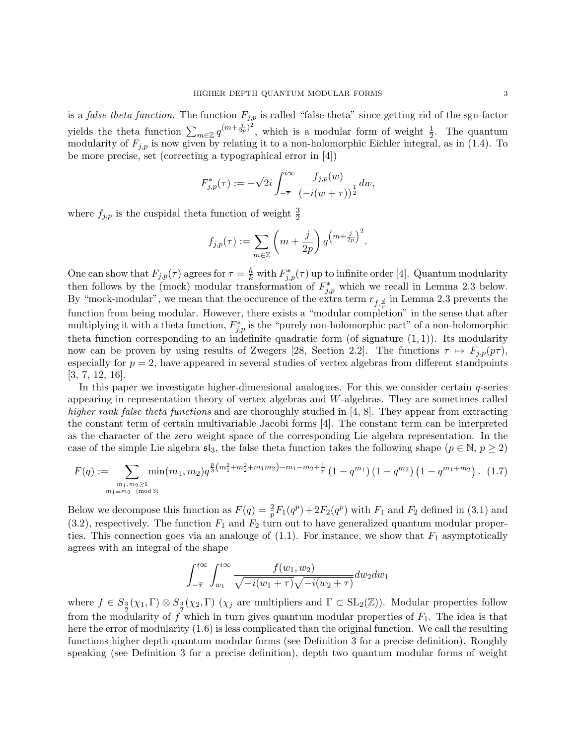is a *false theta function*. The function  $F_{j,p}$  is called "false theta" since getting rid of the sgn-factor yields the theta function  $\sum_{m\in\mathbb{Z}}q^{(m+\frac{j}{2p})^2}$ , which is a modular form of weight  $\frac{1}{2}$ . The quantum modularity of  $F_{j,p}$  is now given by relating it to a non-holomorphic Eichler integral, as in (1.4). To be more precise, set (correcting a typographical error in [4])

$$
F_{j,p}^*(\tau):=-\sqrt{2}i\int_{-\overline{\tau}}^{i\infty}\frac{f_{j,p}(w)}{\left(-i(w+\tau)\right)^{\frac{1}{2}}}dw,
$$

where  $f_{j,p}$  is the cuspidal theta function of weight  $\frac{3}{2}$ 

$$
f_{j,p}(\tau) := \sum_{m \in \mathbb{Z}} \left( m + \frac{j}{2p} \right) q^{\left( m + \frac{j}{2p} \right)^2}.
$$

One can show that  $F_{j,p}(\tau)$  agrees for  $\tau = \frac{h}{k}$  with  $F_{j,p}^*(\tau)$  up to infinite order [4]. Quantum modularity then follows by the (mock) modular transformation of  $F_{j,p}^*$  which we recall in Lemma 2.3 below. By "mock-modular", we mean that the occurence of the extra term  $r_{f, \frac{d}{a}}$  in Lemma 2.3 prevents the function from being modular. However, there exists a "modular completion" in the sense that after multiplying it with a theta function,  $F_{j,p}^*$  is the "purely non-holomorphic part" of a non-holomorphic theta function corresponding to an indefinite quadratic form (of signature  $(1, 1)$ ). Its modularity now can be proven by using results of Zwegers [28, Section 2.2]. The functions  $\tau \mapsto F_{j,p}(p\tau)$ , especially for  $p = 2$ , have appeared in several studies of vertex algebras from different standpoints [3, 7, 12, 16].

In this paper we investigate higher-dimensional analogues. For this we consider certain  $q$ -series appearing in representation theory of vertex algebras and W-algebras. They are sometimes called higher rank false theta functions and are thoroughly studied in [4, 8]. They appear from extracting the constant term of certain multivariable Jacobi forms [4]. The constant term can be interpreted as the character of the zero weight space of the corresponding Lie algebra representation. In the case of the simple Lie algebra  $\mathfrak{sl}_3$ , the false theta function takes the following shape ( $p \in \mathbb{N}, p \geq 2$ )

$$
F(q) := \sum_{\substack{m_1, m_2 \ge 1 \\ m_1 \equiv m_2 \pmod{3}}} \min(m_1, m_2) q^{\frac{p}{3} \left(m_1^2 + m_2^2 + m_1 m_2\right) - m_1 - m_2 + \frac{1}{p}} \left(1 - q^{m_1}\right) \left(1 - q^{m_2}\right) \left(1 - q^{m_1 + m_2}\right). \tag{1.7}
$$

Below we decompose this function as  $F(q) = \frac{2}{p} F_1(q^p) + 2F_2(q^p)$  with  $F_1$  and  $F_2$  defined in (3.1) and  $(3.2)$ , respectively. The function  $F_1$  and  $F_2$  turn out to have generalized quantum modular properties. This connection goes via an analouge of  $(1.1)$ . For instance, we show that  $F_1$  asymptotically agrees with an integral of the shape

$$
\int_{-\overline{\tau}}^{i\infty} \int_{w_1}^{i\infty} \frac{f(w_1, w_2)}{\sqrt{-i(w_1 + \tau)}\sqrt{-i(w_2 + \tau)}} dw_2 dw_1
$$

where  $f \in S_{\frac{3}{2}}(\chi_1,\Gamma) \otimes S_{\frac{3}{2}}(\chi_2,\Gamma)$  ( $\chi_j$  are multipliers and  $\Gamma \subset SL_2(\mathbb{Z})$ ). Modular properties follow from the modularity of f which in turn gives quantum modular properties of  $F_1$ . The idea is that here the error of modularity (1.6) is less complicated than the original function. We call the resulting functions higher depth quantum modular forms (see Definition 3 for a precise definition). Roughly speaking (see Definition 3 for a precise definition), depth two quantum modular forms of weight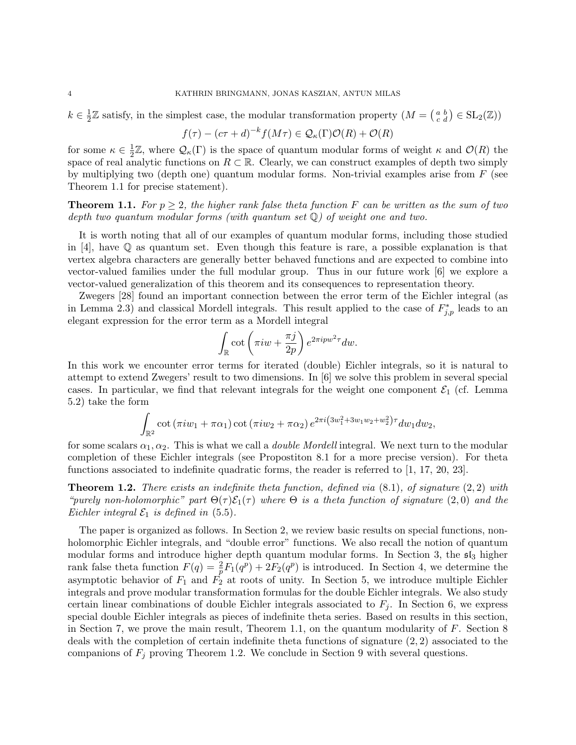$k \in \frac{1}{2}$  $\frac{1}{2}\mathbb{Z}$  satisfy, in the simplest case, the modular transformation property  $(M = \begin{pmatrix} a & b \\ c & d \end{pmatrix} \in SL_2(\mathbb{Z})$ 

$$
f(\tau) - (c\tau + d)^{-k} f(M\tau) \in \mathcal{Q}_{\kappa}(\Gamma)\mathcal{O}(R) + \mathcal{O}(R)
$$

for some  $\kappa \in \frac{1}{2}$  $\frac{1}{2}\mathbb{Z}$ , where  $\mathcal{Q}_{\kappa}(\Gamma)$  is the space of quantum modular forms of weight  $\kappa$  and  $\mathcal{O}(R)$  the space of real analytic functions on  $R \subset \mathbb{R}$ . Clearly, we can construct examples of depth two simply by multiplying two (depth one) quantum modular forms. Non-trivial examples arise from  $F$  (see Theorem 1.1 for precise statement).

**Theorem 1.1.** For  $p \geq 2$ , the higher rank false theta function F can be written as the sum of two depth two quantum modular forms (with quantum set  $\mathbb{Q}$ ) of weight one and two.

It is worth noting that all of our examples of quantum modular forms, including those studied in [4], have  $\mathbb Q$  as quantum set. Even though this feature is rare, a possible explanation is that vertex algebra characters are generally better behaved functions and are expected to combine into vector-valued families under the full modular group. Thus in our future work [6] we explore a vector-valued generalization of this theorem and its consequences to representation theory.

Zwegers [28] found an important connection between the error term of the Eichler integral (as in Lemma 2.3) and classical Mordell integrals. This result applied to the case of  $F_{j,p}^*$  leads to an elegant expression for the error term as a Mordell integral

$$
\int_{\mathbb{R}} \cot \left( \pi i w + \frac{\pi j}{2p} \right) e^{2\pi i p w^2 \tau} dw.
$$

In this work we encounter error terms for iterated (double) Eichler integrals, so it is natural to attempt to extend Zwegers' result to two dimensions. In [6] we solve this problem in several special cases. In particular, we find that relevant integrals for the weight one component  $\mathcal{E}_1$  (cf. Lemma 5.2) take the form

$$
\int_{\mathbb{R}^2} \cot (\pi i w_1 + \pi \alpha_1) \cot (\pi i w_2 + \pi \alpha_2) e^{2\pi i (3w_1^2 + 3w_1 w_2 + w_2^2) \tau} dw_1 dw_2,
$$

for some scalars  $\alpha_1, \alpha_2$ . This is what we call a *double Mordell* integral. We next turn to the modular completion of these Eichler integrals (see Propostiton 8.1 for a more precise version). For theta functions associated to indefinite quadratic forms, the reader is referred to [1, 17, 20, 23].

**Theorem 1.2.** There exists an indefinite theta function, defined via  $(8.1)$ , of signature  $(2, 2)$  with "purely non-holomorphic" part  $\Theta(\tau) \mathcal{E}_1(\tau)$  where  $\Theta$  is a theta function of signature (2,0) and the Eichler integral  $\mathcal{E}_1$  is defined in (5.5).

The paper is organized as follows. In Section 2, we review basic results on special functions, nonholomorphic Eichler integrals, and "double error" functions. We also recall the notion of quantum modular forms and introduce higher depth quantum modular forms. In Section 3, the  $\mathfrak{sl}_3$  higher rank false theta function  $F(q) = \frac{2}{p} F_1(q^p) + 2F_2(q^p)$  is introduced. In Section 4, we determine the asymptotic behavior of  $F_1$  and  $F_2$  at roots of unity. In Section 5, we introduce multiple Eichler integrals and prove modular transformation formulas for the double Eichler integrals. We also study certain linear combinations of double Eichler integrals associated to  $F_j$ . In Section 6, we express special double Eichler integrals as pieces of indefinite theta series. Based on results in this section, in Section 7, we prove the main result, Theorem 1.1, on the quantum modularity of  $F$ . Section 8 deals with the completion of certain indefinite theta functions of signature (2, 2) associated to the companions of  $F_j$  proving Theorem 1.2. We conclude in Section 9 with several questions.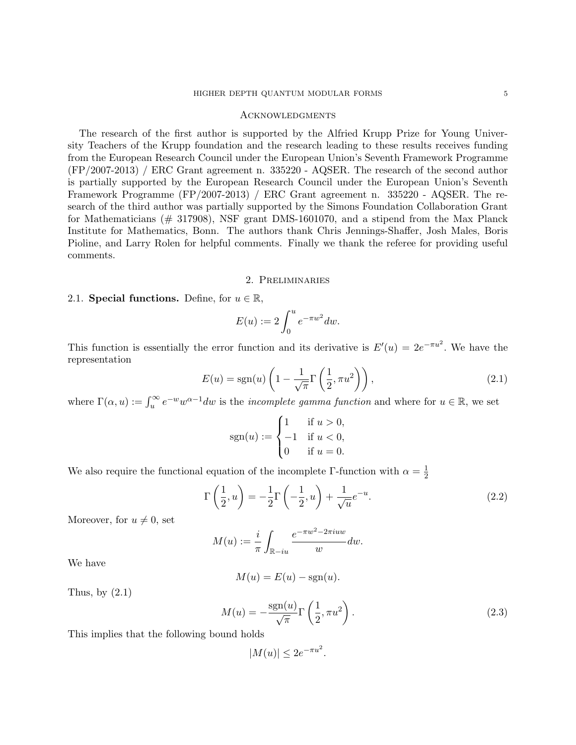#### **ACKNOWLEDGMENTS**

The research of the first author is supported by the Alfried Krupp Prize for Young University Teachers of the Krupp foundation and the research leading to these results receives funding from the European Research Council under the European Union's Seventh Framework Programme (FP/2007-2013) / ERC Grant agreement n. 335220 - AQSER. The research of the second author is partially supported by the European Research Council under the European Union's Seventh Framework Programme (FP/2007-2013) / ERC Grant agreement n. 335220 - AQSER. The research of the third author was partially supported by the Simons Foundation Collaboration Grant for Mathematicians  $(\# 317908)$ , NSF grant DMS-1601070, and a stipend from the Max Planck Institute for Mathematics, Bonn. The authors thank Chris Jennings-Shaffer, Josh Males, Boris Pioline, and Larry Rolen for helpful comments. Finally we thank the referee for providing useful comments.

#### 2. Preliminaries

#### 2.1. Special functions. Define, for  $u \in \mathbb{R}$ ,

$$
E(u) := 2 \int_0^u e^{-\pi w^2} dw.
$$

This function is essentially the error function and its derivative is  $E'(u) = 2e^{-\pi u^2}$ . We have the representation

$$
E(u) = sgn(u) \left( 1 - \frac{1}{\sqrt{\pi}} \Gamma\left(\frac{1}{2}, \pi u^2\right) \right),\tag{2.1}
$$

where  $\Gamma(\alpha, u) := \int_u^{\infty} e^{-w} w^{\alpha-1} dw$  is the *incomplete gamma function* and where for  $u \in \mathbb{R}$ , we set

$$
sgn(u) := \begin{cases} 1 & \text{if } u > 0, \\ -1 & \text{if } u < 0, \\ 0 & \text{if } u = 0. \end{cases}
$$

We also require the functional equation of the incomplete Γ-function with  $\alpha = \frac{1}{2}$ 2

$$
\Gamma\left(\frac{1}{2},u\right) = -\frac{1}{2}\Gamma\left(-\frac{1}{2},u\right) + \frac{1}{\sqrt{u}}e^{-u}.\tag{2.2}
$$

Moreover, for  $u \neq 0$ , set

$$
M(u) := \frac{i}{\pi} \int_{\mathbb{R} - iu} \frac{e^{-\pi w^2 - 2\pi iuw}}{w} dw.
$$

We have

$$
M(u) = E(u) - \text{sgn}(u).
$$

Thus, by  $(2.1)$ 

$$
M(u) = -\frac{\text{sgn}(u)}{\sqrt{\pi}} \Gamma\left(\frac{1}{2}, \pi u^2\right). \tag{2.3}
$$

This implies that the following bound holds

$$
|M(u)| \le 2e^{-\pi u^2}.
$$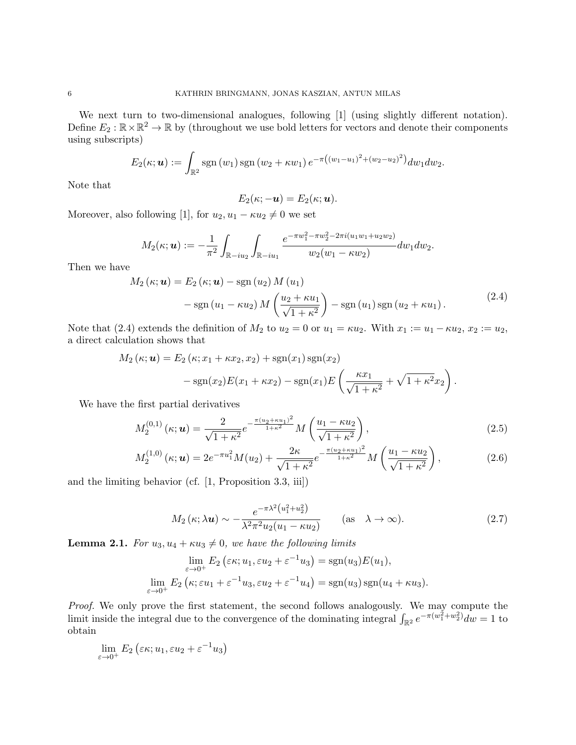We next turn to two-dimensional analogues, following  $[1]$  (using slightly different notation). Define  $E_2 : \mathbb{R} \times \mathbb{R}^2 \to \mathbb{R}$  by (throughout we use bold letters for vectors and denote their components using subscripts)

$$
E_2(\kappa; \boldsymbol{u}) := \int_{\mathbb{R}^2} \mathrm{sgn}\,(w_1) \, \mathrm{sgn}\,(w_2 + \kappa w_1) \, e^{-\pi \left((w_1 - u_1)^2 + (w_2 - u_2)^2\right)} dw_1 dw_2.
$$

Note that

$$
E_2(\kappa; -\boldsymbol{u}) = E_2(\kappa; \boldsymbol{u}).
$$

Moreover, also following [1], for  $u_2, u_1 - \kappa u_2 \neq 0$  we set

$$
M_2(\kappa; \boldsymbol{u}) := -\frac{1}{\pi^2} \int_{\mathbb{R}-iu_2} \int_{\mathbb{R}-iu_1} \frac{e^{-\pi w_1^2 - \pi w_2^2 - 2\pi i (u_1w_1 + u_2w_2)}}{w_2(w_1 - \kappa w_2)} dw_1 dw_2.
$$

Then we have

$$
M_2(\kappa; \mathbf{u}) = E_2(\kappa; \mathbf{u}) - \text{sgn}(u_2) M(u_1)
$$
  
- 
$$
\text{sgn}(u_1 - \kappa u_2) M\left(\frac{u_2 + \kappa u_1}{\sqrt{1 + \kappa^2}}\right) - \text{sgn}(u_1) \text{sgn}(u_2 + \kappa u_1).
$$
 (2.4)

Note that (2.4) extends the definition of  $M_2$  to  $u_2 = 0$  or  $u_1 = \kappa u_2$ . With  $x_1 := u_1 - \kappa u_2$ ,  $x_2 := u_2$ , a direct calculation shows that

$$
M_2(\kappa; \mathbf{u}) = E_2(\kappa; x_1 + \kappa x_2, x_2) + \text{sgn}(x_1) \text{sgn}(x_2)
$$
  
-sgn(x<sub>2</sub>) $E(x_1 + \kappa x_2) - \text{sgn}(x_1) E\left(\frac{\kappa x_1}{\sqrt{1 + \kappa^2}} + \sqrt{1 + \kappa^2} x_2\right).$ 

We have the first partial derivatives

$$
M_2^{(0,1)}(\kappa; \mathbf{u}) = \frac{2}{\sqrt{1+\kappa^2}} e^{-\frac{\pi(u_2 + \kappa u_1)^2}{1+\kappa^2}} M\left(\frac{u_1 - \kappa u_2}{\sqrt{1+\kappa^2}}\right),\tag{2.5}
$$

$$
M_2^{(1,0)}(\kappa; \mathbf{u}) = 2e^{-\pi u_1^2} M(u_2) + \frac{2\kappa}{\sqrt{1+\kappa^2}} e^{-\frac{\pi (u_2 + \kappa u_1)^2}{1+\kappa^2}} M\left(\frac{u_1 - \kappa u_2}{\sqrt{1+\kappa^2}}\right),\tag{2.6}
$$

and the limiting behavior (cf. [1, Proposition 3.3, iii])

$$
M_2\left(\kappa;\lambda\mathbf{u}\right) \sim -\frac{e^{-\pi\lambda^2\left(u_1^2 + u_2^2\right)}}{\lambda^2\pi^2u_2(u_1 - \kappa u_2)} \qquad \text{(as } \lambda \to \infty\text{)}.\tag{2.7}
$$

**Lemma 2.1.** For  $u_3, u_4 + \kappa u_3 \neq 0$ , we have the following limits

$$
\lim_{\varepsilon \to 0^+} E_2 \left( \varepsilon \kappa; u_1, \varepsilon u_2 + \varepsilon^{-1} u_3 \right) = \text{sgn}(u_3) E(u_1),
$$
  

$$
\lim_{\varepsilon \to 0^+} E_2 \left( \kappa; \varepsilon u_1 + \varepsilon^{-1} u_3, \varepsilon u_2 + \varepsilon^{-1} u_4 \right) = \text{sgn}(u_3) \text{sgn}(u_4 + \kappa u_3).
$$

Proof. We only prove the first statement, the second follows analogously. We may compute the limit inside the integral due to the convergence of the dominating integral  $\int_{\mathbb{R}^2} e^{-\pi(w_1^2 + w_2^2)} dw = 1$  to obtain

$$
\lim_{\varepsilon \to 0^+} E_2 \left( \varepsilon \kappa; u_1, \varepsilon u_2 + \varepsilon^{-1} u_3 \right)
$$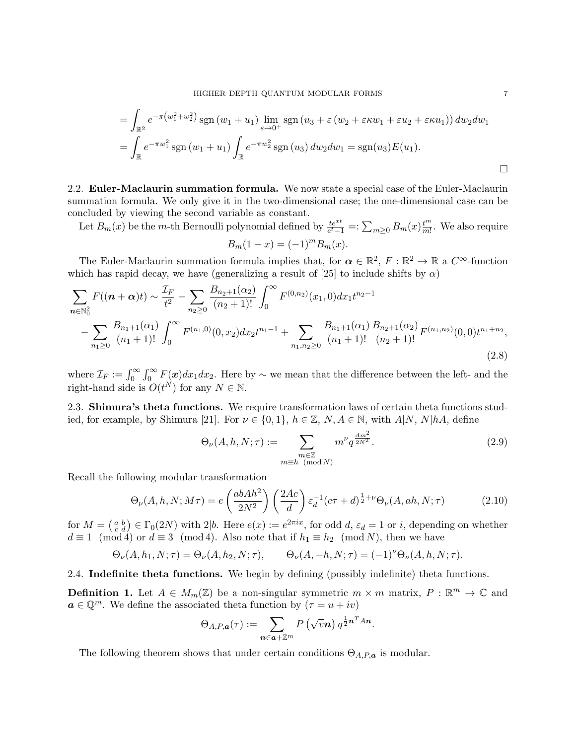$$
= \int_{\mathbb{R}^2} e^{-\pi (w_1^2 + w_2^2)} \operatorname{sgn}(w_1 + u_1) \lim_{\varepsilon \to 0^+} \operatorname{sgn}(u_3 + \varepsilon (w_2 + \varepsilon \kappa w_1 + \varepsilon u_2 + \varepsilon \kappa u_1)) dw_2 dw_1
$$
  
= 
$$
\int_{\mathbb{R}} e^{-\pi w_1^2} \operatorname{sgn}(w_1 + u_1) \int_{\mathbb{R}} e^{-\pi w_2^2} \operatorname{sgn}(u_3) dw_2 dw_1 = \operatorname{sgn}(u_3) E(u_1).
$$

2.2. Euler-Maclaurin summation formula. We now state a special case of the Euler-Maclaurin summation formula. We only give it in the two-dimensional case; the one-dimensional case can be concluded by viewing the second variable as constant.

Let  $B_m(x)$  be the m-th Bernoulli polynomial defined by  $\frac{te^{xt}}{e^t-1} =: \sum_{m\geq 0} B_m(x) \frac{t^m}{m!}$  $\frac{t^m}{m!}$ . We also require  $B_m(1-x) = (-1)^m B_m(x).$ 

The Euler-Maclaurin summation formula implies that, for  $\alpha \in \mathbb{R}^2$ ,  $F : \mathbb{R}^2 \to \mathbb{R}$  a  $C^{\infty}$ -function which has rapid decay, we have (generalizing a result of [25] to include shifts by  $\alpha$ )

$$
\sum_{n \in \mathbb{N}_0^2} F((n+\alpha)t) \sim \frac{\mathcal{I}_F}{t^2} - \sum_{n_2 \ge 0} \frac{B_{n_2+1}(\alpha_2)}{(n_2+1)!} \int_0^\infty F^{(0,n_2)}(x_1,0) dx_1 t^{n_2-1} - \sum_{n_1 \ge 0} \frac{B_{n_1+1}(\alpha_1)}{(n_1+1)!} \int_0^\infty F^{(n_1,0)}(0,x_2) dx_2 t^{n_1-1} + \sum_{n_1,n_2 \ge 0} \frac{B_{n_1+1}(\alpha_1)}{(n_1+1)!} \frac{B_{n_2+1}(\alpha_2)}{(n_2+1)!} F^{(n_1,n_2)}(0,0) t^{n_1+n_2},\tag{2.8}
$$

where  $\mathcal{I}_F := \int_0^\infty \int_0^\infty F(x) dx_1 dx_2$ . Here by ∼ we mean that the difference between the left- and the right-hand side is  $O(t^N)$  for any  $N \in \mathbb{N}$ .

2.3. Shimura's theta functions. We require transformation laws of certain theta functions studied, for example, by Shimura [21]. For  $\nu \in \{0,1\}$ ,  $h \in \mathbb{Z}$ ,  $N, A \in \mathbb{N}$ , with  $A|N, N|hA$ , define

$$
\Theta_{\nu}(A, h, N; \tau) := \sum_{\substack{m \in \mathbb{Z} \\ m \equiv h \pmod{N}}} m^{\nu} q^{\frac{Am^2}{2N^2}}.
$$
\n(2.9)

Recall the following modular transformation

$$
\Theta_{\nu}(A, h, N; M\tau) = e\left(\frac{abAh^2}{2N^2}\right) \left(\frac{2Ac}{d}\right) \varepsilon_d^{-1} (c\tau + d)^{\frac{1}{2}+\nu} \Theta_{\nu}(A, ah, N; \tau) \tag{2.10}
$$

for  $M = \begin{pmatrix} a & b \\ c & d \end{pmatrix} \in \Gamma_0(2N)$  with  $2|b$ . Here  $e(x) := e^{2\pi ix}$ , for odd  $d$ ,  $\varepsilon_d = 1$  or i, depending on whether  $d \equiv 1 \pmod{4}$  or  $d \equiv 3 \pmod{4}$ . Also note that if  $h_1 \equiv h_2 \pmod{N}$ , then we have

$$
\Theta_{\nu}(A, h_1, N; \tau) = \Theta_{\nu}(A, h_2, N; \tau), \qquad \Theta_{\nu}(A, -h, N; \tau) = (-1)^{\nu} \Theta_{\nu}(A, h, N; \tau).
$$

2.4. Indefinite theta functions. We begin by defining (possibly indefinite) theta functions.

**Definition 1.** Let  $A \in M_m(\mathbb{Z})$  be a non-singular symmetric  $m \times m$  matrix,  $P : \mathbb{R}^m \to \mathbb{C}$  and  $a \in \mathbb{Q}^m$ . We define the associated theta function by  $(\tau = u + iv)$ 

$$
\Theta_{A,P,\boldsymbol{a}}(\tau):=\sum_{\boldsymbol{n}\in \boldsymbol{a}+\mathbb{Z}^m}P\left(\sqrt{v}\boldsymbol{n}\right)q^{\frac{1}{2}\boldsymbol{n}^T A\boldsymbol{n}}.
$$

The following theorem shows that under certain conditions  $\Theta_{A,P,\boldsymbol{a}}$  is modular.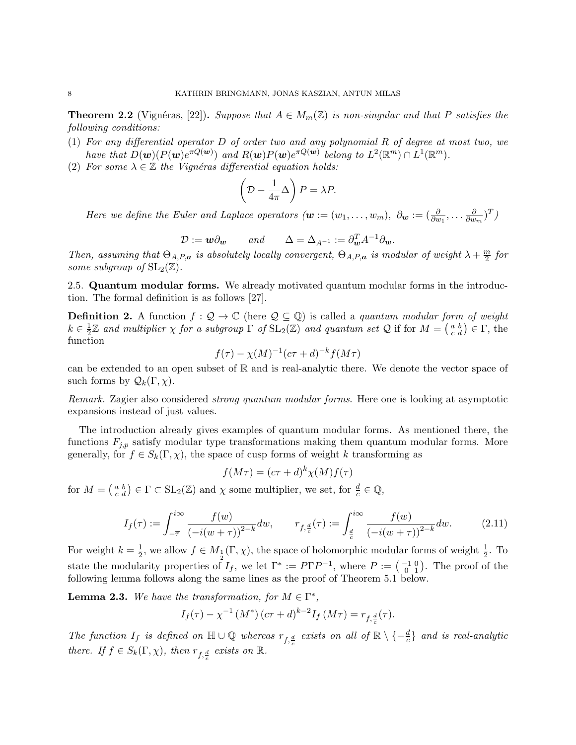**Theorem 2.2** (Vignéras, [22]). Suppose that  $A \in M_m(\mathbb{Z})$  is non-singular and that P satisfies the following conditions:

- (1) For any differential operator D of order two and any polynomial R of degree at most two, we have that  $D(\boldsymbol{w}) (P(\boldsymbol{w})e^{\pi Q(\boldsymbol{w})})$  and  $R(\boldsymbol{w}) P(\boldsymbol{w})e^{\pi Q(\boldsymbol{w})}$  belong to  $L^2(\mathbb{R}^m) \cap L^1(\mathbb{R}^m)$ .
- (2) For some  $\lambda \in \mathbb{Z}$  the Vignéras differential equation holds:

$$
\left(\mathcal{D} - \frac{1}{4\pi}\Delta\right)P = \lambda P.
$$

Here we define the Euler and Laplace operators  $(w:=(w_1,\ldots,w_m),\ \partial_{\boldsymbol{w}}:=(\frac{\partial}{\partial w_1},\ldots,\frac{\partial}{\partial w_m})$  $\frac{\partial}{\partial w_m}$  $)^T$ )

$$
\mathcal{D} := \mathbf{w} \partial_{\mathbf{w}} \qquad and \qquad \Delta = \Delta_{A^{-1}} := \partial_{\mathbf{w}}^T A^{-1} \partial_{\mathbf{w}}.
$$

Then, assuming that  $\Theta_{A,P,\bm{a}}$  is absolutely locally convergent,  $\Theta_{A,P,\bm{a}}$  is modular of weight  $\lambda + \frac{m}{2}$  $\frac{n}{2}$  for some subgroup of  $SL_2(\mathbb{Z})$ .

2.5. Quantum modular forms. We already motivated quantum modular forms in the introduction. The formal definition is as follows [27].

**Definition 2.** A function  $f : \mathcal{Q} \to \mathbb{C}$  (here  $\mathcal{Q} \subseteq \mathbb{Q}$ ) is called a *quantum modular form of weight*  $k \in \frac{1}{2}$  $\frac{1}{2}\mathbb{Z}$  and multiplier  $\chi$  for a subgroup  $\Gamma$  of  $SL_2(\mathbb{Z})$  and quantum set  $\mathcal{Q}$  if for  $M = \begin{pmatrix} a & b \\ c & d \end{pmatrix} \in \Gamma$ , the function

$$
f(\tau) - \chi(M)^{-1}(c\tau + d)^{-k} f(M\tau)
$$

can be extended to an open subset of  $\mathbb R$  and is real-analytic there. We denote the vector space of such forms by  $\mathcal{Q}_k(\Gamma,\chi)$ .

Remark. Zagier also considered strong quantum modular forms. Here one is looking at asymptotic expansions instead of just values.

The introduction already gives examples of quantum modular forms. As mentioned there, the functions  $F_{j,p}$  satisfy modular type transformations making them quantum modular forms. More generally, for  $f \in S_k(\Gamma, \chi)$ , the space of cusp forms of weight k transforming as

$$
f(M\tau) = (c\tau + d)^k \chi(M) f(\tau)
$$

for  $M = \begin{pmatrix} a & b \\ c & d \end{pmatrix} \in \Gamma \subset SL_2(\mathbb{Z})$  and  $\chi$  some multiplier, we set, for  $\frac{d}{c} \in \mathbb{Q}$ ,

$$
I_f(\tau) := \int_{-\overline{\tau}}^{i\infty} \frac{f(w)}{\left(-i(w+\tau)\right)^{2-k}} dw, \qquad r_{f,\frac{d}{c}}(\tau) := \int_{\frac{d}{c}}^{i\infty} \frac{f(w)}{\left(-i(w+\tau)\right)^{2-k}} dw. \tag{2.11}
$$

For weight  $k=\frac{1}{2}$  $\frac{1}{2}$ , we allow  $f \in M_{\frac{1}{2}}(\Gamma, \chi)$ , the space of holomorphic modular forms of weight  $\frac{1}{2}$ . To state the modularity properties of  $I_f$ , we let  $\Gamma^* := P\Gamma P^{-1}$ , where  $P := \begin{pmatrix} -1 & 0 \\ 0 & 1 \end{pmatrix}$ . The proof of the following lemma follows along the same lines as the proof of Theorem 5.1 below.

**Lemma 2.3.** We have the transformation, for  $M \in \Gamma^*$ ,

$$
I_f(\tau) - \chi^{-1}(M^*) (c\tau + d)^{k-2} I_f(M\tau) = r_{f, \frac{d}{c}}(\tau).
$$

The function  $I_f$  is defined on  $\mathbb{H} \cup \mathbb{Q}$  whereas  $r_{f, \frac{d}{c}}$  exists on all of  $\mathbb{R} \setminus \{-\frac{d}{c}\}\$ and is real-analytic there. If  $f \in S_k(\Gamma, \chi)$ , then  $r_{f, \frac{d}{c}}$  exists on  $\mathbb{R}$ .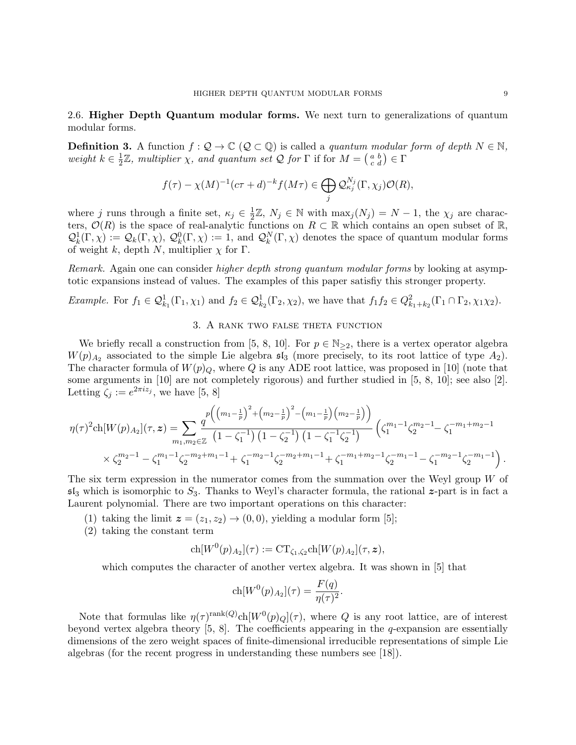2.6. Higher Depth Quantum modular forms. We next turn to generalizations of quantum modular forms.

**Definition 3.** A function  $f: \mathcal{Q} \to \mathbb{C}$  ( $\mathcal{Q} \subset \mathbb{Q}$ ) is called a *quantum modular form of depth*  $N \in \mathbb{N}$ , weight  $k \in \frac{1}{2}$  $\frac{1}{2}\mathbb{Z}$ , multiplier  $\chi$ , and quantum set  $\mathcal Q$  for  $\Gamma$  if for  $M = \begin{pmatrix} a & b \\ c & d \end{pmatrix} \in \Gamma$ 

$$
f(\tau) - \chi(M)^{-1}(c\tau + d)^{-k} f(M\tau) \in \bigoplus_j \mathcal{Q}_{\kappa_j}^{N_j}(\Gamma, \chi_j) \mathcal{O}(R),
$$

where j runs through a finite set,  $\kappa_j \in \frac{1}{2}$  $\frac{1}{2}\mathbb{Z}, N_j \in \mathbb{N}$  with  $\max_j (N_j) = N - 1$ , the  $\chi_j$  are characters,  $\mathcal{O}(R)$  is the space of real-analytic functions on  $R \subset \mathbb{R}$  which contains an open subset of  $\mathbb{R}$ ,  $\mathcal{Q}_k^1(\Gamma,\chi) := \mathcal{Q}_k(\Gamma,\chi), \ \mathcal{Q}_k^0(\Gamma,\chi) := 1$ , and  $\mathcal{Q}_k^N(\Gamma,\chi)$  denotes the space of quantum modular forms of weight k, depth N, multiplier  $\chi$  for  $\Gamma$ .

Remark. Again one can consider *higher depth strong quantum modular forms* by looking at asymptotic expansions instead of values. The examples of this paper satisfiy this stronger property.

Example. For  $f_1 \in \mathcal{Q}_{k_1}^1(\Gamma_1, \chi_1)$  and  $f_2 \in \mathcal{Q}_{k_2}^1(\Gamma_2, \chi_2)$ , we have that  $f_1 f_2 \in \mathcal{Q}_{k_1+k_2}^2(\Gamma_1 \cap \Gamma_2, \chi_1 \chi_2)$ .

## 3. A rank two false theta function

We briefly recall a construction from [5, 8, 10]. For  $p \in \mathbb{N}_{\geq 2}$ , there is a vertex operator algebra  $W(p)_{A_2}$  associated to the simple Lie algebra  $\mathfrak{sl}_3$  (more precisely, to its root lattice of type  $A_2$ ). The character formula of  $W(p)_Q$ , where Q is any ADE root lattice, was proposed in [10] (note that some arguments in [10] are not completely rigorous) and further studied in [5, 8, 10]; see also [2]. Letting  $\zeta_j := e^{2\pi i z_j}$ , we have [5, 8]

$$
\eta(\tau)^{2} \text{ch}[W(p)_{A_{2}}](\tau, \mathbf{z}) = \sum_{m_{1}, m_{2} \in \mathbb{Z}} \frac{q^{p} \left( \left( m_{1} - \frac{1}{p} \right)^{2} + \left( m_{2} - \frac{1}{p} \right)^{2} - \left( m_{1} - \frac{1}{p} \right) \left( m_{2} - \frac{1}{p} \right) \right)}{\left( 1 - \zeta_{1}^{-1} \right) \left( 1 - \zeta_{2}^{-1} \right) \left( 1 - \zeta_{1}^{-1} \zeta_{2}^{-1} \right)} \left( \zeta_{1}^{m_{1} - 1} \zeta_{2}^{m_{2} - 1} - \zeta_{1}^{-m_{1} + m_{2} - 1} \right) \times \zeta_{2}^{m_{2} - 1} - \zeta_{1}^{m_{1} - 1} \zeta_{2}^{-m_{2} + m_{1} - 1} + \zeta_{1}^{-m_{2} - 1} \zeta_{2}^{-m_{2} + m_{1} - 1} + \zeta_{1}^{-m_{1} + m_{2} - 1} \zeta_{2}^{-m_{1} - 1} - \zeta_{1}^{-m_{2} - 1} \zeta_{2}^{-m_{1} - 1} \right).
$$

The six term expression in the numerator comes from the summation over the Weyl group W of  $\mathfrak{sl}_3$  which is isomorphic to  $S_3$ . Thanks to Weyl's character formula, the rational  $z$ -part is in fact a Laurent polynomial. There are two important operations on this character:

- (1) taking the limit  $z = (z_1, z_2) \rightarrow (0, 0)$ , yielding a modular form [5];
- (2) taking the constant term

$$
ch[W^{0}(p)_{A_2}](\tau) := CT_{\zeta_1, \zeta_2} ch[W(p)_{A_2}](\tau, z),
$$

which computes the character of another vertex algebra. It was shown in [5] that

$$
ch[W^{0}(p)_{A_2}](\tau) = \frac{F(q)}{\eta(\tau)^2}.
$$

Note that formulas like  $\eta(\tau)^{\text{rank}(Q)} \text{ch}[W^0(p)_Q](\tau)$ , where Q is any root lattice, are of interest beyond vertex algebra theory  $[5, 8]$ . The coefficients appearing in the q-expansion are essentially dimensions of the zero weight spaces of finite-dimensional irreducible representations of simple Lie algebras (for the recent progress in understanding these numbers see [18]).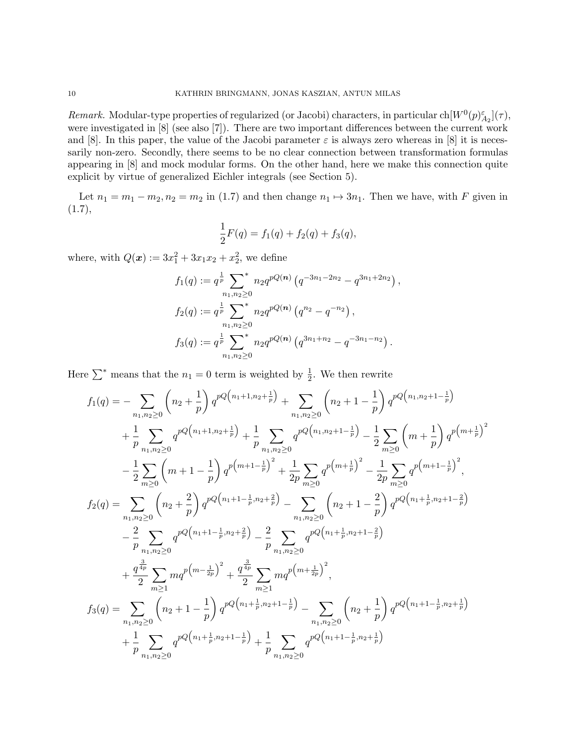Remark. Modular-type properties of regularized (or Jacobi) characters, in particular  $\text{ch}[W^0(p)_{A_2}^{\varepsilon}](\tau)$ , were investigated in [8] (see also [7]). There are two important differences between the current work and [8]. In this paper, the value of the Jacobi parameter  $\varepsilon$  is always zero whereas in [8] it is necessarily non-zero. Secondly, there seems to be no clear connection between transformation formulas appearing in [8] and mock modular forms. On the other hand, here we make this connection quite explicit by virtue of generalized Eichler integrals (see Section 5).

Let  $n_1 = m_1 - m_2$ ,  $n_2 = m_2$  in (1.7) and then change  $n_1 \mapsto 3n_1$ . Then we have, with F given in  $(1.7),$ 

$$
\frac{1}{2}F(q) = f_1(q) + f_2(q) + f_3(q),
$$

where, with  $Q(x) := 3x_1^2 + 3x_1x_2 + x_2^2$ , we define

$$
f_1(q) := q^{\frac{1}{p}} \sum_{n_1, n_2 \ge 0}^* n_2 q^{pQ(n)} (q^{-3n_1 - 2n_2} - q^{3n_1 + 2n_2}),
$$
  
\n
$$
f_2(q) := q^{\frac{1}{p}} \sum_{n_1, n_2 \ge 0}^* n_2 q^{pQ(n)} (q^{n_2} - q^{-n_2}),
$$
  
\n
$$
f_3(q) := q^{\frac{1}{p}} \sum_{n_1, n_2 \ge 0}^* n_2 q^{pQ(n)} (q^{3n_1 + n_2} - q^{-3n_1 - n_2}).
$$

Here  $\sum^*$  means that the  $n_1 = 0$  term is weighted by  $\frac{1}{2}$ . We then rewrite

$$
f_{1}(q) = -\sum_{n_{1},n_{2} \geq 0} \left(n_{2} + \frac{1}{p}\right) q^{pQ\left(n_{1}+1,n_{2}+\frac{1}{p}\right)} + \sum_{n_{1},n_{2} \geq 0} \left(n_{2}+1-\frac{1}{p}\right) q^{pQ\left(n_{1},n_{2}+1-\frac{1}{p}\right)} \\
+ \frac{1}{p} \sum_{n_{1},n_{2} \geq 0} q^{pQ\left(n_{1}+1,n_{2}+\frac{1}{p}\right)} + \frac{1}{p} \sum_{n_{1},n_{2} \geq 0} q^{pQ\left(n_{1},n_{2}+1-\frac{1}{p}\right)} - \frac{1}{2} \sum_{m \geq 0} \left(m+\frac{1}{p}\right) q^{p\left(m+\frac{1}{p}\right)^{2}} \\
- \frac{1}{2} \sum_{m \geq 0} \left(m+1-\frac{1}{p}\right) q^{p\left(m+1-\frac{1}{p}\right)^{2}} + \frac{1}{2p} \sum_{m \geq 0} q^{p\left(m+\frac{1}{p}\right)^{2}} - \frac{1}{2p} \sum_{m \geq 0} q^{p\left(m+1-\frac{1}{p}\right)^{2}},
$$
\n
$$
f_{2}(q) = \sum_{n_{1},n_{2} \geq 0} \left(n_{2} + \frac{2}{p}\right) q^{pQ\left(n_{1}+1-\frac{1}{p},n_{2}+\frac{2}{p}\right)} - \sum_{n_{1},n_{2} \geq 0} \left(n_{2}+1-\frac{2}{p}\right) q^{pQ\left(n_{1}+\frac{1}{p},n_{2}+1-\frac{2}{p}\right)} \\
- \frac{2}{p} \sum_{n_{1},n_{2} \geq 0} q^{pQ\left(n_{1}+1-\frac{1}{p},n_{2}+\frac{2}{p}\right)} - \frac{2}{p} \sum_{n_{1},n_{2} \geq 0} q^{pQ\left(n_{1}+\frac{1}{p},n_{2}+1-\frac{2}{p}\right)} \\
+ \frac{q^{\frac{3}{4p}}}{2} \sum_{m \geq 1} m q^{p\left(m-\frac{1}{2p}\right)^{2}} + \frac{q^{\frac{3}{4p}}}{2} \sum_{m \geq 1} m q^{p\left(m+\frac{1}{2p}\right
$$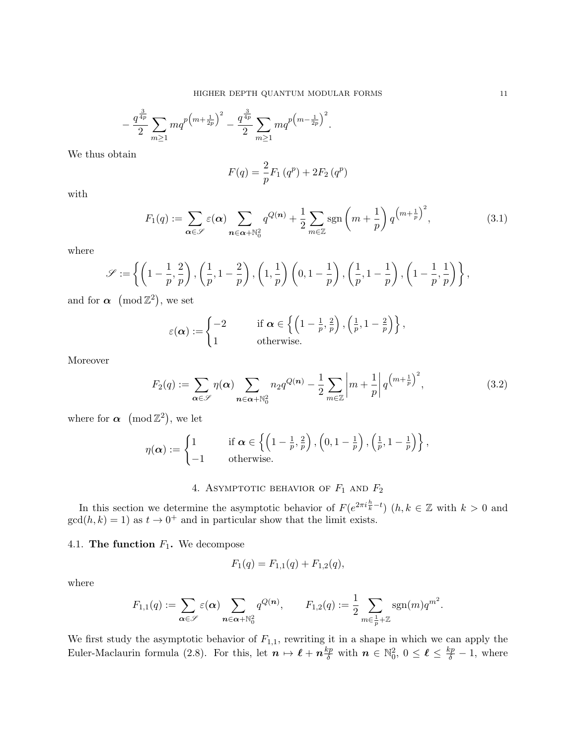$$
-\frac{q^{\frac{3}{4p}}}{2}\sum_{m\geq 1}mq^{p\left(m+\frac{1}{2p}\right)^2}-\frac{q^{\frac{3}{4p}}}{2}\sum_{m\geq 1}mq^{p\left(m-\frac{1}{2p}\right)^2}.
$$

We thus obtain

$$
F(q) = \frac{2}{p} F_1(q^p) + 2F_2(q^p)
$$

with

$$
F_1(q) := \sum_{\alpha \in \mathscr{S}} \varepsilon(\alpha) \sum_{n \in \alpha + \mathbb{N}_0^2} q^{Q(n)} + \frac{1}{2} \sum_{m \in \mathbb{Z}} \text{sgn}\left(m + \frac{1}{p}\right) q^{\left(m + \frac{1}{p}\right)^2},\tag{3.1}
$$

where

$$
\mathscr{S}:=\left\{\left(1-\frac{1}{p},\frac{2}{p}\right),\left(\frac{1}{p},1-\frac{2}{p}\right),\left(1,\frac{1}{p}\right)\left(0,1-\frac{1}{p}\right),\left(\frac{1}{p},1-\frac{1}{p}\right),\left(1-\frac{1}{p},\frac{1}{p}\right)\right\},
$$

and for  $\alpha \pmod{\mathbb{Z}^2}$ , we set

$$
\varepsilon(\boldsymbol{\alpha}) := \begin{cases} -2 & \text{if } \boldsymbol{\alpha} \in \left\{ \left(1 - \frac{1}{p}, \frac{2}{p}\right), \left(\frac{1}{p}, 1 - \frac{2}{p}\right) \right\}, \\ 1 & \text{otherwise.} \end{cases}
$$

Moreover

$$
F_2(q) := \sum_{\alpha \in \mathscr{S}} \eta(\alpha) \sum_{n \in \alpha + \mathbb{N}_0^2} n_2 q^{Q(n)} - \frac{1}{2} \sum_{m \in \mathbb{Z}} \left| m + \frac{1}{p} \right| q^{\left( m + \frac{1}{p} \right)^2},\tag{3.2}
$$

where for  $\alpha \pmod{\mathbb{Z}^2}$ , we let

$$
\eta(\boldsymbol{\alpha}) := \begin{cases} 1 & \text{if } \boldsymbol{\alpha} \in \left\{ \left(1 - \frac{1}{p}, \frac{2}{p}\right), \left(0, 1 - \frac{1}{p}\right), \left(\frac{1}{p}, 1 - \frac{1}{p}\right) \right\}, \\ -1 & \text{otherwise.} \end{cases}
$$

# 4. ASYMPTOTIC BEHAVIOR OF  $F_1$  and  $F_2$

In this section we determine the asymptotic behavior of  $F(e^{2\pi i \frac{h}{k}-t})$   $(h, k \in \mathbb{Z}$  with  $k > 0$  and  $gcd(h, k) = 1$  as  $t \to 0^+$  and in particular show that the limit exists.

4.1. The function  $F_1$ . We decompose

$$
F_1(q) = F_{1,1}(q) + F_{1,2}(q),
$$

where

$$
F_{1,1}(q) := \sum_{\alpha \in \mathscr{S}} \varepsilon(\alpha) \sum_{\mathbf{n} \in \alpha + \mathbb{N}_0^2} q^{Q(\mathbf{n})}, \qquad F_{1,2}(q) := \frac{1}{2} \sum_{m \in \frac{1}{p} + \mathbb{Z}} \text{sgn}(m) q^{m^2}.
$$

We first study the asymptotic behavior of  $F_{1,1}$ , rewriting it in a shape in which we can apply the Euler-Maclaurin formula (2.8). For this, let  $n \mapsto \ell + n \frac{kp}{\delta}$  with  $n \in \mathbb{N}_0^2$ ,  $0 \le \ell \le \frac{kp}{\delta} - 1$ , where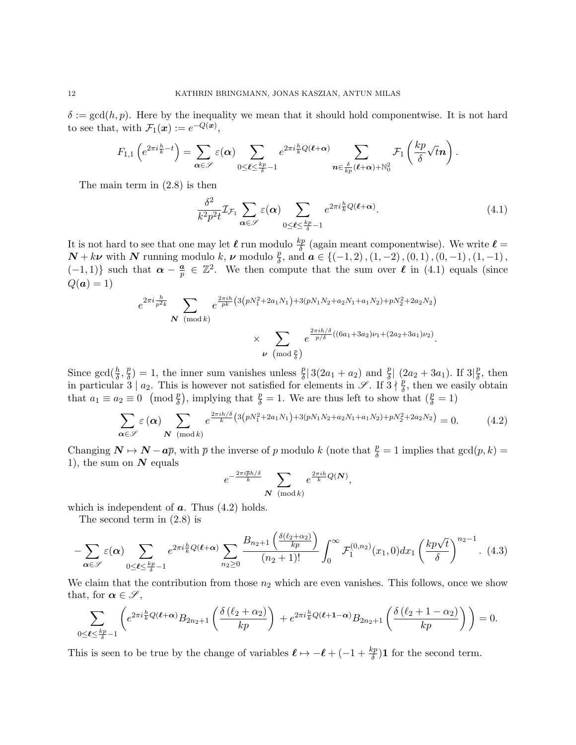$\delta := \gcd(h, p)$ . Here by the inequality we mean that it should hold componentwise. It is not hard to see that, with  $\mathcal{F}_1(\boldsymbol{x}) := e^{-Q(\boldsymbol{x})},$ 

$$
F_{1,1}\left(e^{2\pi i \frac{h}{k}-t}\right)=\sum_{\boldsymbol{\alpha} \in \mathscr{S}} \varepsilon(\boldsymbol{\alpha}) \sum_{0 \leq \boldsymbol{\ell} \leq \frac{kp}{\delta}-1} e^{2\pi i \frac{h}{k}Q(\boldsymbol{\ell}+\boldsymbol{\alpha})} \sum_{\boldsymbol{n} \in \frac{\delta}{kp}(\boldsymbol{\ell}+\boldsymbol{\alpha})+\mathbb{N}_0^2} \mathcal{F}_1\left(\frac{kp}{\delta} \sqrt{t} \boldsymbol{n}\right).
$$

The main term in (2.8) is then

$$
\frac{\delta^2}{k^2 p^2 t} \mathcal{I}_{\mathcal{F}_1} \sum_{\alpha \in \mathscr{S}} \varepsilon(\alpha) \sum_{0 \le \ell \le \frac{kp}{\delta} - 1} e^{2\pi i \frac{h}{k} Q(\ell + \alpha)}.
$$
 (4.1)

It is not hard to see that one may let  $\ell$  run modulo  $\frac{kp}{\delta}$  (again meant componentwise). We write  $\ell =$  $N + k\nu$  with N running modulo k,  $\nu$  modulo  $\frac{p}{\delta}$ , and  $\boldsymbol{a} \in \{(-1, 2), (1, -2), (0, 1), (0, -1), (1, -1),\}$  $(-1, 1)$ } such that  $\alpha - \frac{a}{n}$  $\frac{a}{p} \in \mathbb{Z}^2$ . We then compute that the sum over  $\ell$  in (4.1) equals (since  $Q(a) = 1$ 

$$
e^{2\pi i \frac{h}{p^2 k}} \sum_{\mathbf{N} \pmod{k}} e^{\frac{2\pi i h}{pk} \left(3(pN_1^2 + 2a_1N_1) + 3(pN_1N_2 + a_2N_1 + a_1N_2) + pN_2^2 + 2a_2N_2\right)} \times \sum_{\nu \pmod{\frac{p}{\delta}}} e^{\frac{2\pi i h/\delta}{p/\delta} \left((6a_1 + 3a_2)\nu_1 + (2a_2 + 3a_1)\nu_2\right)}.
$$

Since  $\gcd(\frac{h}{\delta}, \frac{p}{\delta})$  $\frac{p}{\delta}$ ) = 1, the inner sum vanishes unless  $\frac{p}{\delta}$  3(2a<sub>1</sub> + a<sub>2</sub>) and  $\frac{p}{\delta}$  (2a<sub>2</sub> + 3a<sub>1</sub>). If 3 $\frac{p}{\delta}$  $\frac{p}{\delta}$ , then in particular  $3 \mid a_2$ . This is however not satisfied for elements in  $\mathscr{S}$ . If  $3 \nmid \frac{p}{\delta}$  $\frac{p}{\delta}$ , then we easily obtain that  $a_1 \equiv a_2 \equiv 0 \pmod{\frac{p}{\delta}}$ , implying that  $\frac{p}{\delta} = 1$ . We are thus left to show that  $(\frac{p}{\delta} = 1)$ 

$$
\sum_{\alpha \in \mathscr{S}} \varepsilon(\alpha) \sum_{N \pmod{k}} e^{\frac{2\pi i h/\delta}{k} \left(3\left(pN_1^2 + 2a_1N_1\right) + 3\left(pN_1N_2 + a_2N_1 + a_1N_2\right) + pN_2^2 + 2a_2N_2\right)} = 0.
$$
 (4.2)

Changing  $\mathbf{N} \mapsto \mathbf{N} - a\overline{p}$ , with  $\overline{p}$  the inverse of p modulo k (note that  $\frac{p}{\delta} = 1$  implies that  $gcd(p, k) =$ 1), the sum on  $N$  equals

$$
e^{-\frac{2\pi i\overline{p}h/\delta}{k}} \sum_{\mathbf{N} \pmod{k}} e^{\frac{2\pi i h}{k}Q(\mathbf{N})},
$$

which is independent of  $a$ . Thus  $(4.2)$  holds.

The second term in (2.8) is

$$
-\sum_{\alpha\in\mathscr{S}}\varepsilon(\alpha)\sum_{0\leq\ell\leq\frac{kp}{\delta}-1}e^{2\pi i\frac{h}{k}Q(\ell+\alpha)}\sum_{n_2\geq 0}\frac{B_{n_2+1}\left(\frac{\delta(\ell_2+\alpha_2)}{kp}\right)}{(n_2+1)!}\int_0^\infty\mathcal{F}_1^{(0,n_2)}(x_1,0)dx_1\left(\frac{kp\sqrt{t}}{\delta}\right)^{n_2-1}.\tag{4.3}
$$

We claim that the contribution from those  $n_2$  which are even vanishes. This follows, once we show that, for  $\alpha \in \mathscr{S}$ ,

$$
\sum_{0\leq\ell\leq\frac{kp}{\delta}-1}\left(e^{2\pi i\frac{h}{k}Q(\ell+\alpha)}B_{2n_2+1}\left(\frac{\delta(\ell_2+\alpha_2)}{kp}\right)+e^{2\pi i\frac{h}{k}Q(\ell+1-\alpha)}B_{2n_2+1}\left(\frac{\delta(\ell_2+1-\alpha_2)}{kp}\right)\right)=0.
$$

This is seen to be true by the change of variables  $\ell \mapsto -\ell + (-1 + \frac{kp}{\delta})\mathbf{1}$  for the second term.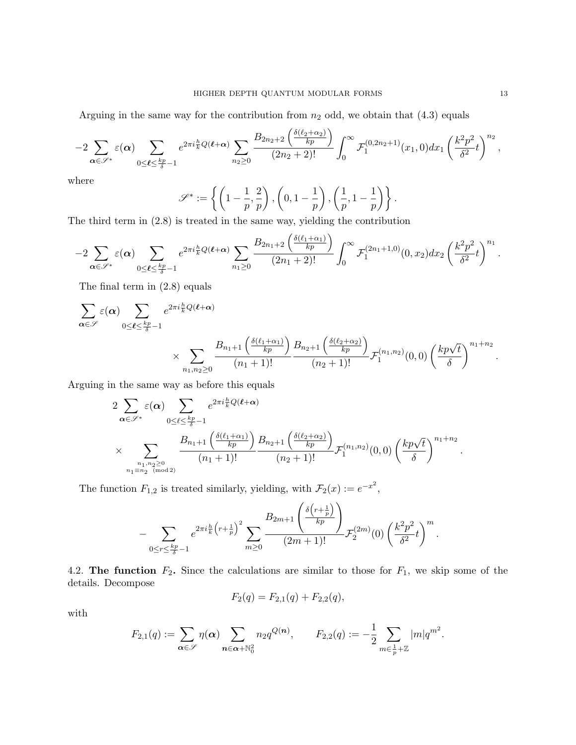Arguing in the same way for the contribution from  $n_2$  odd, we obtain that  $(4.3)$  equals

$$
-2\sum_{\alpha\in\mathscr{S}^*}\varepsilon(\alpha)\sum_{0\leq\ell\leq\frac{kp}{\delta}-1}e^{2\pi i\frac{h}{k}Q(\ell+\alpha)}\sum_{n_2\geq 0}\frac{B_{2n_2+2}\left(\frac{\delta(\ell_2+\alpha_2)}{kp}\right)}{(2n_2+2)!}\int_0^\infty\mathcal{F}_1^{(0,2n_2+1)}(x_1,0)dx_1\left(\frac{k^2p^2}{\delta^2}t\right)^{n_2},
$$

where

$$
\mathscr{S}^* := \left\{ \left(1 - \frac{1}{p}, \frac{2}{p}\right), \left(0, 1 - \frac{1}{p}\right), \left(\frac{1}{p}, 1 - \frac{1}{p}\right) \right\}.
$$

The third term in (2.8) is treated in the same way, yielding the contribution

$$
-2\sum_{\alpha\in\mathscr{S}^*}\varepsilon(\alpha)\sum_{0\leq\ell\leq\frac{kp}{\delta}-1}e^{2\pi i\frac{h}{k}Q(\ell+\alpha)}\sum_{n_1\geq 0}\frac{B_{2n_1+2}\left(\frac{\delta(\ell_1+\alpha_1)}{kp}\right)}{(2n_1+2)!}\int_0^\infty\mathcal{F}_1^{(2n_1+1,0)}(0,x_2)dx_2\left(\frac{k^2p^2}{\delta^2}t\right)^{n_1}.
$$

The final term in (2.8) equals

$$
\sum_{\alpha \in \mathscr{S}} \varepsilon(\alpha) \sum_{0 \leq \ell \leq \frac{kp}{\delta} - 1} e^{2\pi i \frac{h}{k} Q(\ell + \alpha)} \times \sum_{n_1, n_2 \geq 0} \frac{B_{n_1+1}\left(\frac{\delta(\ell_1 + \alpha_1)}{kp}\right)}{(n_1 + 1)!} \frac{B_{n_2+1}\left(\frac{\delta(\ell_2 + \alpha_2)}{kp}\right)}{(n_2 + 1)!} \mathcal{F}_1^{(n_1, n_2)}(0, 0) \left(\frac{kp\sqrt{t}}{\delta}\right)^{n_1 + n_2}.
$$

Arguing in the same way as before this equals

$$
2\sum_{\alpha \in \mathscr{S}^*} \varepsilon(\alpha) \sum_{0 \leq \ell \leq \frac{kp}{\delta}-1} e^{2\pi i \frac{h}{k} Q(\ell+\alpha)}
$$
  
\$\times \sum\_{\substack{n\_1, n\_2 \geq 0 \\ n\_1 \equiv n\_2 \pmod{2}}} \frac{B\_{n\_1+1}\left(\frac{\delta(\ell\_1+\alpha\_1)}{kp}\right)}{(n\_1+1)!} \frac{B\_{n\_2+1}\left(\frac{\delta(\ell\_2+\alpha\_2)}{kp}\right)}{(n\_2+1)!} \mathcal{F}\_1^{(n\_1,n\_2)}(0,0) \left(\frac{kp\sqrt{t}}{\delta}\right)^{n\_1+n\_2}

The function  $F_{1,2}$  is treated similarly, yielding, with  $\mathcal{F}_2(x) := e^{-x^2}$ ,

$$
-\sum_{0\leq r\leq \frac{kp}{\delta}-1}e^{2\pi i\frac{h}{k}\left(r+\frac{1}{p}\right)^2}\sum_{m\geq 0}\frac{B_{2m+1}\left(\frac{\delta\left(r+\frac{1}{p}\right)}{kp}\right)}{(2m+1)!}\mathcal{F}_2^{(2m)}(0)\left(\frac{k^2p^2}{\delta^2}t\right)^m.
$$

4.2. The function  $F_2$ . Since the calculations are similar to those for  $F_1$ , we skip some of the details. Decompose

$$
F_2(q) = F_{2,1}(q) + F_{2,2}(q),
$$

with

$$
F_{2,1}(q):=\sum_{\boldsymbol{\alpha}\in\mathscr{S}}\eta(\boldsymbol{\alpha})\sum_{\boldsymbol{n}\in\boldsymbol{\alpha}+\mathbb{N}_0^2}n_2q^{Q(\boldsymbol{n})},\qquad F_{2,2}(q):=-\frac{1}{2}\sum_{m\in\frac{1}{p}+\mathbb{Z}}|m|q^{m^2}.
$$

.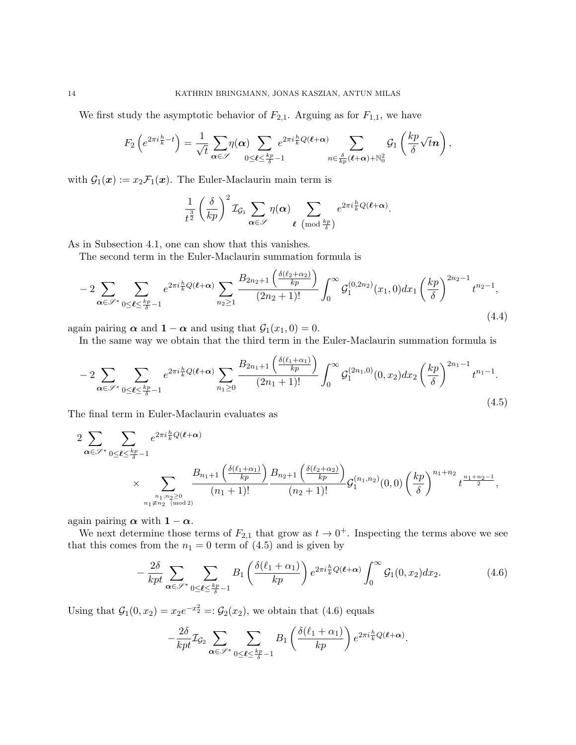We first study the asymptotic behavior of  $F_{2,1}$ . Arguing as for  $F_{1,1}$ , we have

F2 e 2πi <sup>h</sup> <sup>k</sup> −t = 1 √ t X α∈S η(α) X 0≤`≤ kp <sup>δ</sup> −1 e 2πi <sup>h</sup> <sup>k</sup> Q(`+α) X n∈ δ kp (`+α)+N<sup>2</sup> 0 G1 kp δ √ tn ,

with  $\mathcal{G}_1(\boldsymbol{x}) := x_2 \mathcal{F}_1(\boldsymbol{x})$ . The Euler-Maclaurin main term is

$$
\frac{1}{t^{\frac{3}{2}}} \left(\frac{\delta}{kp}\right)^2 \mathcal{I}_{\mathcal{G}_1} \sum_{\pmb{\alpha} \in \mathscr{S}} \eta(\pmb{\alpha}) \sum_{\pmb{\ell} \pmod{\frac{kp}{\delta}}} e^{2\pi i \frac{h}{k} Q(\pmb{\ell} + \pmb{\alpha})}.
$$

As in Subsection 4.1, one can show that this vanishes.

The second term in the Euler-Maclaurin summation formula is

$$
-2\sum_{\alpha\in\mathscr{S}^*}\sum_{0\leq\ell\leq\frac{kp}{\delta}-1}e^{2\pi i\frac{h}{k}Q(\ell+\alpha)}\sum_{n_2\geq 1}\frac{B_{2n_2+1}\left(\frac{\delta(\ell_2+\alpha_2)}{kp}\right)}{(2n_2+1)!}\int_0^\infty\mathcal{G}_1^{(0,2n_2)}(x_1,0)dx_1\left(\frac{kp}{\delta}\right)^{2n_2-1}t^{n_2-1},\tag{4.4}
$$

again pairing  $\alpha$  and  $1 - \alpha$  and using that  $\mathcal{G}_1(x_1, 0) = 0$ .

In the same way we obtain that the third term in the Euler-Maclaurin summation formula is

$$
-2\sum_{\alpha\in\mathscr{S}^*}\sum_{0\leq\ell\leq\frac{kp}{\delta}-1}e^{2\pi i\frac{h}{k}Q(\ell+\alpha)}\sum_{n_1\geq 0}\frac{B_{2n_1+1}\left(\frac{\delta(\ell_1+\alpha_1)}{kp}\right)}{(2n_1+1)!}\int_0^\infty\mathcal{G}_1^{(2n_1,0)}(0,x_2)dx_2\left(\frac{kp}{\delta}\right)^{2n_1-1}t^{n_1-1}.
$$
\n(4.5)

The final term in Euler-Maclaurin evaluates as

$$
2 \sum_{\alpha \in \mathscr{S}^*} \sum_{0 \leq \ell \leq \frac{kp}{\delta} - 1} e^{2\pi i \frac{h}{k} Q(\ell + \alpha)}
$$
  
 
$$
\times \sum_{\substack{n_1, n_2 \geq 0 \\ n_1 \neq n_2 \pmod{2}}} \frac{B_{n_1+1}\left(\frac{\delta(\ell_1 + \alpha_1)}{kp}\right)}{(n_1 + 1)!} \frac{B_{n_2+1}\left(\frac{\delta(\ell_2 + \alpha_2)}{kp}\right)}{(n_2 + 1)!} \mathcal{G}_1^{(n_1, n_2)}(0, 0) \left(\frac{kp}{\delta}\right)^{n_1 + n_2} t^{\frac{n_1 + n_2 - 1}{2}},
$$

again pairing  $\alpha$  with  $1 - \alpha$ .

We next determine those terms of  $F_{2,1}$  that grow as  $t \to 0^+$ . Inspecting the terms above we see that this comes from the  $n_1 = 0$  term of  $(4.5)$  and is given by

$$
-\frac{2\delta}{kpt} \sum_{\alpha \in \mathscr{S}^*} \sum_{0 \le \ell \le \frac{kp}{\delta}-1} B_1\left(\frac{\delta(\ell_1+\alpha_1)}{kp}\right) e^{2\pi i \frac{h}{k} Q(\ell+\alpha)} \int_0^\infty \mathcal{G}_1(0,x_2) dx_2. \tag{4.6}
$$

Using that  $G_1(0, x_2) = x_2e^{-x_2^2} =: \mathcal{G}_2(x_2)$ , we obtain that (4.6) equals

$$
-\frac{2\delta}{kpt}\mathcal{I}_{\mathcal{G}_2}\sum_{\pmb{\alpha}\in\mathscr{S}^*}\sum_{0\leq\pmb{\ell}\leq\frac{kp}{\delta}-1}B_1\left(\frac{\delta(\ell_1+\alpha_1)}{kp}\right)e^{2\pi i\frac{h}{k}Q(\pmb{\ell}+\pmb{\alpha})}.
$$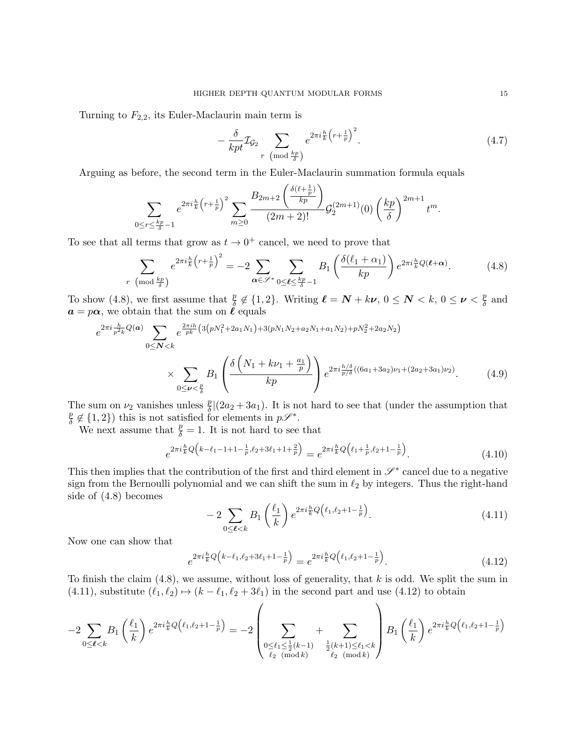Turning to  $F_{2,2}$ , its Euler-Maclaurin main term is

$$
-\frac{\delta}{kpt}\mathcal{I}_{\mathcal{G}_2}\sum_{r \pmod{\frac{kp}{\delta}}}e^{2\pi i\frac{h}{k}\left(r+\frac{1}{p}\right)^2}.
$$
\n(4.7)

Arguing as before, the second term in the Euler-Maclaurin summation formula equals

$$
\sum_{0 \le r \le \frac{kp}{\delta}-1} e^{2\pi i \frac{h}{k} \left(r+\frac{1}{p}\right)^2} \sum_{m \ge 0} \frac{B_{2m+2} \left(\frac{\delta(\ell+\frac{1}{p})}{kp}\right)}{(2m+2)!} \mathcal{G}_2^{(2m+1)}(0) \left(\frac{kp}{\delta}\right)^{2m+1} t^m.
$$

To see that all terms that grow as  $t \to 0^+$  cancel, we need to prove that

$$
\sum_{r \pmod{\frac{kp}{\delta}}} e^{2\pi i \frac{h}{k} \left(r + \frac{1}{p}\right)^2} = -2 \sum_{\alpha \in \mathscr{S}^*} \sum_{0 \le \ell \le \frac{kp}{\delta} - 1} B_1 \left(\frac{\delta(\ell_1 + \alpha_1)}{kp}\right) e^{2\pi i \frac{h}{k} Q(\ell + \alpha)}.
$$
(4.8)

To show (4.8), we first assume that  $\frac{p}{\delta} \notin \{1, 2\}$ . Writing  $\ell = \mathbf{N} + k\boldsymbol{\nu}$ ,  $0 \le \mathbf{N} < k$ ,  $0 \le \boldsymbol{\nu} < \frac{p}{\delta}$  $\frac{p}{\delta}$  and  $a = p\alpha$ , we obtain that the sum on  $\ell$  equals

$$
e^{2\pi i \frac{h}{p^2 k} Q(a)} \sum_{0 \le N < k} e^{\frac{2\pi i h}{pk} \left(3\left(pN_1^2 + 2a_1N_1\right) + 3\left(pN_1N_2 + a_2N_1 + a_1N_2\right) + pN_2^2 + 2a_2N_2\right)} \times \sum_{0 \le \nu < \frac{p}{\delta}} B_1 \left( \frac{\delta\left(N_1 + k\nu_1 + \frac{a_1}{p}\right)}{kp} \right) e^{2\pi i \frac{h/\delta}{p/\delta} \left((6a_1 + 3a_2)\nu_1 + (2a_2 + 3a_1)\nu_2\right)}.
$$
(4.9)

The sum on  $\nu_2$  vanishes unless  $\frac{p}{\delta} |(2a_2 + 3a_1)$ . It is not hard to see that (under the assumption that p  $\frac{p}{\delta} \notin \{1,2\}$  this is not satisfied for elements in  $p\mathscr{S}^*$ .

We next assume that  $\frac{p}{\delta} = 1$ . It is not hard to see that

$$
e^{2\pi i \frac{h}{k}Q\left(k-\ell_1-1+1-\frac{1}{p},\ell_2+3\ell_1+1+\frac{2}{p}\right)} = e^{2\pi i \frac{h}{k}Q\left(\ell_1+\frac{1}{p},\ell_2+1-\frac{1}{p}\right)}.
$$
\n(4.10)

This then implies that the contribution of the first and third element in  $\mathscr{S}^*$  cancel due to a negative sign from the Bernoulli polynomial and we can shift the sum in  $\ell_2$  by integers. Thus the right-hand side of (4.8) becomes

$$
-2\sum_{0\leq\ell\n(4.11)
$$

Now one can show that

$$
e^{2\pi i \frac{h}{k}Q\left(k-\ell_1,\ell_2+3\ell_1+1-\frac{1}{p}\right)} = e^{2\pi i \frac{h}{k}Q\left(\ell_1,\ell_2+1-\frac{1}{p}\right)}.
$$
\n(4.12)

To finish the claim  $(4.8)$ , we assume, without loss of generality, that k is odd. We split the sum in (4.11), substitute  $(\ell_1, \ell_2) \mapsto (k - \ell_1, \ell_2 + 3\ell_1)$  in the second part and use (4.12) to obtain

$$
-2\sum_{0\leq \ell < k}B_{1}\left(\frac{\ell_1}{k}\right)e^{2\pi i \frac{h}{k}Q\left(\ell_1,\ell_2+1-\frac{1}{p}\right)} = -2\left(\sum_{\substack{0\leq \ell_1\leq \frac{1}{2}(k-1)\\ \ell_2 \pmod{k}}}\right) + \sum_{\substack{\frac{1}{2}(k+1)\leq \ell_1 < k\\ \ell_2 \pmod{k}}}\right)B_{1}\left(\frac{\ell_1}{k}\right)e^{2\pi i \frac{h}{k}Q\left(\ell_1,\ell_2+1-\frac{1}{p}\right)}
$$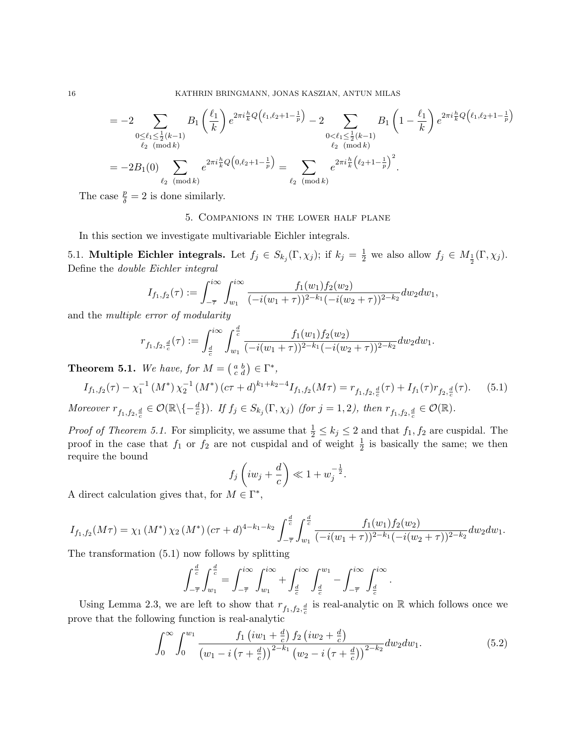$$
= -2 \sum_{\substack{0 \le \ell_1 \le \frac{1}{2}(k-1) \\ \ell_2 \pmod{k}}} B_1 \left(\frac{\ell_1}{k}\right) e^{2\pi i \frac{h}{k} Q\left(\ell_1, \ell_2 + 1 - \frac{1}{p}\right)} - 2 \sum_{\substack{0 < \ell_1 \le \frac{1}{2}(k-1) \\ \ell_2 \pmod{k}}} B_1 \left(1 - \frac{\ell_1}{k}\right) e^{2\pi i \frac{h}{k} Q\left(\ell_1, \ell_2 + 1 - \frac{1}{p}\right)}
$$
\n
$$
= -2B_1(0) \sum_{\ell_2 \pmod{k}} e^{2\pi i \frac{h}{k} Q\left(0, \ell_2 + 1 - \frac{1}{p}\right)} = \sum_{\ell_2 \pmod{k}} e^{2\pi i \frac{h}{k} \left(\ell_2 + 1 - \frac{1}{p}\right)^2}.
$$

The case  $\frac{p}{\delta} = 2$  is done similarly.

## 5. Companions in the lower half plane

In this section we investigate multivariable Eichler integrals.

5.1. **Multiple Eichler integrals.** Let  $f_j \in S_{k_j}(\Gamma, \chi_j)$ ; if  $k_j = \frac{1}{2}$  we also allow  $f_j \in M_{\frac{1}{2}}(\Gamma, \chi_j)$ . Define the double Eichler integral

$$
I_{f_1,f_2}(\tau) := \int_{-\overline{\tau}}^{i\infty} \int_{w_1}^{i\infty} \frac{f_1(w_1) f_2(w_2)}{(-i(w_1 + \tau))^{2-k_1} (-i(w_2 + \tau))^{2-k_2}} dw_2 dw_1,
$$

and the multiple error of modularity

$$
r_{f_1,f_2,\frac{d}{c}}(\tau) := \int_{\frac{d}{c}}^{i\infty} \int_{w_1}^{\frac{d}{c}} \frac{f_1(w_1)f_2(w_2)}{(-i(w_1+\tau))^{2-k_1}(-i(w_2+\tau))^{2-k_2}} dw_2 dw_1.
$$

**Theorem 5.1.** We have, for  $M = \begin{pmatrix} a & b \\ c & d \end{pmatrix} \in \Gamma^*$ ,

$$
I_{f_1,f_2}(\tau) - \chi_1^{-1}(M^*) \chi_2^{-1}(M^*) \left( c\tau + d \right)^{k_1 + k_2 - 4} I_{f_1,f_2}(M\tau) = r_{f_1,f_2,\frac{d}{c}}(\tau) + I_{f_1}(\tau) r_{f_2,\frac{d}{c}}(\tau). \tag{5.1}
$$

Moreover  $r_{f_1,f_2,\frac{d}{c}} \in \mathcal{O}(\mathbb{R} \setminus \{-\frac{d}{c}\})$ . If  $f_j \in S_{k_j}(\Gamma,\chi_j)$  (for  $j=1,2$ ), then  $r_{f_1,f_2,\frac{d}{c}} \in \mathcal{O}(\mathbb{R})$ .

*Proof of Theorem 5.1.* For simplicity, we assume that  $\frac{1}{2} \le k_j \le 2$  and that  $f_1, f_2$  are cuspidal. The proof in the case that  $f_1$  or  $f_2$  are not cuspidal and of weight  $\frac{1}{2}$  is basically the same; we then require the bound

$$
f_j\left(iw_j+\frac{d}{c}\right)\ll 1+w_j^{-\frac{1}{2}}.
$$

A direct calculation gives that, for  $M \in \Gamma^*$ ,

$$
I_{f_1,f_2}(M\tau) = \chi_1(M^*) \chi_2(M^*) \left( c\tau + d \right)^{4-k_1-k_2} \int_{-\overline{\tau}}^{\frac{d}{c}} \int_{w_1}^{\frac{d}{c}} \frac{f_1(w_1) f_2(w_2)}{(-i(w_1+\tau))^{2-k_1} (-i(w_2+\tau))^{2-k_2}} dw_2 dw_1.
$$

The transformation (5.1) now follows by splitting

$$
\int_{-\overline{\tau}}^{\frac{d}{c}}\int_{w_1}^{\frac{d}{c}}=\int_{-\overline{\tau}}^{i\infty}\int_{w_1}^{i\infty}+\int_{\frac{d}{c}}^{i\infty}\int_{\frac{d}{c}}^{w_1}-\int_{-\overline{\tau}}^{i\infty}\int_{\frac{d}{c}}^{i\infty}.
$$

Using Lemma 2.3, we are left to show that  $r_{f_1,f_2,\frac{d}{c}}$  is real-analytic on R which follows once we prove that the following function is real-analytic

$$
\int_0^\infty \int_0^{w_1} \frac{f_1(iw_1 + \frac{d}{c}) f_2(iw_2 + \frac{d}{c})}{\left(w_1 - i\left(\tau + \frac{d}{c}\right)\right)^{2 - k_1} \left(w_2 - i\left(\tau + \frac{d}{c}\right)\right)^{2 - k_2}} dw_2 dw_1.
$$
\n(5.2)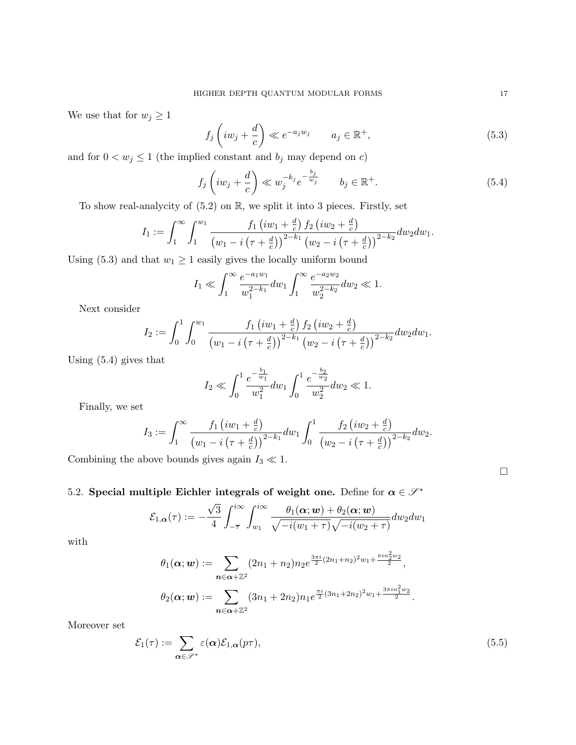We use that for  $w_j \geq 1$ 

$$
f_j\left(iw_j + \frac{d}{c}\right) \ll e^{-a_j w_j} \qquad a_j \in \mathbb{R}^+, \tag{5.3}
$$

and for  $0 < w_j \leq 1$  (the implied constant and  $b_j$  may depend on  $c)$ 

$$
f_j\left(iw_j + \frac{d}{c}\right) \ll w_j^{-k_j}e^{-\frac{b_j}{w_j}} \qquad b_j \in \mathbb{R}^+.
$$
\n
$$
(5.4)
$$

To show real-analycity of  $(5.2)$  on  $\mathbb{R}$ , we split it into 3 pieces. Firstly, set

$$
I_1 := \int_1^{\infty} \int_1^{w_1} \frac{f_1(iw_1 + \frac{d}{c}) f_2(iw_2 + \frac{d}{c})}{(w_1 - i(\tau + \frac{d}{c}))^{2-k_1} (w_2 - i(\tau + \frac{d}{c}))^{2-k_2}} dw_2 dw_1.
$$

Using (5.3) and that  $w_1 \geq 1$  easily gives the locally uniform bound

$$
I_1 \ll \int_1^\infty \frac{e^{-a_1w_1}}{w_1^{2-k_1}} dw_1 \int_1^\infty \frac{e^{-a_2w_2}}{w_2^{2-k_2}} dw_2 \ll 1.
$$

Next consider

$$
I_2 := \int_0^1 \int_0^{w_1} \frac{f_1(iw_1 + \frac{d}{c}) f_2(iw_2 + \frac{d}{c})}{(w_1 - i(\tau + \frac{d}{c}))^{2-k_1} (w_2 - i(\tau + \frac{d}{c}))^{2-k_2}} dw_2 dw_1.
$$

Using (5.4) gives that

$$
I_2 \ll \int_0^1 \frac{e^{-\frac{b_1}{w_1}}}{w_1^2} dw_1 \int_0^1 \frac{e^{-\frac{b_2}{w_2}}}{w_2^2} dw_2 \ll 1.
$$

Finally, we set

$$
I_3 := \int_1^{\infty} \frac{f_1(iw_1 + \frac{d}{c})}{(w_1 - i(\tau + \frac{d}{c}))^{2-k_1}} dw_1 \int_0^1 \frac{f_2(iw_2 + \frac{d}{c})}{(w_2 - i(\tau + \frac{d}{c}))^{2-k_2}} dw_2.
$$

Combining the above bounds gives again  $I_3 \ll 1$ .

# 5.2. Special multiple Eichler integrals of weight one. Define for  $\alpha \in \mathcal{S}^*$

$$
\mathcal{E}_{1,\alpha}(\tau) := -\frac{\sqrt{3}}{4} \int_{-\overline{\tau}}^{i\infty} \int_{w_1}^{i\infty} \frac{\theta_1(\alpha; w) + \theta_2(\alpha; w)}{\sqrt{-i(w_1 + \tau)}\sqrt{-i(w_2 + \tau)}} dw_2 dw_1
$$

with

$$
\theta_1(\alpha; \mathbf{w}) := \sum_{\mathbf{n} \in \alpha + \mathbb{Z}^2} (2n_1 + n_2) n_2 e^{\frac{3\pi i}{2} (2n_1 + n_2)^2 w_1 + \frac{\pi i n_2^2 w_2}{2}},
$$
  

$$
\theta_2(\alpha; \mathbf{w}) := \sum_{\mathbf{n} \in \alpha + \mathbb{Z}^2} (3n_1 + 2n_2) n_1 e^{\frac{\pi i}{2} (3n_1 + 2n_2)^2 w_1 + \frac{3\pi i n_1^2 w_2}{2}}.
$$

Moreover set

$$
\mathcal{E}_1(\tau) := \sum_{\alpha \in \mathscr{S}^*} \varepsilon(\alpha) \mathcal{E}_{1,\alpha}(p\tau),\tag{5.5}
$$

 $\Box$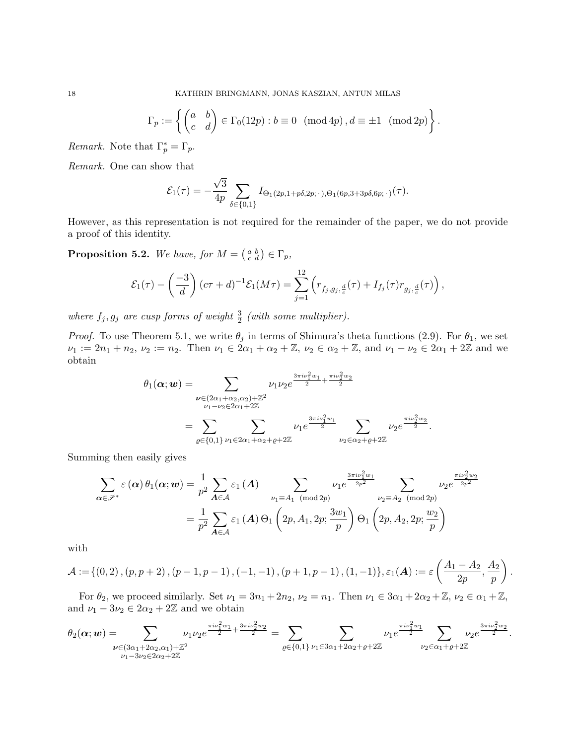18 KATHRIN BRINGMANN, JONAS KASZIAN, ANTUN MILAS

$$
\Gamma_p := \left\{ \begin{pmatrix} a & b \\ c & d \end{pmatrix} \in \Gamma_0(12p) : b \equiv 0 \pmod{4p}, d \equiv \pm 1 \pmod{2p} \right\}.
$$

*Remark.* Note that  $\Gamma_p^* = \Gamma_p$ .

Remark. One can show that

$$
\mathcal{E}_1(\tau) = -\frac{\sqrt{3}}{4p} \sum_{\delta \in \{0,1\}} I_{\Theta_1(2p,1+p\delta,2p;\,\cdot\,,\Theta_1(6p,3+3p\delta,6p;\,\cdot\,)}(\tau).
$$

However, as this representation is not required for the remainder of the paper, we do not provide a proof of this identity.

**Proposition 5.2.** We have, for  $M = \begin{pmatrix} a & b \\ c & d \end{pmatrix} \in \Gamma_p$ ,

$$
\mathcal{E}_1(\tau) - \left(\frac{-3}{d}\right)(c\tau + d)^{-1}\mathcal{E}_1(M\tau) = \sum_{j=1}^{12} \left(r_{f_j,g_j,\frac{d}{c}}(\tau) + I_{f_j}(\tau)r_{g_j,\frac{d}{c}}(\tau)\right),
$$

where  $f_j, g_j$  are cusp forms of weight  $\frac{3}{2}$  (with some multiplier).

*Proof.* To use Theorem 5.1, we write  $\theta_j$  in terms of Shimura's theta functions (2.9). For  $\theta_1$ , we set  $\nu_1 := 2n_1 + n_2, \ \nu_2 := n_2.$  Then  $\nu_1 \in 2\alpha_1 + \alpha_2 + \mathbb{Z}, \ \nu_2 \in \alpha_2 + \mathbb{Z}, \text{ and } \nu_1 - \nu_2 \in 2\alpha_1 + 2\mathbb{Z} \text{ and we}$ obtain

$$
\theta_1(\alpha; w) = \sum_{\substack{\nu \in (2\alpha_1 + \alpha_2, \alpha_2) + \mathbb{Z}^2 \\ \nu_1 - \nu_2 \in 2\alpha_1 + 2\mathbb{Z}}} \nu_1 \nu_2 e^{\frac{3\pi i \nu_1^2 w_1}{2} + \frac{\pi i \nu_2^2 w_2}{2}} \\ = \sum_{\varrho \in \{0,1\}} \sum_{\nu_1 \in 2\alpha_1 + \alpha_2 + \varrho + 2\mathbb{Z}} \nu_1 e^{\frac{3\pi i \nu_1^2 w_1}{2}} \sum_{\nu_2 \in \alpha_2 + \varrho + 2\mathbb{Z}} \nu_2 e^{\frac{\pi i \nu_2^2 w_2}{2}}.
$$

Summing then easily gives

$$
\sum_{\alpha \in \mathscr{S}^*} \varepsilon(\alpha) \theta_1(\alpha; w) = \frac{1}{p^2} \sum_{\mathbf{A} \in \mathcal{A}} \varepsilon_1(\mathbf{A}) \sum_{\substack{\nu_1 \equiv A_1 \pmod{2p} \\ \mathbf{A} \in \mathcal{A}}} \frac{\nu_1 e^{\frac{3\pi i \nu_1^2 w_1}{2p^2}}}{\nu_2 \equiv A_2 \pmod{2p}} \sum_{\substack{\nu_2 \equiv A_2 \pmod{2p} \\ \mathbf{A} \in \mathcal{A}}} \frac{\nu_2 e^{\frac{\pi i \nu_2^2 w_2}{2p^2}}}{\nu_2 \equiv A_2 \pmod{2p}}
$$

with

$$
\mathcal{A} := \{(0,2), (p, p+2), (p-1, p-1), (-1, -1), (p+1, p-1), (1, -1)\}, \varepsilon_1(\mathbf{A}) := \varepsilon \left( \frac{A_1 - A_2}{2p}, \frac{A_2}{p} \right).
$$

For  $\theta_2$ , we proceed similarly. Set  $\nu_1 = 3n_1 + 2n_2$ ,  $\nu_2 = n_1$ . Then  $\nu_1 \in 3\alpha_1 + 2\alpha_2 + \mathbb{Z}$ ,  $\nu_2 \in \alpha_1 + \mathbb{Z}$ , and  $\nu_1 - 3\nu_2 \in 2\alpha_2 + 2\mathbb{Z}$  and we obtain

$$
\theta_2(\alpha; w) = \sum_{\substack{\nu \in (3\alpha_1 + 2\alpha_2, \alpha_1) + \mathbb{Z}^2 \\ \nu_1 - 3\nu_2 \in 2\alpha_2 + 2\mathbb{Z}}} \nu_1 \nu_2 e^{\frac{\pi i \nu_1^2 w_1}{2} + \frac{3\pi i \nu_2^2 w_2}{2}} = \sum_{\varrho \in \{0,1\}} \sum_{\substack{\nu_1 \in 3\alpha_1 + 2\alpha_2 + \varrho + 2\mathbb{Z}}} \nu_1 e^{\frac{\pi i \nu_1^2 w_1}{2}} \sum_{\substack{\nu_2 \in \alpha_1 + \varrho + 2\mathbb{Z} \\ \nu_2 \in \alpha_1 + \varrho + 2\mathbb{Z}}} \nu_2 e^{\frac{3\pi i \nu_2^2 w_2}{2}}.
$$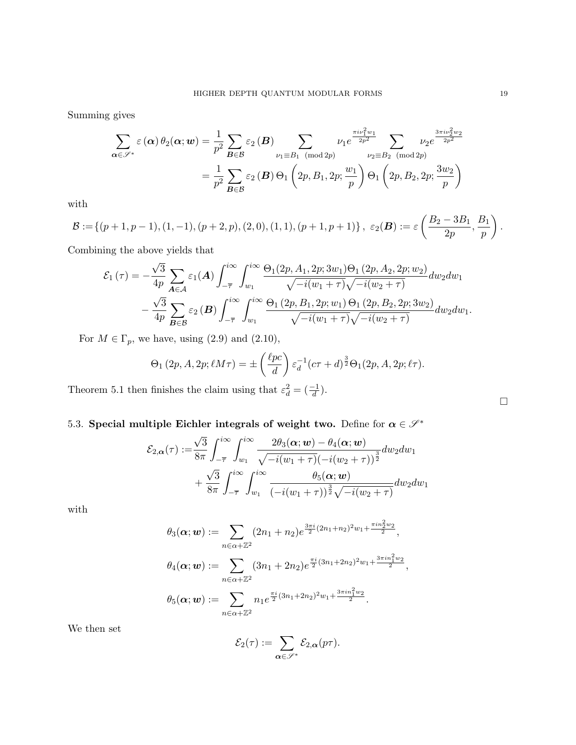Summing gives

$$
\sum_{\alpha \in \mathscr{S}^*} \varepsilon(\alpha) \theta_2(\alpha; w) = \frac{1}{p^2} \sum_{\mathbf{B} \in \mathcal{B}} \varepsilon_2(\mathbf{B}) \sum_{\substack{\nu_1 \equiv B_1 \pmod{2p} \\ B \in \mathcal{B}}} \nu_1 e^{\frac{\pi i \nu_1^2 w_1}{2p^2}} \sum_{\substack{\nu_2 \equiv B_2 \pmod{2p} \\ \nu_2 \equiv B_2 \pmod{2p}}} \nu_2 e^{\frac{3\pi i \nu_2^2 w_2}{2p^2}}
$$

with

$$
\mathcal{B} := \left\{ (p+1, p-1), (1, -1), (p+2, p), (2, 0), (1, 1), (p+1, p+1) \right\}, \ \varepsilon_2(\mathbf{B}) := \varepsilon \left( \frac{B_2 - 3B_1}{2p}, \frac{B_1}{p} \right).
$$

Combining the above yields that

$$
\mathcal{E}_{1}(\tau) = -\frac{\sqrt{3}}{4p} \sum_{\mathbf{A} \in \mathcal{A}} \varepsilon_{1}(\mathbf{A}) \int_{-\overline{\tau}}^{i\infty} \int_{w_{1}}^{i\infty} \frac{\Theta_{1}(2p, A_{1}, 2p; 3w_{1})\Theta_{1}(2p, A_{2}, 2p; w_{2})}{\sqrt{-i(w_{1} + \tau)}\sqrt{-i(w_{2} + \tau)}} dw_{2} dw_{1} - \frac{\sqrt{3}}{4p} \sum_{\mathbf{B} \in \mathcal{B}} \varepsilon_{2}(\mathbf{B}) \int_{-\overline{\tau}}^{i\infty} \int_{w_{1}}^{i\infty} \frac{\Theta_{1}(2p, B_{1}, 2p; w_{1})\Theta_{1}(2p, B_{2}, 2p; 3w_{2})}{\sqrt{-i(w_{1} + \tau)}\sqrt{-i(w_{2} + \tau)}} dw_{2} dw_{1}.
$$

For  $M \in \Gamma_p$ , we have, using  $(2.9)$  and  $(2.10)$ ,

$$
\Theta_1(2p, A, 2p; \ell M \tau) = \pm \left(\frac{\ell pc}{d}\right) \varepsilon_d^{-1} (c\tau + d)^{\frac{3}{2}} \Theta_1(2p, A, 2p; \ell \tau).
$$

Theorem 5.1 then finishes the claim using that  $\varepsilon_d^2 = \left(\frac{-1}{d}\right)$ .

# 5.3. Special multiple Eichler integrals of weight two. Define for  $\alpha \in \mathcal{S}^*$

$$
\mathcal{E}_{2,\alpha}(\tau) := \frac{\sqrt{3}}{8\pi} \int_{-\overline{\tau}}^{i\infty} \int_{w_1}^{i\infty} \frac{2\theta_3(\boldsymbol{\alpha};\boldsymbol{w}) - \theta_4(\boldsymbol{\alpha};\boldsymbol{w})}{\sqrt{-i(w_1 + \tau)}(-i(w_2 + \tau))^{\frac{3}{2}}} dw_2 dw_1 + \frac{\sqrt{3}}{8\pi} \int_{-\overline{\tau}}^{i\infty} \int_{w_1}^{i\infty} \frac{\theta_5(\boldsymbol{\alpha};\boldsymbol{w})}{(-i(w_1 + \tau))^{\frac{3}{2}}\sqrt{-i(w_2 + \tau)}} dw_2 dw_1
$$

with

$$
\theta_3(\alpha; \mathbf{w}) := \sum_{n \in \alpha + \mathbb{Z}^2} (2n_1 + n_2) e^{\frac{3\pi i}{2}(2n_1 + n_2)^2 w_1 + \frac{\pi i n_2^2 w_2}{2}},
$$
  

$$
\theta_4(\alpha; \mathbf{w}) := \sum_{n \in \alpha + \mathbb{Z}^2} (3n_1 + 2n_2) e^{\frac{\pi i}{2}(3n_1 + 2n_2)^2 w_1 + \frac{3\pi i n_1^2 w_2}{2}},
$$
  

$$
\theta_5(\alpha; \mathbf{w}) := \sum_{n \in \alpha + \mathbb{Z}^2} n_1 e^{\frac{\pi i}{2}(3n_1 + 2n_2)^2 w_1 + \frac{3\pi i n_1^2 w_2}{2}}.
$$

We then set

$$
\mathcal{E}_2(\tau) := \sum_{\alpha \in \mathscr{S}^*} \mathcal{E}_{2,\alpha}(p\tau).
$$

 $\Box$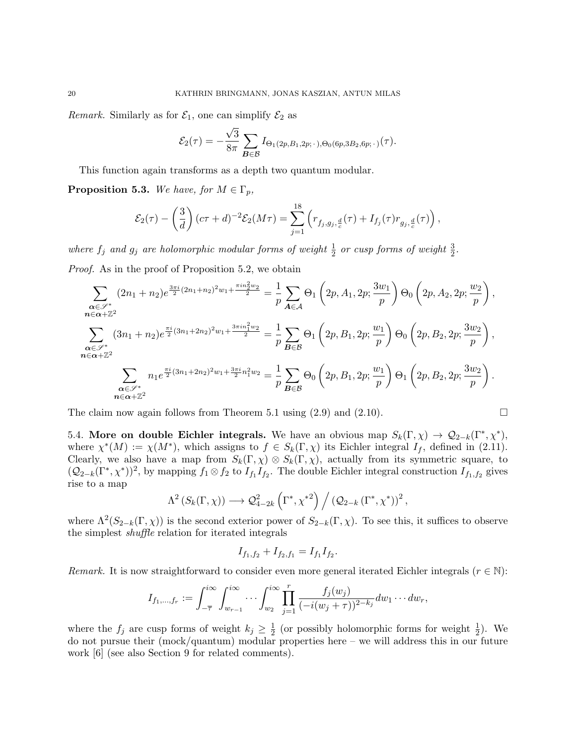*Remark.* Similarly as for  $\mathcal{E}_1$ , one can simplify  $\mathcal{E}_2$  as

$$
\mathcal{E}_2(\tau) = -\frac{\sqrt{3}}{8\pi} \sum_{\mathbf{B}\in\mathcal{B}} I_{\Theta_1(2p, B_1, 2p; \cdot), \Theta_0(6p, 3B_2, 6p; \cdot)}(\tau).
$$

This function again transforms as a depth two quantum modular.

**Proposition 5.3.** We have, for  $M \in \Gamma_p$ ,

$$
\mathcal{E}_2(\tau) - \left(\frac{3}{d}\right)(c\tau + d)^{-2} \mathcal{E}_2(M\tau) = \sum_{j=1}^{18} \left( r_{f_j, g_j, \frac{d}{c}}(\tau) + I_{f_j}(\tau) r_{g_j, \frac{d}{c}}(\tau) \right),
$$

where  $f_j$  and  $g_j$  are holomorphic modular forms of weight  $\frac{1}{2}$  or cusp forms of weight  $\frac{3}{2}$ .

Proof. As in the proof of Proposition 5.2, we obtain

$$
\sum_{\substack{\alpha \in \mathscr{S}^*\\ n \in \alpha + \mathbb{Z}^2}} (2n_1 + n_2) e^{\frac{3\pi i}{2}(2n_1 + n_2)^2 w_1 + \frac{\pi i n_2^2 w_2}{2}} = \frac{1}{p} \sum_{A \in \mathcal{A}} \Theta_1 \left( 2p, A_1, 2p; \frac{3w_1}{p} \right) \Theta_0 \left( 2p, A_2, 2p; \frac{w_2}{p} \right),
$$
\n
$$
\sum_{\substack{\alpha \in \mathscr{S}^*\\ n \in \alpha + \mathbb{Z}^2}} (3n_1 + n_2) e^{\frac{\pi i}{2}(3n_1 + 2n_2)^2 w_1 + \frac{3\pi i n_1^2 w_2}{2}} = \frac{1}{p} \sum_{B \in \mathcal{B}} \Theta_1 \left( 2p, B_1, 2p; \frac{w_1}{p} \right) \Theta_0 \left( 2p, B_2, 2p; \frac{3w_2}{p} \right),
$$
\n
$$
\sum_{\substack{\alpha \in \mathscr{S}^*\\ n \in \alpha + \mathbb{Z}^2}} n_1 e^{\frac{\pi i}{2}(3n_1 + 2n_2)^2 w_1 + \frac{3\pi i}{2} n_1^2 w_2} = \frac{1}{p} \sum_{B \in \mathcal{B}} \Theta_0 \left( 2p, B_1, 2p; \frac{w_1}{p} \right) \Theta_1 \left( 2p, B_2, 2p; \frac{3w_2}{p} \right).
$$

The claim now again follows from Theorem 5.1 using  $(2.9)$  and  $(2.10)$ .

5.4. More on double Eichler integrals. We have an obvious map  $S_k(\Gamma, \chi) \to \mathcal{Q}_{2-k}(\Gamma^*, \chi^*),$ where  $\chi^*(M) := \chi(M^*)$ , which assigns to  $f \in S_k(\Gamma, \chi)$  its Eichler integral  $I_f$ , defined in (2.11). Clearly, we also have a map from  $S_k(\Gamma, \chi) \otimes S_k(\Gamma, \chi)$ , actually from its symmetric square, to  $(Q_{2-k}(\Gamma^*, \chi^*))^2$ , by mapping  $f_1 \otimes f_2$  to  $I_{f_1}I_{f_2}$ . The double Eichler integral construction  $I_{f_1,f_2}$  gives rise to a map

$$
\Lambda^2(S_k(\Gamma,\chi)) \longrightarrow \mathcal{Q}_{4-2k}^2(\Gamma^*,\chi^{*2}) / (\mathcal{Q}_{2-k}(\Gamma^*,\chi^*))^2,
$$

where  $\Lambda^2(S_{2-k}(\Gamma,\chi))$  is the second exterior power of  $S_{2-k}(\Gamma,\chi)$ . To see this, it suffices to observe the simplest shuffle relation for iterated integrals

$$
I_{f_1,f_2} + I_{f_2,f_1} = I_{f_1}I_{f_2}.
$$

Remark. It is now straightforward to consider even more general iterated Eichler integrals ( $r \in \mathbb{N}$ ):

$$
I_{f_1,...,f_r} := \int_{-\overline{\tau}}^{i\infty} \int_{w_{r-1}}^{i\infty} \cdots \int_{w_2}^{i\infty} \prod_{j=1}^r \frac{f_j(w_j)}{(-i(w_j + \tau))^{2-k_j}} dw_1 \cdots dw_r,
$$

where the  $f_j$  are cusp forms of weight  $k_j \geq \frac{1}{2}$  $\frac{1}{2}$  (or possibly holomorphic forms for weight  $\frac{1}{2}$ ). We do not pursue their (mock/quantum) modular properties here – we will address this in our future work [6] (see also Section 9 for related comments).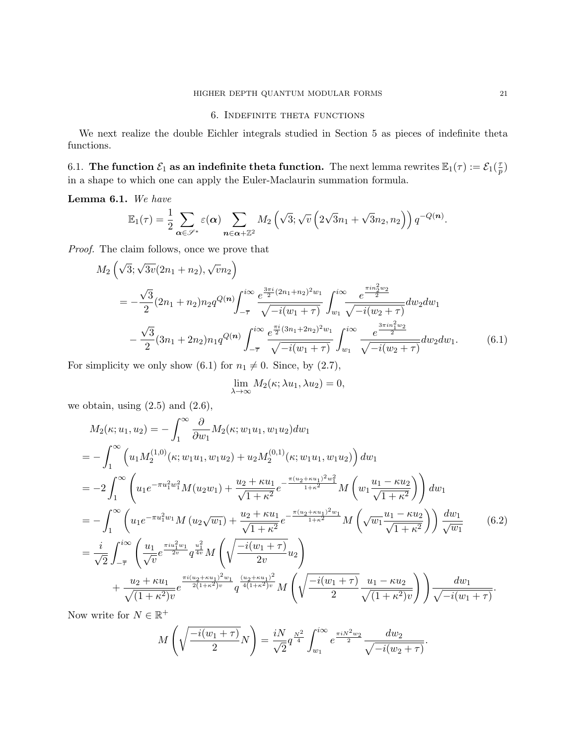# 6. Indefinite theta functions

We next realize the double Eichler integrals studied in Section 5 as pieces of indefinite theta functions.

6.1. The function  $\mathcal{E}_1$  as an indefinite theta function. The next lemma rewrites  $\mathbb{E}_1(\tau) := \mathcal{E}_1(\frac{\tau}{n})$  $\frac{\tau}{p})$ in a shape to which one can apply the Euler-Maclaurin summation formula.

## Lemma 6.1. We have

$$
\mathbb{E}_1(\tau) = \frac{1}{2} \sum_{\alpha \in \mathscr{S}^*} \varepsilon(\alpha) \sum_{n \in \alpha + \mathbb{Z}^2} M_2\left(\sqrt{3}; \sqrt{v}\left(2\sqrt{3}n_1 + \sqrt{3}n_2, n_2\right)\right) q^{-Q(n)}.
$$

Proof. The claim follows, once we prove that

$$
M_{2}\left(\sqrt{3};\sqrt{3v}(2n_{1}+n_{2}),\sqrt{v}n_{2}\right)
$$
\n
$$
= -\frac{\sqrt{3}}{2}(2n_{1}+n_{2})n_{2}q^{Q(n)}\int_{-\overline{\tau}}^{i\infty} \frac{e^{\frac{3\pi i}{2}(2n_{1}+n_{2})^{2}w_{1}}}{\sqrt{-i(w_{1}+\tau)}}\int_{w_{1}}^{i\infty} \frac{e^{\frac{\pi in_{2}^{2}w_{2}}{2}}}{\sqrt{-i(w_{2}+\tau)}}dw_{2}dw_{1}
$$
\n
$$
-\frac{\sqrt{3}}{2}(3n_{1}+2n_{2})n_{1}q^{Q(n)}\int_{-\overline{\tau}}^{i\infty} \frac{e^{\frac{\pi i}{2}(3n_{1}+2n_{2})^{2}w_{1}}}{\sqrt{-i(w_{1}+\tau)}}\int_{w_{1}}^{i\infty} \frac{e^{\frac{3\pi in_{1}^{2}w_{2}}{2}}}{\sqrt{-i(w_{2}+\tau)}}dw_{2}dw_{1}.
$$
\n(6.1)

For simplicity we only show (6.1) for  $n_1 \neq 0$ . Since, by (2.7),

$$
\lim_{\lambda \to \infty} M_2(\kappa; \lambda u_1, \lambda u_2) = 0,
$$

we obtain, using  $(2.5)$  and  $(2.6)$ ,

$$
M_{2}(\kappa; u_{1}, u_{2}) = -\int_{1}^{\infty} \frac{\partial}{\partial w_{1}} M_{2}(\kappa; w_{1}u_{1}, w_{1}u_{2}) dw_{1}
$$
  
\n
$$
= -\int_{1}^{\infty} \left( u_{1} M_{2}^{(1,0)}(\kappa; w_{1}u_{1}, w_{1}u_{2}) + u_{2} M_{2}^{(0,1)}(\kappa; w_{1}u_{1}, w_{1}u_{2}) \right) dw_{1}
$$
  
\n
$$
= -2\int_{1}^{\infty} \left( u_{1} e^{-\pi u_{1}^{2}w_{1}^{2}} M(u_{2}w_{1}) + \frac{u_{2} + \kappa u_{1}}{\sqrt{1 + \kappa^{2}}} e^{-\frac{\pi (u_{2} + \kappa u_{1})^{2}w_{1}^{2}}{1 + \kappa^{2}}} M\left(w_{1} \frac{u_{1} - \kappa u_{2}}{\sqrt{1 + \kappa^{2}}}\right) \right) dw_{1}
$$
  
\n
$$
= -\int_{1}^{\infty} \left( u_{1} e^{-\pi u_{1}^{2}w_{1}} M(u_{2} \sqrt{w_{1}}) + \frac{u_{2} + \kappa u_{1}}{\sqrt{1 + \kappa^{2}}} e^{-\frac{\pi (u_{2} + \kappa u_{1})^{2}w_{1}}{1 + \kappa^{2}}} M\left(\sqrt{w_{1}} \frac{u_{1} - \kappa u_{2}}{\sqrt{1 + \kappa^{2}}}\right) \right) \frac{dw_{1}}{\sqrt{w_{1}}} \qquad (6.2)
$$
  
\n
$$
= \frac{i}{\sqrt{2}} \int_{-\overline{\tau}}^{i\infty} \left( \frac{u_{1}}{\sqrt{v}} e^{\frac{\pi i u_{1}^{2}w_{1}}{2v}} q^{\frac{u_{1}^{2}}{4v}} M\left(\sqrt{\frac{-i(w_{1} + \tau)}{2v}} u_{2}\right) + \frac{u_{2} + \kappa u_{1}}{\sqrt{(1 + \kappa^{2})v}} e^{\frac{\pi i(u_{2} + \kappa u_{1})^{2}}{2v}} q^{\frac{(u_{2} + \kappa u_{1})^{2}}{4(1 + \kappa^{2})v}} M\left(\sqrt{\frac{-i(w_{1} + \tau)}{2}} \frac{u_{1} - \kappa u_{2}}{\
$$

Now write for  $N \in \mathbb{R}^+$ 

$$
M\left(\sqrt{\frac{-i(w_1+\tau)}{2}}N\right) = \frac{iN}{\sqrt{2}}q^{\frac{N^2}{4}} \int_{w_1}^{i\infty} e^{\frac{\pi i N^2 w_2}{2}} \frac{dw_2}{\sqrt{-i(w_2+\tau)}}.
$$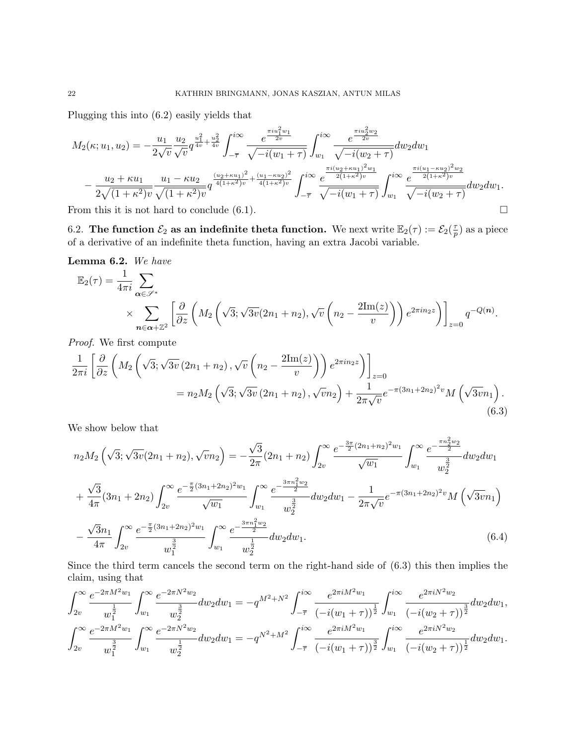Plugging this into (6.2) easily yields that

$$
M_{2}(\kappa; u_{1}, u_{2}) = -\frac{u_{1}}{2\sqrt{v}} \frac{u_{2}}{\sqrt{v}} q^{\frac{u_{1}^{2}}{4v} + \frac{u_{2}^{2}}{4v}} \int_{-\overline{\tau}}^{i\infty} \frac{e^{\frac{\pi i u_{1}^{2}w_{1}}{2v}}}{\sqrt{-i(w_{1} + \tau)}} \int_{w_{1}}^{i\infty} \frac{e^{\frac{\pi i u_{2}^{2}w_{2}}{2v}}}{\sqrt{-i(w_{2} + \tau)}} dw_{2} dw_{1} - \frac{u_{2} + \kappa u_{1}}{2\sqrt{(1 + \kappa^{2})v}} \frac{u_{1} - \kappa u_{2}}{\sqrt{(1 + \kappa^{2})v}} q^{\frac{(u_{2} + \kappa u_{1})^{2}}{4(1 + \kappa^{2})v} + \frac{(u_{1} - \kappa u_{2})^{2}}{4(1 + \kappa^{2})v}} \int_{-\overline{\tau}}^{i\infty} \frac{e^{\frac{\pi i (u_{2} + \kappa u_{1})^{2}w_{1}}{2(1 + \kappa^{2})v}}}{\sqrt{-i(w_{1} + \tau)}} \int_{w_{1}}^{i\infty} \frac{e^{\frac{\pi i (u_{1} - \kappa u_{2})^{2}w_{2}}{2(1 + \kappa^{2})v}}}{\sqrt{-i(w_{2} + \tau)}} dw_{2} dw_{1}.
$$

From this it is not hard to conclude  $(6.1)$ .

6.2. The function  $\mathcal{E}_2$  as an indefinite theta function. We next write  $\mathbb{E}_2(\tau) := \mathcal{E}_2(\frac{\tau}{\tau})$  $(\frac{\tau}{p})$  as a piece of a derivative of an indefinite theta function, having an extra Jacobi variable.

Lemma 6.2. We have

$$
\mathbb{E}_2(\tau) = \frac{1}{4\pi i} \sum_{\alpha \in \mathscr{S}^*} \times \sum_{n \in \alpha + \mathbb{Z}^2} \left[ \frac{\partial}{\partial z} \left( M_2 \left( \sqrt{3}; \sqrt{3v} (2n_1 + n_2), \sqrt{v} \left( n_2 - \frac{2\mathrm{Im}(z)}{v} \right) \right) e^{2\pi i n_2 z} \right) \right]_{z=0} q^{-Q(n)}.
$$

Proof. We first compute

$$
\frac{1}{2\pi i} \left[ \frac{\partial}{\partial z} \left( M_2 \left( \sqrt{3}; \sqrt{3v} \left( 2n_1 + n_2 \right), \sqrt{v} \left( n_2 - \frac{2\mathrm{Im}(z)}{v} \right) \right) e^{2\pi i n_2 z} \right) \right]_{z=0} \n= n_2 M_2 \left( \sqrt{3}; \sqrt{3v} \left( 2n_1 + n_2 \right), \sqrt{v} n_2 \right) + \frac{1}{2\pi \sqrt{v}} e^{-\pi (3n_1 + 2n_2)^2 v} M \left( \sqrt{3v} n_1 \right).
$$
\n(6.3)

We show below that

$$
n_2M_2\left(\sqrt{3};\sqrt{3v}(2n_1+n_2),\sqrt{v}n_2\right) = -\frac{\sqrt{3}}{2\pi}(2n_1+n_2)\int_{2v}^{\infty} \frac{e^{-\frac{3\pi}{2}(2n_1+n_2)^2w_1}}{\sqrt{w_1}}\int_{w_1}^{\infty} \frac{e^{-\frac{\pi n_2^2w_2}{2}}}{w_2^3}dw_2dw_1
$$
  
+  $\frac{\sqrt{3}}{4\pi}(3n_1+2n_2)\int_{2v}^{\infty} \frac{e^{-\frac{\pi}{2}(3n_1+2n_2)^2w_1}}{\sqrt{w_1}}\int_{w_1}^{\infty} \frac{e^{-\frac{3\pi n_1^2w_2}{2}}}{w_2^3}dw_2dw_1 - \frac{1}{2\pi\sqrt{v}}e^{-\pi(3n_1+2n_2)^2v}M\left(\sqrt{3v}n_1\right)$   
-  $\frac{\sqrt{3}n_1}{4\pi}\int_{2v}^{\infty} \frac{e^{-\frac{\pi}{2}(3n_1+2n_2)^2w_1}}{w_1^{\frac{3}{2}}}\int_{w_1}^{\infty} \frac{e^{-\frac{3\pi n_1^2w_2}{2}}}{w_2^{\frac{1}{2}}}dw_2dw_1.$  (6.4)

Since the third term cancels the second term on the right-hand side of (6.3) this then implies the claim, using that

$$
\int_{2v}^{\infty} \frac{e^{-2\pi M^2 w_1}}{w_1^{\frac{1}{2}}} \int_{w_1}^{\infty} \frac{e^{-2\pi N^2 w_2}}{w_2^{\frac{3}{2}}} dw_2 dw_1 = -q^{M^2+N^2} \int_{-\overline{\tau}}^{i\infty} \frac{e^{2\pi i M^2 w_1}}{(-i(w_1+\tau))^{\frac{1}{2}}} \int_{w_1}^{i\infty} \frac{e^{2\pi i N^2 w_2}}{(-i(w_2+\tau))^{\frac{3}{2}}} dw_2 dw_1,
$$
  

$$
\int_{2v}^{\infty} \frac{e^{-2\pi M^2 w_1}}{w_1^{\frac{3}{2}}} \int_{w_1}^{\infty} \frac{e^{-2\pi N^2 w_2}}{w_2^{\frac{1}{2}}} dw_2 dw_1 = -q^{N^2+M^2} \int_{-\overline{\tau}}^{i\infty} \frac{e^{2\pi i M^2 w_1}}{(-i(w_1+\tau))^{\frac{3}{2}}} \int_{w_1}^{i\infty} \frac{e^{2\pi i N^2 w_2}}{(-i(w_2+\tau))^{\frac{1}{2}}} dw_2 dw_1.
$$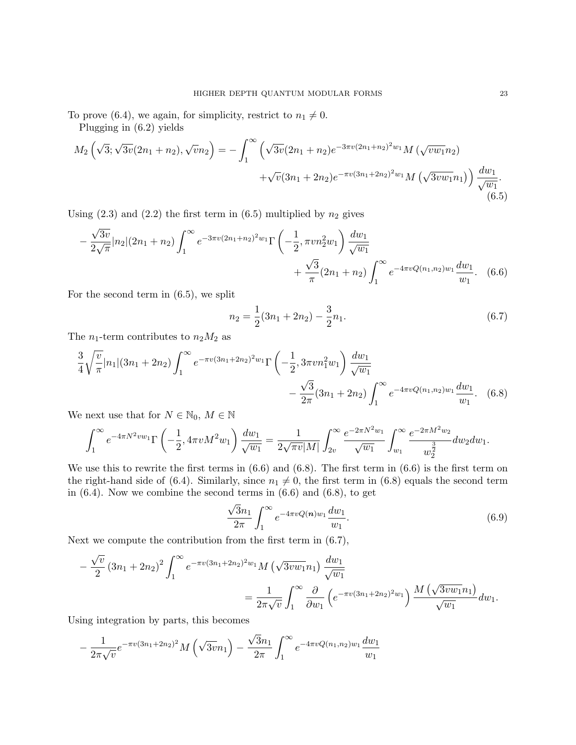To prove (6.4), we again, for simplicity, restrict to  $n_1 \neq 0$ .

Plugging in (6.2) yields

$$
M_2\left(\sqrt{3}; \sqrt{3v}(2n_1+n_2), \sqrt{v}n_2\right) = -\int_1^\infty \left(\sqrt{3v}(2n_1+n_2)e^{-3\pi v(2n_1+n_2)^2w_1} M\left(\sqrt{v}w_1n_2\right) + \sqrt{v}(3n_1+2n_2)e^{-\pi v(3n_1+2n_2)^2w_1} M\left(\sqrt{3v}w_1n_1\right)\right) \frac{dw_1}{\sqrt{w_1}}.
$$
\n
$$
(6.5)
$$

Using  $(2.3)$  and  $(2.2)$  the first term in  $(6.5)$  multiplied by  $n_2$  gives

$$
-\frac{\sqrt{3v}}{2\sqrt{\pi}}|n_2|(2n_1+n_2)\int_1^\infty e^{-3\pi v(2n_1+n_2)^2w_1}\Gamma\left(-\frac{1}{2},\pi v n_2^2w_1\right)\frac{dw_1}{\sqrt{w_1}} +\frac{\sqrt{3}}{\pi}(2n_1+n_2)\int_1^\infty e^{-4\pi vQ(n_1,n_2)w_1}\frac{dw_1}{w_1}.
$$
 (6.6)

For the second term in (6.5), we split

$$
n_2 = \frac{1}{2}(3n_1 + 2n_2) - \frac{3}{2}n_1.
$$
\n(6.7)

The  $n_1$ -term contributes to  $n_2M_2$  as

$$
\frac{3}{4}\sqrt{\frac{v}{\pi}}|n_1|(3n_1+2n_2)\int_1^\infty e^{-\pi v(3n_1+2n_2)^2w_1}\Gamma\left(-\frac{1}{2},3\pi v n_1^2w_1\right)\frac{dw_1}{\sqrt{w_1}} - \frac{\sqrt{3}}{2\pi}(3n_1+2n_2)\int_1^\infty e^{-4\pi vQ(n_1,n_2)w_1}\frac{dw_1}{w_1}.
$$
 (6.8)

We next use that for  $N \in \mathbb{N}_0$ ,  $M \in \mathbb{N}$ 

$$
\int_{1}^{\infty} e^{-4\pi N^{2}vw_{1}} \Gamma\left(-\frac{1}{2}, 4\pi v M^{2}w_{1}\right) \frac{dw_{1}}{\sqrt{w_{1}}} = \frac{1}{2\sqrt{\pi v}|M|} \int_{2v}^{\infty} \frac{e^{-2\pi N^{2}w_{1}}}{\sqrt{w_{1}}} \int_{w_{1}}^{\infty} \frac{e^{-2\pi M^{2}w_{2}}}{w_{2}^{\frac{3}{2}}} dw_{2}dw_{1}.
$$

We use this to rewrite the first terms in (6.6) and (6.8). The first term in (6.6) is the first term on the right-hand side of (6.4). Similarly, since  $n_1 \neq 0$ , the first term in (6.8) equals the second term in  $(6.4)$ . Now we combine the second terms in  $(6.6)$  and  $(6.8)$ , to get

$$
\frac{\sqrt{3}n_1}{2\pi} \int_1^\infty e^{-4\pi v Q(n)w_1} \frac{dw_1}{w_1}.
$$
\n(6.9)

Next we compute the contribution from the first term in (6.7),

$$
-\frac{\sqrt{v}}{2} (3n_1 + 2n_2)^2 \int_1^{\infty} e^{-\pi v (3n_1 + 2n_2)^2 w_1} M(\sqrt{3v w_1} n_1) \frac{dw_1}{\sqrt{w_1}} = \frac{1}{2\pi \sqrt{v}} \int_1^{\infty} \frac{\partial}{\partial w_1} \left( e^{-\pi v (3n_1 + 2n_2)^2 w_1} \right) \frac{M(\sqrt{3v w_1} n_1)}{\sqrt{w_1}} dw_1.
$$

Using integration by parts, this becomes

$$
-\frac{1}{2\pi\sqrt{v}}e^{-\pi v(3n_1+2n_2)^2}M\left(\sqrt{3v}n_1\right)-\frac{\sqrt{3}n_1}{2\pi}\int_1^\infty e^{-4\pi vQ(n_1,n_2)w_1}\frac{dw_1}{w_1}
$$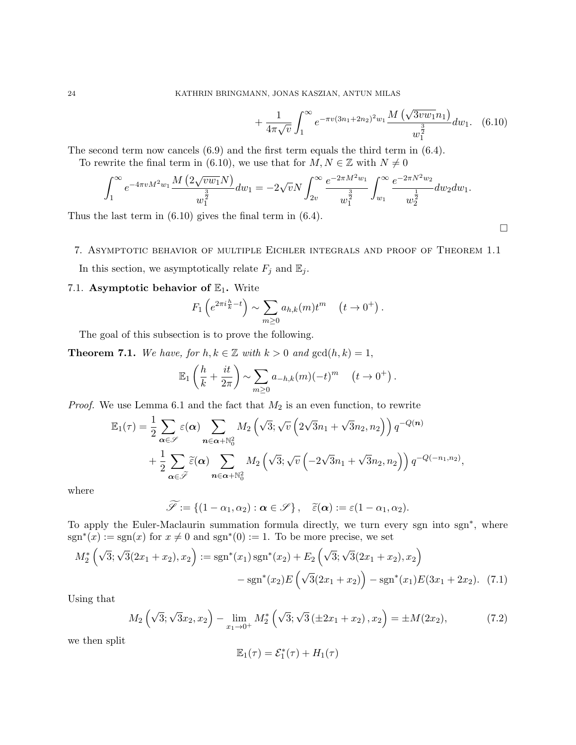$$
+\frac{1}{4\pi\sqrt{v}}\int_{1}^{\infty}e^{-\pi v(3n_{1}+2n_{2})^{2}w_{1}}\frac{M\left(\sqrt{3vw_{1}}n_{1}\right)}{w_{1}^{\frac{3}{2}}}dw_{1}.
$$
 (6.10)

The second term now cancels (6.9) and the first term equals the third term in (6.4).

To rewrite the final term in (6.10), we use that for  $M, N \in \mathbb{Z}$  with  $N \neq 0$ 

$$
\int_1^\infty e^{-4\pi v M^2 w_1} \frac{M\left(2\sqrt{v w_1} N\right)}{w_1^{\frac{3}{2}}} dw_1 = -2\sqrt{v} N \int_{2v}^\infty \frac{e^{-2\pi M^2 w_1}}{w_1^{\frac{3}{2}}} \int_{w_1}^\infty \frac{e^{-2\pi N^2 w_2}}{w_2^{\frac{1}{2}}} dw_2 dw_1.
$$

Thus the last term in (6.10) gives the final term in (6.4).

# 7. Asymptotic behavior of multiple Eichler integrals and proof of Theorem 1.1

In this section, we asymptotically relate  $F_j$  and  $\mathbb{E}_j$ .

# 7.1. Asymptotic behavior of  $\mathbb{E}_1$ . Write

$$
F_1\left(e^{2\pi i \frac{h}{k}-t}\right) \sim \sum_{m\geq 0} a_{h,k}(m)t^m \quad (t \to 0^+).
$$

The goal of this subsection is to prove the following.

**Theorem 7.1.** We have, for  $h, k \in \mathbb{Z}$  with  $k > 0$  and  $gcd(h, k) = 1$ ,

$$
\mathbb{E}_1\left(\frac{h}{k} + \frac{it}{2\pi}\right) \sim \sum_{m \ge 0} a_{-h,k}(m)(-t)^m \quad (t \to 0^+).
$$

*Proof.* We use Lemma 6.1 and the fact that  $M_2$  is an even function, to rewrite

$$
\mathbb{E}_{1}(\tau) = \frac{1}{2} \sum_{\alpha \in \mathscr{S}} \varepsilon(\alpha) \sum_{n \in \alpha + \mathbb{N}_{0}^{2}} M_{2} \left( \sqrt{3}; \sqrt{v} \left( 2\sqrt{3}n_{1} + \sqrt{3}n_{2}, n_{2} \right) \right) q^{-Q(n)} + \frac{1}{2} \sum_{\alpha \in \tilde{\mathscr{S}}} \tilde{\varepsilon}(\alpha) \sum_{n \in \alpha + \mathbb{N}_{0}^{2}} M_{2} \left( \sqrt{3}; \sqrt{v} \left( -2\sqrt{3}n_{1} + \sqrt{3}n_{2}, n_{2} \right) \right) q^{-Q(-n_{1}, n_{2})},
$$

where

$$
\widetilde{\mathscr{S}} := \{ (1 - \alpha_1, \alpha_2) : \boldsymbol{\alpha} \in \mathscr{S} \}, \quad \widetilde{\varepsilon}(\boldsymbol{\alpha}) := \varepsilon (1 - \alpha_1, \alpha_2).
$$

To apply the Euler-Maclaurin summation formula directly, we turn every sgn into sgn<sup>∗</sup> , where  $sgn^*(x) := sgn(x)$  for  $x \neq 0$  and  $sgn^*(0) := 1$ . To be more precise, we set

$$
M_2^* \left(\sqrt{3}; \sqrt{3}(2x_1 + x_2), x_2\right) := \text{sgn}^*(x_1) \text{ sgn}^*(x_2) + E_2 \left(\sqrt{3}; \sqrt{3}(2x_1 + x_2), x_2\right) - \text{sgn}^*(x_2) E \left(\sqrt{3}(2x_1 + x_2)\right) - \text{sgn}^*(x_1) E(3x_1 + 2x_2). \tag{7.1}
$$

Using that

$$
M_2\left(\sqrt{3}; \sqrt{3}x_2, x_2\right) - \lim_{x_1 \to 0^+} M_2^*\left(\sqrt{3}; \sqrt{3} \left(\pm 2x_1 + x_2\right), x_2\right) = \pm M(2x_2),\tag{7.2}
$$

we then split

$$
\mathbb{E}_1(\tau) = \mathcal{E}_1^*(\tau) + H_1(\tau)
$$

 $\Box$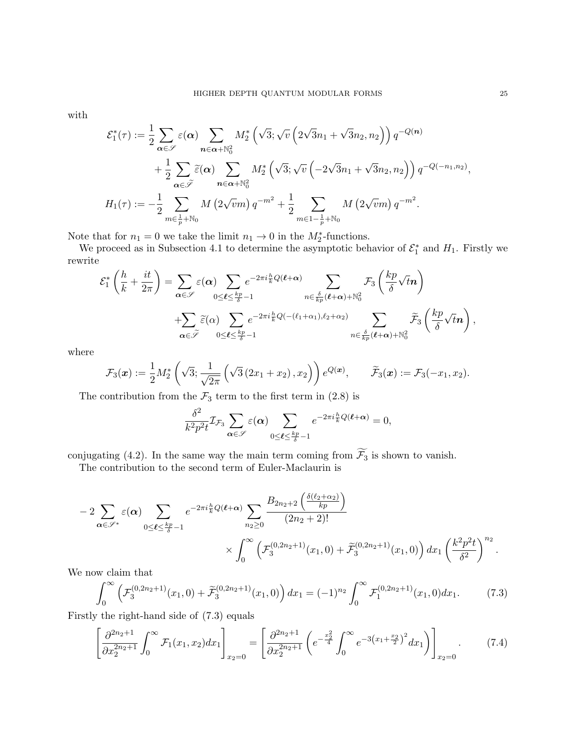with

$$
\mathcal{E}_1^*(\tau) := \frac{1}{2} \sum_{\alpha \in \mathscr{S}} \varepsilon(\alpha) \sum_{n \in \alpha + \mathbb{N}_0^2} M_2^* \left( \sqrt{3}; \sqrt{v} \left( 2\sqrt{3}n_1 + \sqrt{3}n_2, n_2 \right) \right) q^{-Q(n)} \n+ \frac{1}{2} \sum_{\alpha \in \tilde{\mathscr{S}}} \tilde{\varepsilon}(\alpha) \sum_{n \in \alpha + \mathbb{N}_0^2} M_2^* \left( \sqrt{3}; \sqrt{v} \left( -2\sqrt{3}n_1 + \sqrt{3}n_2, n_2 \right) \right) q^{-Q(-n_1, n_2)}, \nH_1(\tau) := -\frac{1}{2} \sum_{m \in \frac{1}{p} + \mathbb{N}_0} M \left( 2\sqrt{v}m \right) q^{-m^2} + \frac{1}{2} \sum_{m \in 1 - \frac{1}{p} + \mathbb{N}_0} M \left( 2\sqrt{v}m \right) q^{-m^2}.
$$

Note that for  $n_1 = 0$  we take the limit  $n_1 \to 0$  in the  $M_2^*$ -functions.

We proceed as in Subsection 4.1 to determine the asymptotic behavior of  $\mathcal{E}_1^*$  and  $H_1$ . Firstly we rewrite

$$
\mathcal{E}_{1}^{*}\left(\frac{h}{k} + \frac{it}{2\pi}\right) = \sum_{\alpha \in \mathscr{S}} \varepsilon(\alpha) \sum_{0 \leq \ell \leq \frac{kp}{\delta} - 1} e^{-2\pi i \frac{h}{k}Q(\ell + \alpha)} \sum_{n \in \frac{\delta}{kp}(\ell + \alpha) + \mathbb{N}_{0}^{2}} \mathcal{F}_{3}\left(\frac{kp}{\delta}\sqrt{t}n\right) + \sum_{\alpha \in \tilde{\mathscr{S}}} \tilde{\varepsilon}(\alpha) \sum_{0 \leq \ell \leq \frac{kp}{\delta} - 1} e^{-2\pi i \frac{h}{k}Q(-(\ell_{1} + \alpha_{1}), \ell_{2} + \alpha_{2})} \sum_{n \in \frac{\delta}{kp}(\ell + \alpha) + \mathbb{N}_{0}^{2}} \tilde{\mathcal{F}}_{3}\left(\frac{kp}{\delta}\sqrt{t}n\right),
$$

where

$$
\mathcal{F}_3(\boldsymbol{x}) := \frac{1}{2} M_2^* \left( \sqrt{3}; \frac{1}{\sqrt{2\pi}} \left( \sqrt{3} \left( 2x_1 + x_2 \right), x_2 \right) \right) e^{Q(\boldsymbol{x})}, \qquad \widetilde{\mathcal{F}}_3(\boldsymbol{x}) := \mathcal{F}_3(-x_1, x_2).
$$

The contribution from the  $\mathcal{F}_3$  term to the first term in (2.8) is

$$
\frac{\delta^2}{k^2 p^2 t} \mathcal{I}_{\mathcal{F}_3} \sum_{\pmb{\alpha} \in \mathscr{S}} \varepsilon(\pmb{\alpha}) \sum_{0 \leq \pmb{\ell} \leq \frac{kp}{\delta} - 1} e^{-2\pi i \frac{h}{k} Q(\pmb{\ell} + \pmb{\alpha})} = 0,
$$

conjugating (4.2). In the same way the main term coming from  $\widetilde{\mathcal{F}_3}$  is shown to vanish.

The contribution to the second term of Euler-Maclaurin is

$$
-2\sum_{\alpha \in \mathscr{S}^*} \varepsilon(\alpha) \sum_{0 \leq \ell \leq \frac{kp}{\delta}-1} e^{-2\pi i \frac{h}{k} Q(\ell+\alpha)} \sum_{n_2 \geq 0} \frac{B_{2n_2+2} \left( \frac{\delta(\ell_2+\alpha_2)}{kp} \right)}{(2n_2+2)!} \times \int_0^\infty \left( \mathcal{F}_3^{(0,2n_2+1)}(x_1,0) + \tilde{\mathcal{F}}_3^{(0,2n_2+1)}(x_1,0) \right) dx_1 \left( \frac{k^2 p^2 t}{\delta^2} \right)^{n_2}.
$$

We now claim that

$$
\int_0^\infty \left( \mathcal{F}_3^{(0,2n_2+1)}(x_1,0) + \widetilde{\mathcal{F}}_3^{(0,2n_2+1)}(x_1,0) \right) dx_1 = (-1)^{n_2} \int_0^\infty \mathcal{F}_1^{(0,2n_2+1)}(x_1,0) dx_1. \tag{7.3}
$$

Firstly the right-hand side of (7.3) equals

$$
\left[\frac{\partial^{2n_2+1}}{\partial x_2^{2n_2+1}} \int_0^\infty \mathcal{F}_1(x_1, x_2) dx_1\right]_{x_2=0} = \left[\frac{\partial^{2n_2+1}}{\partial x_2^{2n_2+1}} \left(e^{-\frac{x_2^2}{4}} \int_0^\infty e^{-3\left(x_1 + \frac{x_2}{2}\right)^2} dx_1\right)\right]_{x_2=0}.\tag{7.4}
$$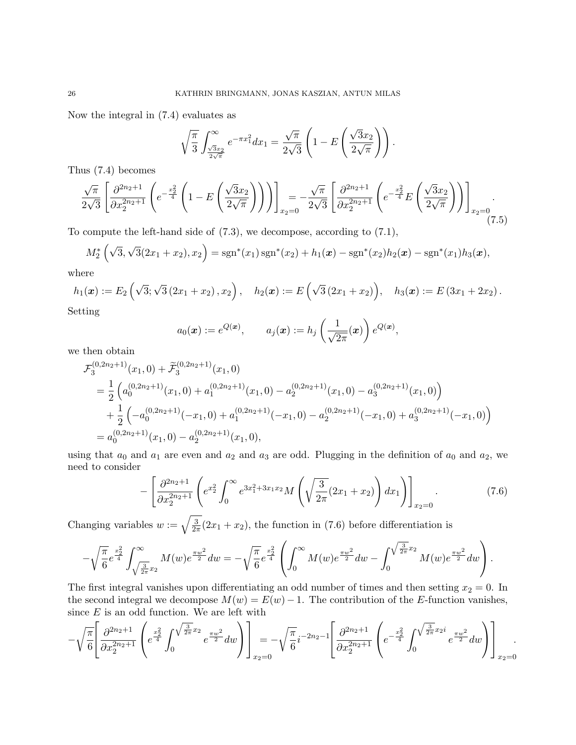Now the integral in (7.4) evaluates as

$$
\sqrt{\frac{\pi}{3}} \int_{\frac{\sqrt{3}x_2}{2\sqrt{\pi}}}^{\infty} e^{-\pi x_1^2} dx_1 = \frac{\sqrt{\pi}}{2\sqrt{3}} \left( 1 - E\left(\frac{\sqrt{3}x_2}{2\sqrt{\pi}}\right) \right).
$$

Thus (7.4) becomes

$$
\frac{\sqrt{\pi}}{2\sqrt{3}} \left[ \frac{\partial^{2n_2+1}}{\partial x_2^{2n_2+1}} \left( e^{-\frac{x_2^2}{4}} \left( 1 - E\left(\frac{\sqrt{3}x_2}{2\sqrt{\pi}}\right) \right) \right) \right]_{x_2=0} = -\frac{\sqrt{\pi}}{2\sqrt{3}} \left[ \frac{\partial^{2n_2+1}}{\partial x_2^{2n_2+1}} \left( e^{-\frac{x_2^2}{4}} E\left(\frac{\sqrt{3}x_2}{2\sqrt{\pi}}\right) \right) \right]_{x_2=0}.
$$
\n(7.5)

To compute the left-hand side of (7.3), we decompose, according to (7.1),

$$
M_2^*\left(\sqrt{3},\sqrt{3}(2x_1+x_2),x_2\right)=\operatorname{sgn}^*(x_1)\operatorname{sgn}^*(x_2)+h_1(\boldsymbol{x})-\operatorname{sgn}^*(x_2)h_2(\boldsymbol{x})-\operatorname{sgn}^*(x_1)h_3(\boldsymbol{x}),
$$

where

$$
h_1(\boldsymbol{x}) := E_2\left(\sqrt{3}; \sqrt{3}(2x_1 + x_2), x_2\right), \quad h_2(\boldsymbol{x}) := E\left(\sqrt{3}(2x_1 + x_2)\right), \quad h_3(\boldsymbol{x}) := E\left(3x_1 + 2x_2\right).
$$

Setting

$$
a_0(\boldsymbol{x}) := e^{Q(\boldsymbol{x})}, \qquad a_j(\boldsymbol{x}) := h_j\left(\frac{1}{\sqrt{2\pi}}(\boldsymbol{x})\right) e^{Q(\boldsymbol{x})},
$$

we then obtain

$$
\mathcal{F}_3^{(0,2n_2+1)}(x_1,0) + \widetilde{\mathcal{F}}_3^{(0,2n_2+1)}(x_1,0)
$$
\n
$$
= \frac{1}{2} \left( a_0^{(0,2n_2+1)}(x_1,0) + a_1^{(0,2n_2+1)}(x_1,0) - a_2^{(0,2n_2+1)}(x_1,0) - a_3^{(0,2n_2+1)}(x_1,0) \right)
$$
\n
$$
+ \frac{1}{2} \left( -a_0^{(0,2n_2+1)}(-x_1,0) + a_1^{(0,2n_2+1)}(-x_1,0) - a_2^{(0,2n_2+1)}(-x_1,0) + a_3^{(0,2n_2+1)}(-x_1,0) \right)
$$
\n
$$
= a_0^{(0,2n_2+1)}(x_1,0) - a_2^{(0,2n_2+1)}(x_1,0),
$$

using that  $a_0$  and  $a_1$  are even and  $a_2$  and  $a_3$  are odd. Plugging in the definition of  $a_0$  and  $a_2$ , we need to consider

$$
-\left[\frac{\partial^{2n_2+1}}{\partial x_2^{2n_2+1}} \left(e^{x_2^2} \int_0^\infty e^{3x_1^2+3x_1x_2} M\left(\sqrt{\frac{3}{2\pi}}(2x_1+x_2)\right) dx_1\right)\right]_{x_2=0}.\tag{7.6}
$$

Changing variables  $w := \sqrt{\frac{3}{2a}}$  $\frac{3}{2\pi}(2x_1+x_2)$ , the function in (7.6) before differentiation is

$$
-\sqrt{\frac{\pi}{6}}e^{\frac{x_2^2}{4}}\int_{\sqrt{\frac{3}{2\pi}}x_2}^{\infty}M(w)e^{\frac{\pi w^2}{2}}dw = -\sqrt{\frac{\pi}{6}}e^{\frac{x_2^2}{4}}\left(\int_0^{\infty}M(w)e^{\frac{\pi w^2}{2}}dw - \int_0^{\sqrt{\frac{3}{2\pi}}x_2}M(w)e^{\frac{\pi w^2}{2}}dw\right).
$$

The first integral vanishes upon differentiating an odd number of times and then setting  $x_2 = 0$ . In the second integral we decompose  $M(w) = E(w) - 1$ . The contribution of the E-function vanishes, since  $E$  is an odd function. We are left with

$$
-\sqrt{\frac{\pi}{6}}\left[\frac{\partial^{2n_2+1}}{\partial x_2^{2n_2+1}}\left(e^{\frac{x_2^2}{4}}\int_0^{\sqrt{\frac{3}{2\pi}}x_2}e^{\frac{\pi w^2}{2}}dw\right)\right]_{x_2=0}=-\sqrt{\frac{\pi}{6}}i^{-2n_2-1}\left[\frac{\partial^{2n_2+1}}{\partial x_2^{2n_2+1}}\left(e^{-\frac{x_2^2}{4}}\int_0^{\sqrt{\frac{3}{2\pi}}x_2i}e^{\frac{\pi w^2}{2}}dw\right)\right]_{x_2=0}.
$$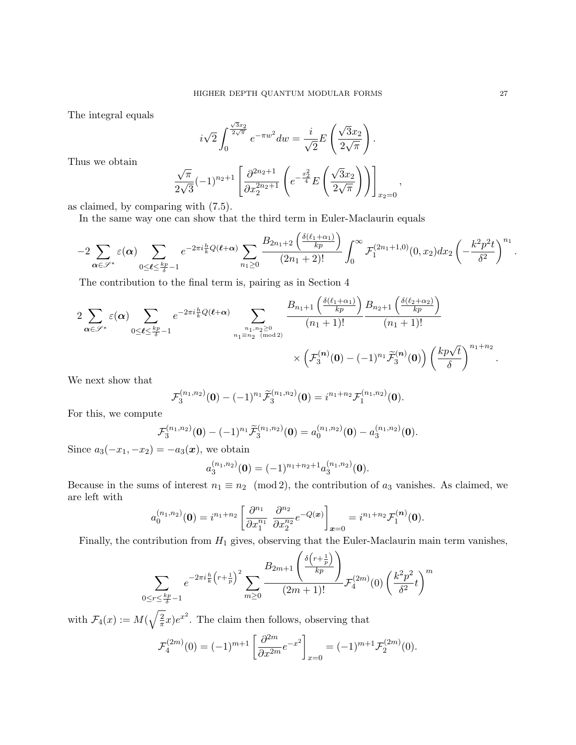The integral equals

$$
i\sqrt{2}\int_0^{\frac{\sqrt{3}x_2}{2\sqrt{\pi}}}e^{-\pi w^2}dw=\frac{i}{\sqrt{2}}E\left(\frac{\sqrt{3}x_2}{2\sqrt{\pi}}\right).
$$

Thus we obtain

$$
\frac{\sqrt{\pi}}{2\sqrt{3}}(-1)^{n_2+1}\left[\frac{\partial^{2n_2+1}}{\partial x_2^{2n_2+1}}\left(e^{-\frac{x_2^2}{4}}E\left(\frac{\sqrt{3}x_2}{2\sqrt{\pi}}\right)\right)\right]_{x_2=0},
$$

as claimed, by comparing with (7.5).

In the same way one can show that the third term in Euler-Maclaurin equals

$$
-2\sum_{{\boldsymbol{\alpha}}\in\mathscr{S}^*}\varepsilon({\boldsymbol{\alpha}})\sum_{0\leq \boldsymbol{\ell}\leq \frac{kp}{\delta}-1}e^{-2\pi i\frac{h}{k}Q(\boldsymbol{\ell}+{\boldsymbol{\alpha}})}\sum_{n_1\geq 0}\frac{B_{2n_1+2}\left(\frac{\delta(\ell_1+\alpha_1)}{kp}\right)}{(2n_1+2)!}\int_0^\infty\mathcal F_1^{(2n_1+1,0)}(0,x_2)dx_2\left(-\frac{k^2p^2t}{\delta^2}\right)^{n_1}.
$$

The contribution to the final term is, pairing as in Section 4

$$
2\sum_{\alpha\in\mathscr{S}^*}\varepsilon(\alpha)\sum_{0\leq\ell\leq\frac{kp}{\delta}-1}e^{-2\pi i\frac{h}{k}Q(\ell+\alpha)}\sum_{\substack{n_1,n_2\geq 0\\n_1\equiv n_2\pmod{2}}}\frac{B_{n_1+1}\left(\frac{\delta(\ell_1+\alpha_1)}{kp}\right)B_{n_2+1}\left(\frac{\delta(\ell_2+\alpha_2)}{kp}\right)}{(n_1+1)!}\times\left(\mathcal{F}_3^{(n)}(0)-(-1)^{n_1}\tilde{\mathcal{F}}_3^{(n)}(0)\right)\left(\frac{kp\sqrt{t}}{\delta}\right)^{n_1+n_2}.
$$

We next show that

$$
\mathcal{F}_3^{(n_1,n_2)}(\mathbf{0}) - (-1)^{n_1} \widetilde{\mathcal{F}}_3^{(n_1,n_2)}(\mathbf{0}) = i^{n_1+n_2} \mathcal{F}_1^{(n_1,n_2)}(\mathbf{0}).
$$

For this, we compute

$$
\mathcal{F}_3^{(n_1,n_2)}(\mathbf{0}) - (-1)^{n_1} \widetilde{\mathcal{F}}_3^{(n_1,n_2)}(\mathbf{0}) = a_0^{(n_1,n_2)}(\mathbf{0}) - a_3^{(n_1,n_2)}(\mathbf{0}).
$$

Since  $a_3(-x_1, -x_2) = -a_3(\boldsymbol{x})$ , we obtain

$$
a_3^{(n_1,n_2)}(\mathbf{0}) = (-1)^{n_1+n_2+1} a_3^{(n_1,n_2)}(\mathbf{0}).
$$

Because in the sums of interest  $n_1 \equiv n_2 \pmod{2}$ , the contribution of  $a_3$  vanishes. As claimed, we are left with

$$
a_0^{(n_1,n_2)}(\mathbf{0}) = i^{n_1+n_2} \left[ \frac{\partial^{n_1}}{\partial x_1^{n_1}} \frac{\partial^{n_2}}{\partial x_2^{n_2}} e^{-Q(\boldsymbol{x})} \right]_{\boldsymbol{x}=0} = i^{n_1+n_2} \mathcal{F}_1^{(\boldsymbol{n})}(\boldsymbol{0}).
$$

Finally, the contribution from  $H_1$  gives, observing that the Euler-Maclaurin main term vanishes,

$$
\sum_{0 \le r \le \frac{kp}{\delta}-1} e^{-2\pi i \frac{h}{k} \left(r+\frac{1}{p}\right)^2} \sum_{m \ge 0} \frac{B_{2m+1} \left(\frac{\delta\left(r+\frac{1}{p}\right)}{kp}\right)}{(2m+1)!} \mathcal{F}_4^{(2m)}(0) \left(\frac{k^2 p^2}{\delta^2} t\right)^m
$$

with  $\mathcal{F}_4(x) := M(\sqrt{\frac{2}{\pi}})$  $\frac{2}{\pi}x)e^{x^2}$ . The claim then follows, observing that

$$
\mathcal{F}_4^{(2m)}(0) = (-1)^{m+1} \left[ \frac{\partial^{2m}}{\partial x^{2m}} e^{-x^2} \right]_{x=0} = (-1)^{m+1} \mathcal{F}_2^{(2m)}(0).
$$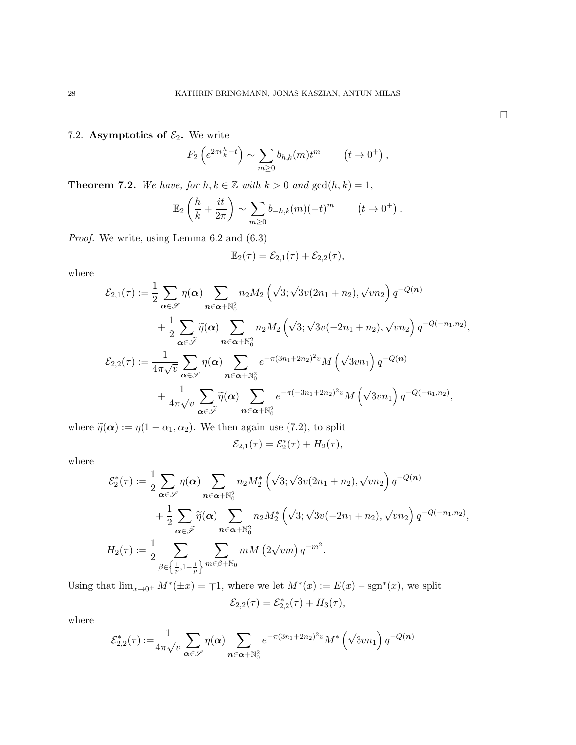7.2. Asymptotics of  $\mathcal{E}_2$ . We write

$$
F_2\left(e^{2\pi i \frac{h}{k}-t}\right) \sim \sum_{m\geq 0} b_{h,k}(m)t^m \qquad \left(t\to 0^+\right),\,
$$

**Theorem 7.2.** We have, for  $h, k \in \mathbb{Z}$  with  $k > 0$  and  $gcd(h, k) = 1$ ,

$$
\mathbb{E}_2\left(\frac{h}{k} + \frac{it}{2\pi}\right) \sim \sum_{m\geq 0} b_{-h,k}(m)(-t)^m \qquad (t \to 0^+).
$$

Proof. We write, using Lemma 6.2 and (6.3)

$$
\mathbb{E}_2(\tau)=\mathcal{E}_{2,1}(\tau)+\mathcal{E}_{2,2}(\tau),
$$

where

$$
\mathcal{E}_{2,1}(\tau) := \frac{1}{2} \sum_{\alpha \in \mathscr{S}} \eta(\alpha) \sum_{n \in \alpha + \mathbb{N}_0^2} n_2 M_2 \left(\sqrt{3}; \sqrt{3v}(2n_1 + n_2), \sqrt{v}n_2\right) q^{-Q(n)} \n+ \frac{1}{2} \sum_{\alpha \in \tilde{\mathscr{S}}} \tilde{\eta}(\alpha) \sum_{n \in \alpha + \mathbb{N}_0^2} n_2 M_2 \left(\sqrt{3}; \sqrt{3v}(-2n_1 + n_2), \sqrt{v}n_2\right) q^{-Q(-n_1, n_2)}, \n\mathcal{E}_{2,2}(\tau) := \frac{1}{4\pi \sqrt{v}} \sum_{\alpha \in \mathscr{S}} \eta(\alpha) \sum_{n \in \alpha + \mathbb{N}_0^2} e^{-\pi (3n_1 + 2n_2)^2 v} M\left(\sqrt{3v}n_1\right) q^{-Q(n)} \n+ \frac{1}{4\pi \sqrt{v}} \sum_{\alpha \in \tilde{\mathscr{S}}} \tilde{\eta}(\alpha) \sum_{n \in \alpha + \mathbb{N}_0^2} e^{-\pi (-3n_1 + 2n_2)^2 v} M\left(\sqrt{3v}n_1\right) q^{-Q(-n_1, n_2)},
$$

where  $\tilde{\eta}(\alpha) := \eta(1 - \alpha_1, \alpha_2)$ . We then again use (7.2), to split

$$
\mathcal{E}_{2,1}(\tau) = \mathcal{E}_2^*(\tau) + H_2(\tau),
$$

where

$$
\mathcal{E}_2^*(\tau) := \frac{1}{2} \sum_{\alpha \in \mathscr{S}} \eta(\alpha) \sum_{n \in \alpha + \mathbb{N}_0^2} n_2 M_2^* \left(\sqrt{3}; \sqrt{3v}(2n_1 + n_2), \sqrt{v}n_2\right) q^{-Q(n)} \n+ \frac{1}{2} \sum_{\alpha \in \widetilde{\mathscr{S}}} \widetilde{\eta}(\alpha) \sum_{n \in \alpha + \mathbb{N}_0^2} n_2 M_2^* \left(\sqrt{3}; \sqrt{3v}(-2n_1 + n_2), \sqrt{v}n_2\right) q^{-Q(-n_1, n_2)}, \nH_2(\tau) := \frac{1}{2} \sum_{\beta \in \left\{\frac{1}{p}, 1 - \frac{1}{p}\right\}} \sum_{m \in \beta + \mathbb{N}_0} m M\left(2\sqrt{v}m\right) q^{-m^2}.
$$

Using that  $\lim_{x\to 0^+} M^*(\pm x) = \mp 1$ , where we let  $M^*(x) := E(x) - sgn^*(x)$ , we split  $\mathcal{E}_{2,2}(\tau) = \mathcal{E}_{2,2}^*(\tau) + H_3(\tau),$ 

where

$$
\mathcal{E}_{2,2}^*(\tau) := \frac{1}{4\pi\sqrt{v}} \sum_{\alpha \in \mathscr{S}} \eta(\alpha) \sum_{n \in \alpha + \mathbb{N}_0^2} e^{-\pi(3n_1 + 2n_2)^2 v} M^* \left(\sqrt{3v}n_1\right) q^{-Q(n)}
$$

 $\Box$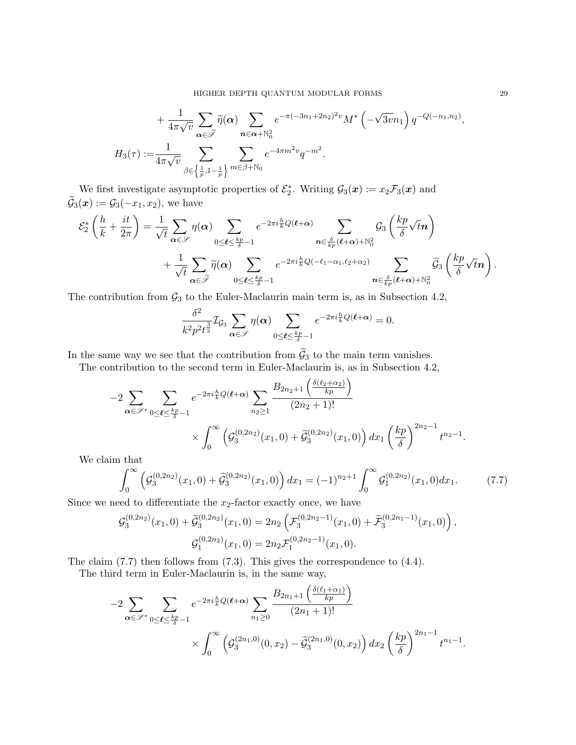$$
+\frac{1}{4\pi\sqrt{v}}\sum_{\alpha\in\widetilde{\mathscr{I}}}\widetilde{\eta}(\alpha)\sum_{n\in\alpha+\mathbb{N}_0^2}e^{-\pi(-3n_1+2n_2)^2v}M^*\left(-\sqrt{3v}n_1\right)q^{-Q(-n_1,n_2)},
$$
  

$$
H_3(\tau):=\frac{1}{4\pi\sqrt{v}}\sum_{\beta\in\left\{\frac{1}{p},1-\frac{1}{p}\right\}}\sum_{m\in\beta+\mathbb{N}_0}e^{-4\pi m^2v}q^{-m^2}.
$$

We first investigate asymptotic properties of  $\mathcal{E}_2^*$ . Writing  $\mathcal{G}_3(\boldsymbol{x}) := x_2 \mathcal{F}_3(\boldsymbol{x})$  and  $\widetilde{\mathcal{G}}_3(\boldsymbol{x}):=\mathcal{G}_3(-x_1,x_2),$  we have

$$
\mathcal{E}_{2}^{*}\left(\frac{h}{k} + \frac{it}{2\pi}\right) = \frac{1}{\sqrt{t}} \sum_{\alpha \in \mathscr{S}} \eta(\alpha) \sum_{0 \leq \ell \leq \frac{kp}{\delta} - 1} e^{-2\pi i \frac{h}{k}Q(\ell + \alpha)} \sum_{\mathbf{n} \in \frac{\delta}{kp}(\ell + \alpha) + \mathbb{N}_{0}^{2}} \mathcal{G}_{3}\left(\frac{kp}{\delta}\sqrt{t}\mathbf{n}\right) + \frac{1}{\sqrt{t}} \sum_{\alpha \in \tilde{\mathscr{S}}} \tilde{\eta}(\alpha) \sum_{0 \leq \ell \leq \frac{kp}{\delta} - 1} e^{-2\pi i \frac{h}{k}Q(-\ell_{1} - \alpha_{1}, \ell_{2} + \alpha_{2})} \sum_{\mathbf{n} \in \frac{\delta}{kp}(\ell + \alpha) + \mathbb{N}_{0}^{2}} \tilde{\mathcal{G}}_{3}\left(\frac{kp}{\delta}\sqrt{t}\mathbf{n}\right).
$$

The contribution from  $\mathcal{G}_3$  to the Euler-Maclaurin main term is, as in Subsection 4.2,

$$
\frac{\delta^2}{k^2 p^2 t^{\frac{3}{2}}}\mathcal{I}_{\mathcal{G}_3}\sum_{\pmb{\alpha}\in\mathscr{S}}\eta(\pmb{\alpha})\sum_{0\leq \pmb{\ell}\leq \frac{kp}{\delta}-1}e^{-2\pi i\frac{h}{k}Q(\pmb{\ell}+\pmb{\alpha})}=0.
$$

In the same way we see that the contribution from  $\widetilde{G}_3$  to the main term vanishes.

The contribution to the second term in Euler-Maclaurin is, as in Subsection 4.2,

$$
-2\sum_{\alpha \in \mathscr{S}^*} \sum_{0 \leq \ell \leq \frac{kp}{\delta}-1} e^{-2\pi i \frac{h}{k} Q(\ell+\alpha)} \sum_{n_2 \geq 1} \frac{B_{2n_2+1} \left( \frac{\delta(\ell_2+\alpha_2)}{kp} \right)}{(2n_2+1)!} \times \int_0^\infty \left( \mathcal{G}_3^{(0,2n_2)}(x_1,0) + \widetilde{\mathcal{G}}_3^{(0,2n_2)}(x_1,0) \right) dx_1 \left( \frac{kp}{\delta} \right)^{2n_2-1} t^{n_2-1}.
$$

We claim that

$$
\int_0^\infty \left( \mathcal{G}_3^{(0,2n_2)}(x_1,0) + \widetilde{\mathcal{G}}_3^{(0,2n_2)}(x_1,0) \right) dx_1 = (-1)^{n_2+1} \int_0^\infty \mathcal{G}_1^{(0,2n_2)}(x_1,0) dx_1. \tag{7.7}
$$

Since we need to differentiate the  $x_2$ -factor exactly once, we have

$$
\mathcal{G}_3^{(0,2n_2)}(x_1,0) + \widetilde{\mathcal{G}}_3^{(0,2n_2)}(x_1,0) = 2n_2 \left( \mathcal{F}_3^{(0,2n_2-1)}(x_1,0) + \widetilde{\mathcal{F}}_3^{(0,2n_1-1)}(x_1,0) \right),
$$
  

$$
\mathcal{G}_1^{(0,2n_2)}(x_1,0) = 2n_2 \mathcal{F}_1^{(0,2n_2-1)}(x_1,0).
$$

The claim (7.7) then follows from (7.3). This gives the correspondence to (4.4).

The third term in Euler-Maclaurin is, in the same way,

$$
-2\sum_{\alpha \in \mathscr{S}^*} \sum_{0 \leq \ell \leq \frac{kp}{\delta}-1} e^{-2\pi i \frac{h}{k} Q(\ell+\alpha)} \sum_{n_1 \geq 0} \frac{B_{2n_1+1}\left(\frac{\delta(\ell_1+\alpha_1)}{kp}\right)}{(2n_1+1)!} \times \int_0^\infty \left( \mathcal{G}_3^{(2n_1,0)}(0,x_2) - \tilde{\mathcal{G}}_3^{(2n_1,0)}(0,x_2) \right) dx_2 \left( \frac{kp}{\delta} \right)^{2n_1-1} t^{n_1-1}.
$$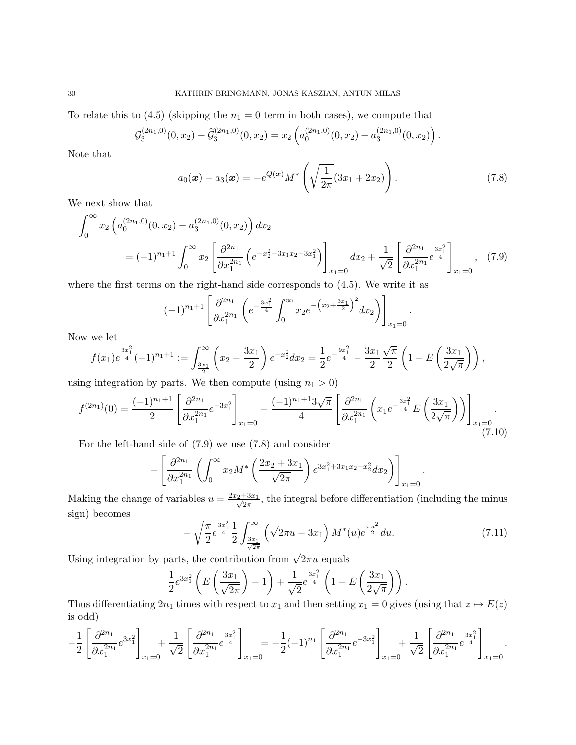To relate this to (4.5) (skipping the  $n_1 = 0$  term in both cases), we compute that

$$
\mathcal{G}_3^{(2n_1,0)}(0,x_2)-\widetilde{\mathcal{G}}_3^{(2n_1,0)}(0,x_2)=x_2\left(a_0^{(2n_1,0)}(0,x_2)-a_3^{(2n_1,0)}(0,x_2)\right).
$$

Note that

$$
a_0(\boldsymbol{x}) - a_3(\boldsymbol{x}) = -e^{Q(\boldsymbol{x})} M^* \left( \sqrt{\frac{1}{2\pi}} (3x_1 + 2x_2) \right).
$$
 (7.8)

.

We next show that

$$
\int_0^\infty x_2 \left( a_0^{(2n_1,0)}(0,x_2) - a_3^{(2n_1,0)}(0,x_2) \right) dx_2
$$
  
=  $(-1)^{n_1+1} \int_0^\infty x_2 \left[ \frac{\partial^{2n_1}}{\partial x_1^{2n_1}} \left( e^{-x_2^2 - 3x_1x_2 - 3x_1^2} \right) \right]_{x_1=0} dx_2 + \frac{1}{\sqrt{2}} \left[ \frac{\partial^{2n_1}}{\partial x_1^{2n_1}} e^{\frac{3x_1^2}{4}} \right]_{x_1=0},$  (7.9)

where the first terms on the right-hand side corresponds to (4.5). We write it as

$$
(-1)^{n_1+1} \left[ \frac{\partial^{2n_1}}{\partial x_1^{2n_1}} \left( e^{-\frac{3x_1^2}{4}} \int_0^\infty x_2 e^{-\left(x_2 + \frac{3x_1}{2}\right)^2} dx_2 \right) \right]_{x_1=0}
$$

Now we let

$$
f(x_1)e^{\frac{3x_1^2}{4}}(-1)^{n_1+1} := \int_{\frac{3x_1}{2}}^{\infty} \left(x_2 - \frac{3x_1}{2}\right)e^{-x_2^2}dx_2 = \frac{1}{2}e^{-\frac{9x_1^2}{4}} - \frac{3x_1}{2}\frac{\sqrt{\pi}}{2}\left(1 - E\left(\frac{3x_1}{2\sqrt{\pi}}\right)\right),
$$

using integration by parts. We then compute (using  $n_1 > 0$ )

$$
f^{(2n_1)}(0) = \frac{(-1)^{n_1+1}}{2} \left[ \frac{\partial^{2n_1}}{\partial x_1^{2n_1}} e^{-3x_1^2} \right]_{x_1=0} + \frac{(-1)^{n_1+1} 3\sqrt{\pi}}{4} \left[ \frac{\partial^{2n_1}}{\partial x_1^{2n_1}} \left( x_1 e^{-\frac{3x_1^2}{4}} E\left(\frac{3x_1}{2\sqrt{\pi}}\right) \right) \right]_{x_1=0}.
$$
\n(7.10)

For the left-hand side of (7.9) we use (7.8) and consider

$$
-\left[\frac{\partial^{2n_1}}{\partial x_1^{2n_1}}\left(\int_0^\infty x_2 M^*\left(\frac{2x_2+3x_1}{\sqrt{2\pi}}\right)e^{3x_1^2+3x_1x_2+x_2^2}dx_2\right)\right]_{x_1=0}.
$$

Making the change of variables  $u = \frac{2x_2 + 3x_1}{\sqrt{2\pi}}$ , the integral before differentiation (including the minus sign) becomes

$$
-\sqrt{\frac{\pi}{2}}e^{\frac{3x_1^2}{4}}\frac{1}{2}\int_{\frac{3x_1}{\sqrt{2\pi}}}^{\infty}\left(\sqrt{2\pi}u-3x_1\right)M^*(u)e^{\frac{\pi u^2}{2}}du.
$$
\n(7.11)

Using integration by parts, the contribution from  $\sqrt{2\pi}u$  equals

$$
\frac{1}{2}e^{3x_1^2}\left(E\left(\frac{3x_1}{\sqrt{2\pi}}\right)-1\right)+\frac{1}{\sqrt{2}}e^{\frac{3x_1^2}{4}}\left(1-E\left(\frac{3x_1}{2\sqrt{\pi}}\right)\right).
$$

Thus differentiating  $2n_1$  times with respect to  $x_1$  and then setting  $x_1 = 0$  gives (using that  $z \mapsto E(z)$ ) is odd)

$$
-\frac{1}{2}\left[\frac{\partial^{2n_1}}{\partial x_1^{2n_1}}e^{3x_1^2}\right]_{x_1=0} + \frac{1}{\sqrt{2}}\left[\frac{\partial^{2n_1}}{\partial x_1^{2n_1}}e^{\frac{3x_1^2}{4}}\right]_{x_1=0} = -\frac{1}{2}(-1)^{n_1}\left[\frac{\partial^{2n_1}}{\partial x_1^{2n_1}}e^{-3x_1^2}\right]_{x_1=0} + \frac{1}{\sqrt{2}}\left[\frac{\partial^{2n_1}}{\partial x_1^{2n_1}}e^{\frac{3x_1^2}{4}}\right]_{x_1=0}.
$$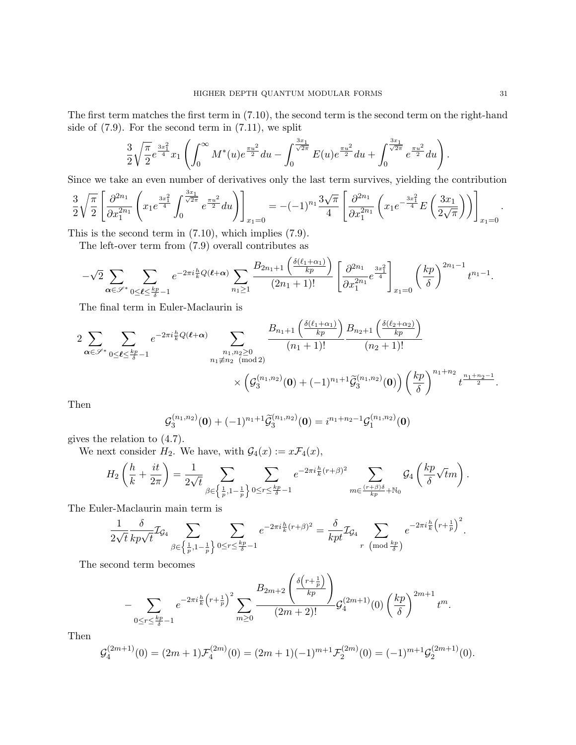The first term matches the first term in (7.10), the second term is the second term on the right-hand side of (7.9). For the second term in (7.11), we split

$$
\frac{3}{2}\sqrt{\frac{\pi}{2}}e^{\frac{3x_1^2}{4}}x_1\left(\int_0^\infty M^*(u)e^{\frac{\pi u^2}{2}}du - \int_0^{\frac{3x_1}{\sqrt{2\pi}}}E(u)e^{\frac{\pi u^2}{2}}du + \int_0^{\frac{3x_1}{\sqrt{2\pi}}}e^{\frac{\pi u^2}{2}}du\right).
$$

Since we take an even number of derivatives only the last term survives, yielding the contribution

$$
\frac{3}{2}\sqrt{\frac{\pi}{2}}\left[\frac{\partial^{2n_1}}{\partial x_1^{2n_1}}\left(x_1e^{\frac{3x_1^2}{4}}\int_0^{\frac{3x_1}{\sqrt{2\pi}}}e^{\frac{\pi u^2}{2}}du\right)\right]_{x_1=0} = -(-1)^{n_1}\frac{3\sqrt{\pi}}{4}\left[\frac{\partial^{2n_1}}{\partial x_1^{2n_1}}\left(x_1e^{-\frac{3x_1^2}{4}}E\left(\frac{3x_1}{2\sqrt{\pi}}\right)\right)\right]_{x_1=0}.
$$

This is the second term in (7.10), which implies (7.9).

The left-over term from (7.9) overall contributes as

$$
-\sqrt{2}\sum_{\alpha\in\mathscr{S}^*}\sum_{0\leq\ell\leq\frac{kp}{\delta}-1}e^{-2\pi i\frac{h}{k}Q(\ell+\alpha)}\sum_{n_1\geq 1}\frac{B_{2n_1+1}\left(\frac{\delta(\ell_1+\alpha_1)}{kp}\right)}{(2n_1+1)!}\left[\frac{\partial^{2n_1}}{\partial x_1^{2n_1}}e^{\frac{3x_1^2}{4}}\right]_{x_1=0}\left(\frac{kp}{\delta}\right)^{2n_1-1}t^{n_1-1}.
$$

The final term in Euler-Maclaurin is

$$
2\sum_{\alpha \in \mathscr{S}^*} \sum_{0 \leq \ell \leq \frac{kp}{\delta}-1} e^{-2\pi i \frac{h}{k} Q(\ell+\alpha)} \sum_{\substack{n_1, n_2 \geq 0 \\ n_1 \neq n_2 \pmod{2}}} \frac{B_{n_1+1}\left(\frac{\delta(\ell_1+\alpha_1)}{kp}\right)}{(n_1+1)!} \frac{B_{n_2+1}\left(\frac{\delta(\ell_2+\alpha_2)}{kp}\right)}{(n_2+1)!} \times \left(g_3^{(n_1,n_2)}(0) + (-1)^{n_1+1} \widetilde{g}_3^{(n_1,n_2)}(0)\right) \left(\frac{kp}{\delta}\right)^{n_1+n_2} t^{\frac{n_1+n_2-1}{2}}.
$$

Then

$$
\mathcal{G}_3^{(n_1,n_2)}(\mathbf{0}) + (-1)^{n_1+1} \widetilde{\mathcal{G}}_3^{(n_1,n_2)}(\mathbf{0}) = i^{n_1+n_2-1} \mathcal{G}_1^{(n_1,n_2)}(\mathbf{0})
$$

gives the relation to (4.7).

We next consider  $H_2$ . We have, with  $\mathcal{G}_4(x) := x \mathcal{F}_4(x)$ ,

$$
H_2\left(\frac{h}{k}+\frac{it}{2\pi}\right)=\frac{1}{2\sqrt{t}}\sum_{\beta\in\left\{\frac{1}{p},1-\frac{1}{p}\right\}}\sum_{0\leq r\leq\frac{kp}{\delta}-1}e^{-2\pi i\frac{h}{k}(r+\beta)^2}\sum_{m\in\frac{(r+\beta)\delta}{kp}+{\mathbb N}_0}\mathcal G_4\left(\frac{kp}{\delta}\sqrt{t}m\right).
$$

The Euler-Maclaurin main term is

$$
\frac{1}{2\sqrt{t}}\frac{\delta}{kp\sqrt{t}}\mathcal{I}_{\mathcal{G}_4}\sum_{\beta\in\left\{\frac{1}{p},1-\frac{1}{p}\right\}}\sum_{0\leq r\leq\frac{kp}{\delta}-1}e^{-2\pi i\frac{h}{k}(r+\beta)^2}=\frac{\delta}{kpt}\mathcal{I}_{\mathcal{G}_4}\sum_{r\pmod{\frac{kp}{\delta}}}\left(e^{-2\pi i\frac{h}{k}\left(r+\frac{1}{p}\right)^2}\right).
$$

The second term becomes

$$
-\sum_{0\leq r\leq \frac{kp}{\delta}-1}e^{-2\pi i\frac{h}{k}\left(r+\frac{1}{p}\right)^2}\sum_{m\geq 0}\frac{B_{2m+2}\left(\frac{\delta\left(r+\frac{1}{p}\right)}{kp}\right)}{(2m+2)!}\mathcal{G}_4^{(2m+1)}(0)\left(\frac{kp}{\delta}\right)^{2m+1}t^m.
$$

Then

$$
\mathcal{G}_4^{(2m+1)}(0) = (2m+1)\mathcal{F}_4^{(2m)}(0) = (2m+1)(-1)^{m+1}\mathcal{F}_2^{(2m)}(0) = (-1)^{m+1}\mathcal{G}_2^{(2m+1)}(0).
$$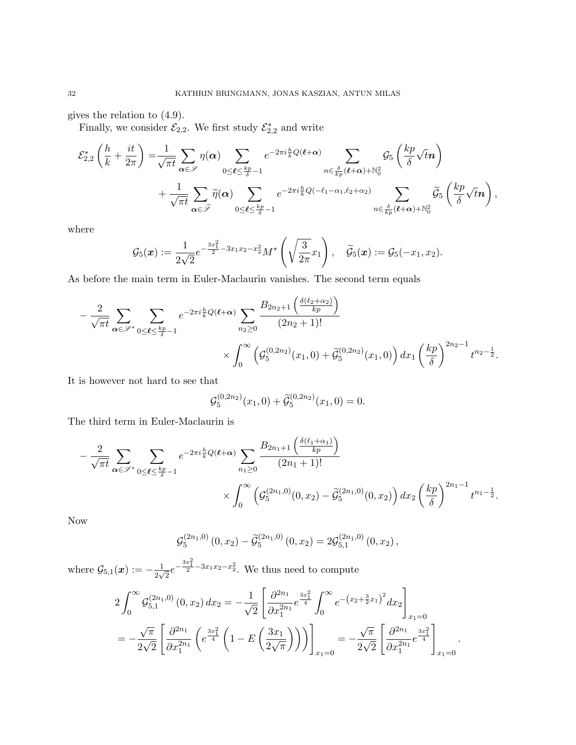gives the relation to (4.9).

Finally, we consider  $\mathcal{E}_{2,2}$ . We first study  $\mathcal{E}_{2,2}^*$  and write

$$
\mathcal{E}_{2,2}^{*}\left(\frac{h}{k} + \frac{it}{2\pi}\right) = \frac{1}{\sqrt{\pi t}} \sum_{\alpha \in \mathscr{S}} \eta(\alpha) \sum_{0 \leq \ell \leq \frac{kp}{\delta} - 1} e^{-2\pi i \frac{h}{k}Q(\ell + \alpha)} \sum_{n \in \frac{\delta}{kp}(\ell + \alpha) + \mathbb{N}_0^2} \mathcal{G}_5\left(\frac{kp}{\delta}\sqrt{t}n\right) + \frac{1}{\sqrt{\pi t}} \sum_{\alpha \in \tilde{\mathscr{S}}} \tilde{\eta}(\alpha) \sum_{0 \leq \ell \leq \frac{kp}{\delta} - 1} e^{-2\pi i \frac{h}{k}Q(-\ell_1 - \alpha_1, \ell_2 + \alpha_2)} \sum_{n \in \frac{\delta}{kp}(\ell + \alpha) + \mathbb{N}_0^2} \tilde{\mathcal{G}}_5\left(\frac{kp}{\delta}\sqrt{t}n\right),
$$

where

$$
\mathcal{G}_5(\boldsymbol{x}):=\frac{1}{2\sqrt{2}}e^{-\frac{3x_1^2}{2}-3x_1x_2-x_2^2}M^*\left(\sqrt{\frac{3}{2\pi}}x_1\right),\quad \widetilde{\mathcal{G}}_5(\boldsymbol{x}):=\mathcal{G}_5(-x_1,x_2).
$$

As before the main term in Euler-Maclaurin vanishes. The second term equals

$$
-\frac{2}{\sqrt{\pi t}} \sum_{\alpha \in \mathscr{S}^*} \sum_{0 \leq \ell \leq \frac{kp}{\delta}-1} e^{-2\pi i \frac{h}{k} Q(\ell+\alpha)} \sum_{n_2 \geq 0} \frac{B_{2n_2+1} \left(\frac{\delta(\ell_2+\alpha_2)}{kp}\right)}{(2n_2+1)!} \times \int_0^\infty \left(\mathcal{G}_5^{(0,2n_2)}(x_1,0) + \widetilde{\mathcal{G}}_5^{(0,2n_2)}(x_1,0)\right) dx_1 \left(\frac{kp}{\delta}\right)^{2n_2-1} t^{n_2-\frac{1}{2}}.
$$

It is however not hard to see that

$$
\mathcal{G}_5^{(0,2n_2)}(x_1,0) + \widetilde{\mathcal{G}}_5^{(0,2n_2)}(x_1,0) = 0.
$$

The third term in Euler-Maclaurin is

$$
-\frac{2}{\sqrt{\pi t}} \sum_{\alpha \in \mathscr{S}^*} \sum_{0 \leq \ell \leq \frac{kp}{\delta}-1} e^{-2\pi i \frac{h}{k} Q(\ell+\alpha)} \sum_{n_1 \geq 0} \frac{B_{2n_1+1} \left(\frac{\delta(\ell_1+\alpha_1)}{kp}\right)}{(2n_1+1)!} \times \int_0^\infty \left(\mathcal{G}_5^{(2n_1,0)}(0,x_2) - \widetilde{\mathcal{G}}_5^{(2n_1,0)}(0,x_2)\right) dx_2 \left(\frac{kp}{\delta}\right)^{2n_1-1} t^{n_1-\frac{1}{2}}.
$$

Now

$$
\mathcal{G}_{5}^{(2n_1,0)}(0,x_2)-\widetilde{\mathcal{G}}_{5}^{(2n_1,0)}(0,x_2)=2\mathcal{G}_{5,1}^{(2n_1,0)}(0,x_2),
$$

where  $\mathcal{G}_{5,1}(x) := -\frac{1}{2\sqrt{3}}$  $\frac{1}{2\sqrt{2}}e^{-\frac{3x_1^2}{2}-3x_1x_2-x_2^2}$ . We thus need to compute

$$
2\int_0^\infty \mathcal{G}_{5,1}^{(2n_1,0)}(0,x_2) dx_2 = -\frac{1}{\sqrt{2}} \left[ \frac{\partial^{2n_1}}{\partial x_1^{2n_1}} e^{\frac{3x_1^2}{4}} \int_0^\infty e^{-\left(x_2 + \frac{3}{2}x_1\right)^2} dx_2 \right]_{x_1=0}
$$
  
=  $-\frac{\sqrt{\pi}}{2\sqrt{2}} \left[ \frac{\partial^{2n_1}}{\partial x_1^{2n_1}} \left( e^{\frac{3x_1^2}{4}} \left( 1 - E\left(\frac{3x_1}{2\sqrt{\pi}}\right) \right) \right) \right]_{x_1=0} = -\frac{\sqrt{\pi}}{2\sqrt{2}} \left[ \frac{\partial^{2n_1}}{\partial x_1^{2n_1}} e^{\frac{3x_1^2}{4}} \right]_{x_1=0}.$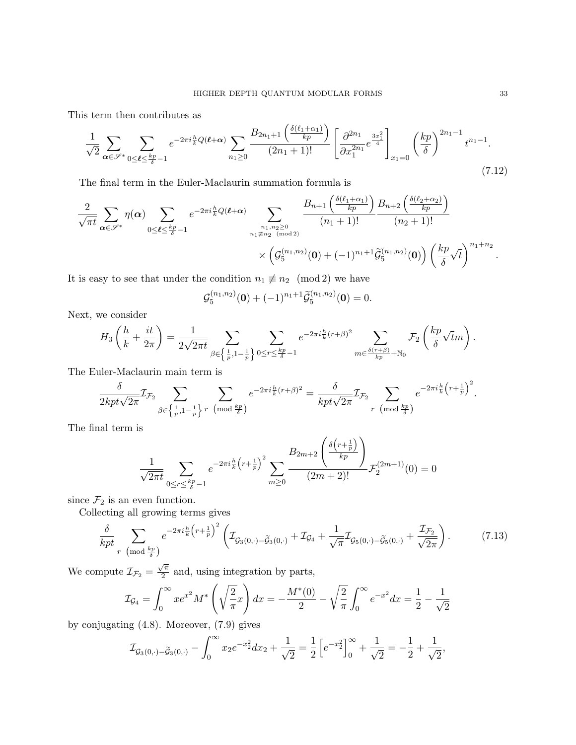This term then contributes as

$$
\frac{1}{\sqrt{2}} \sum_{\alpha \in \mathscr{S}^*} \sum_{0 \le \ell \le \frac{kp}{\delta} - 1} e^{-2\pi i \frac{h}{k} Q(\ell + \alpha)} \sum_{n_1 \ge 0} \frac{B_{2n_1 + 1} \left( \frac{\delta(\ell_1 + \alpha_1)}{kp} \right)}{(2n_1 + 1)!} \left[ \frac{\partial^{2n_1}}{\partial x_1^{2n_1}} e^{\frac{3x_1^2}{4}} \right]_{x_1 = 0} \left( \frac{kp}{\delta} \right)^{2n_1 - 1} t^{n_1 - 1}.
$$
\n(7.12)

The final term in the Euler-Maclaurin summation formula is

$$
\frac{2}{\sqrt{\pi t}}\sum_{\alpha\in\mathscr{S}^*}\eta(\alpha)\sum_{0\leq\ell\leq\frac{kp}{\delta}-1}e^{-2\pi i\frac{h}{k}Q(\ell+\alpha)}\sum_{\substack{n_1,n_2\geq 0\\n_1\neq n_2\pmod{2}}}\frac{B_{n+1}\left(\frac{\delta(\ell_1+\alpha_1)}{kp}\right)B_{n+2}\left(\frac{\delta(\ell_2+\alpha_2)}{kp}\right)}{(n_1+1)!}\times\left(g_{5}^{(n_1,n_2)}(0)+(-1)^{n_1+1}\widetilde{g}_{5}^{(n_1,n_2)}(0)\right)\left(\frac{kp}{\delta}\sqrt{t}\right)^{n_1+n_2}.
$$

It is easy to see that under the condition  $n_1 \not\equiv n_2 \pmod{2}$  we have

$$
\mathcal{G}_5^{(n_1,n_2)}(\mathbf{0}) + (-1)^{n_1+1} \widetilde{\mathcal{G}}_5^{(n_1,n_2)}(\mathbf{0}) = 0.
$$

Next, we consider

$$
H_3\left(\frac{h}{k} + \frac{it}{2\pi}\right) = \frac{1}{2\sqrt{2\pi t}} \sum_{\beta \in \left\{\frac{1}{p}, 1 - \frac{1}{p}\right\}} \sum_{0 \le r \le \frac{kp}{\delta} - 1} e^{-2\pi i \frac{h}{k}(r+\beta)^2} \sum_{m \in \frac{\delta(r+\beta)}{kp} + \mathbb{N}_0} \mathcal{F}_2\left(\frac{kp}{\delta}\sqrt{t}m\right).
$$

The Euler-Maclaurin main term is

$$
\frac{\delta}{2kpt\sqrt{2\pi}}\mathcal{I}_{\mathcal{F}_2}\sum_{\beta\in\left\{\frac{1}{p},1-\frac{1}{p}\right\}^r}\sum_{\left(\bmod{\frac{kp}{\delta}}\right)}e^{-2\pi i\frac{h}{k}(r+\beta)^2}=\frac{\delta}{kpt\sqrt{2\pi}}\mathcal{I}_{\mathcal{F}_2}\sum_{\substack{r\pmod{\frac{kp}{\delta}}\\r\pmod{\frac{kp}{\delta}}}}e^{-2\pi i\frac{h}{k}\left(r+\frac{1}{p}\right)^2}.
$$

The final term is

$$
\frac{1}{\sqrt{2\pi t}}\sum_{0\leq r\leq \frac{kp}{\delta}-1}e^{-2\pi i\frac{h}{k}\left(r+\frac{1}{p}\right)^2}\sum_{m\geq 0}\frac{B_{2m+2}\left(\frac{\delta\left(r+\frac{1}{p}\right)}{kp}\right)}{(2m+2)!}\mathcal{F}_2^{(2m+1)}(0)=0
$$

since  $\mathcal{F}_2$  is an even function.

Collecting all growing terms gives

$$
\frac{\delta}{kpt} \sum_{r \pmod{\frac{kp}{\delta}}} e^{-2\pi i \frac{h}{k} \left(r + \frac{1}{p}\right)^2} \left(\mathcal{I}_{\mathcal{G}_3(0,\cdot) - \widetilde{\mathcal{G}}_3(0,\cdot)} + \mathcal{I}_{\mathcal{G}_4} + \frac{1}{\sqrt{\pi}} \mathcal{I}_{\mathcal{G}_5(0,\cdot) - \widetilde{\mathcal{G}}_5(0,\cdot)} + \frac{\mathcal{I}_{\mathcal{F}_2}}{\sqrt{2\pi}}\right).
$$
(7.13)

We compute  $\mathcal{I}_{\mathcal{F}_2} =$  $\sqrt{\pi}$  $\frac{\sqrt{\pi}}{2}$  and, using integration by parts,

$$
\mathcal{I}_{\mathcal{G}_4} = \int_0^\infty x e^{x^2} M^* \left( \sqrt{\frac{2}{\pi}} x \right) dx = -\frac{M^*(0)}{2} - \sqrt{\frac{2}{\pi}} \int_0^\infty e^{-x^2} dx = \frac{1}{2} - \frac{1}{\sqrt{2}}
$$

by conjugating (4.8). Moreover, (7.9) gives

$$
\mathcal{I}_{\mathcal{G}_3(0,\cdot)-\widetilde{\mathcal{G}}_3(0,\cdot)}-\int_0^\infty x_2 e^{-x_2^2}dx_2+\frac{1}{\sqrt{2}}=\frac{1}{2}\left[e^{-x_2^2}\right]_0^\infty+\frac{1}{\sqrt{2}}=-\frac{1}{2}+\frac{1}{\sqrt{2}},
$$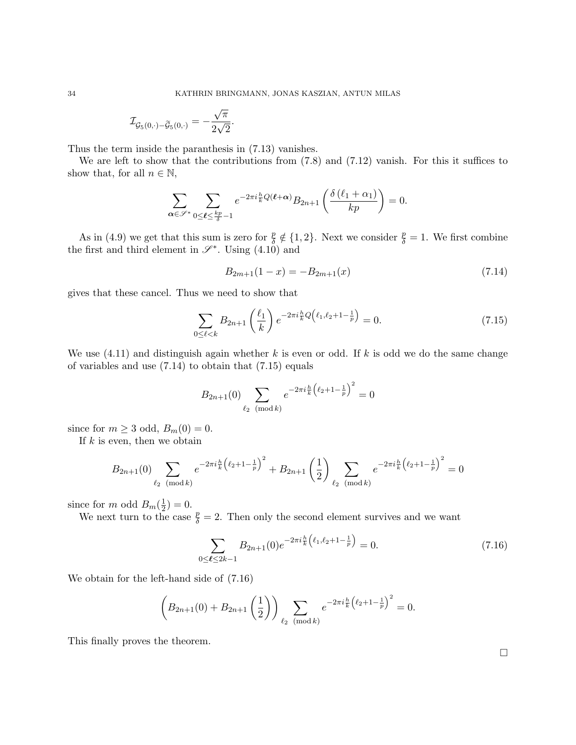$$
\mathcal{I}_{\mathcal{G}_5(0,\cdot)-\widetilde{\mathcal{G}}_5(0,\cdot)}=-\frac{\sqrt{\pi}}{2\sqrt{2}}.
$$

Thus the term inside the paranthesis in (7.13) vanishes.

We are left to show that the contributions from (7.8) and (7.12) vanish. For this it suffices to show that, for all  $n \in \mathbb{N}$ ,

$$
\sum_{\alpha \in \mathscr{S}^*} \sum_{0 \le \ell \le \frac{kp}{\delta} - 1} e^{-2\pi i \frac{h}{k} Q(\ell + \alpha)} B_{2n+1} \left( \frac{\delta(\ell_1 + \alpha_1)}{kp} \right) = 0.
$$

As in (4.9) we get that this sum is zero for  $\frac{p}{\delta} \notin \{1,2\}$ . Next we consider  $\frac{p}{\delta} = 1$ . We first combine the first and third element in  $\mathscr{S}^*$ . Using (4.10) and

$$
B_{2m+1}(1-x) = -B_{2m+1}(x) \tag{7.14}
$$

gives that these cancel. Thus we need to show that

$$
\sum_{0 \le \ell < k} B_{2n+1} \left( \frac{\ell_1}{k} \right) e^{-2\pi i \frac{h}{k} Q \left( \ell_1, \ell_2 + 1 - \frac{1}{p} \right)} = 0. \tag{7.15}
$$

We use  $(4.11)$  and distinguish again whether k is even or odd. If k is odd we do the same change of variables and use  $(7.14)$  to obtain that  $(7.15)$  equals

$$
B_{2n+1}(0) \sum_{\ell_2 \pmod{k}} e^{-2\pi i \frac{h}{k} (\ell_2 + 1 - \frac{1}{p})^2} = 0
$$

since for  $m \geq 3$  odd,  $B_m(0) = 0$ .

If  $k$  is even, then we obtain

$$
B_{2n+1}(0) \sum_{\ell_2 \pmod{k}} e^{-2\pi i \frac{h}{k} \left(\ell_2 + 1 - \frac{1}{p}\right)^2} + B_{2n+1} \left(\frac{1}{2}\right) \sum_{\ell_2 \pmod{k}} e^{-2\pi i \frac{h}{k} \left(\ell_2 + 1 - \frac{1}{p}\right)^2} = 0
$$

since for m odd  $B_m(\frac{1}{2})$  $(\frac{1}{2}) = 0.$ 

We next turn to the case  $\frac{p}{\delta} = 2$ . Then only the second element survives and we want

$$
\sum_{0 \le \ell \le 2k-1} B_{2n+1}(0) e^{-2\pi i \frac{h}{k} \left(\ell_1, \ell_2 + 1 - \frac{1}{p}\right)} = 0. \tag{7.16}
$$

We obtain for the left-hand side of (7.16)

$$
\left(B_{2n+1}(0) + B_{2n+1}\left(\frac{1}{2}\right)\right) \sum_{\ell_2 \pmod{k}} e^{-2\pi i \frac{h}{k} \left(\ell_2 + 1 - \frac{1}{p}\right)^2} = 0.
$$

This finally proves the theorem.

 $\Box$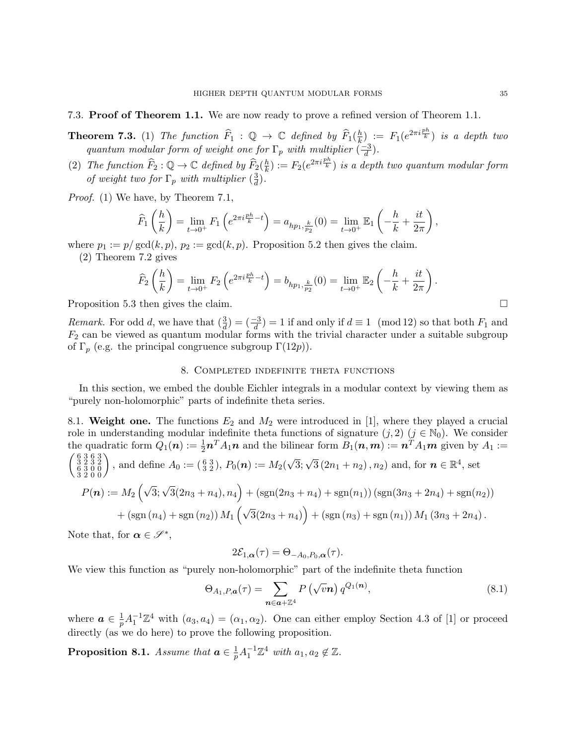## 7.3. Proof of Theorem 1.1. We are now ready to prove a refined version of Theorem 1.1.

**Theorem 7.3.** (1) The function  $\widehat{F}_1$  :  $\mathbb{Q} \to \mathbb{C}$  defined by  $\widehat{F}_1(\frac{h}{k})$  $\left(\frac{h}{k}\right)_c := F_1(e^{2\pi i \frac{ph}{k}})$  is a depth two quantum modular form of weight one for  $\Gamma_p$  with multiplier  $\left(\frac{-3}{d}\right)$  $\frac{-3}{d}$ ).

(2) The function  $\widehat{F}_2 : \mathbb{Q} \to \mathbb{C}$  defined by  $\widehat{F}_2(\frac{h}{k})$  $\frac{h}{k}$ ) :=  $F_2(e^{2\pi i \frac{ph}{k}})$  is a depth two quantum modular form of weight two for  $\Gamma_p$  with multiplier  $\left(\frac{3}{d}\right)$  $\frac{3}{d}$ .

Proof. (1) We have, by Theorem 7.1,

$$
\widehat{F}_1\left(\frac{h}{k}\right) = \lim_{t \to 0^+} F_1\left(e^{2\pi i \frac{ph}{k} - t}\right) = a_{hp_1, \frac{k}{p_2}}(0) = \lim_{t \to 0^+} \mathbb{E}_1\left(-\frac{h}{k} + \frac{it}{2\pi}\right),
$$

where  $p_1 := p/\gcd(k, p)$ ,  $p_2 := \gcd(k, p)$ . Proposition 5.2 then gives the claim.

(2) Theorem 7.2 gives

$$
\widehat{F}_2\left(\frac{h}{k}\right) = \lim_{t \to 0^+} F_2\left(e^{2\pi i \frac{ph}{k} - t}\right) = b_{hp_1, \frac{k}{p_2}}(0) = \lim_{t \to 0^+} \mathbb{E}_2\left(-\frac{h}{k} + \frac{it}{2\pi}\right).
$$

Proposition 5.3 then gives the claim.

*Remark.* For odd d, we have that  $\left(\frac{3}{d}\right) = \left(\frac{-3}{d}\right) = 1$  if and only if  $d \equiv 1 \pmod{12}$  so that both  $F_1$  and  $F_2$  can be viewed as quantum modular forms with the trivial character under a suitable subgroup of  $\Gamma_p$  (e.g. the principal congruence subgroup  $\Gamma(12p)$ ).

## 8. Completed indefinite theta functions

In this section, we embed the double Eichler integrals in a modular context by viewing them as "purely non-holomorphic" parts of indefinite theta series.

8.1. Weight one. The functions  $E_2$  and  $M_2$  were introduced in [1], where they played a crucial role in understanding modular indefinite theta functions of signature  $(j, 2)$   $(j \in \mathbb{N}_0)$ . We consider the quadratic form  $Q_1(n) := \frac{1}{2} n^T A_1 n$  and the bilinear form  $B_1(n,m) := n^T A_1 m$  given by  $A_1 :=$  $\begin{pmatrix} 6&3&6&3\\ 3&2&3&2\\ 6&3&0&0\\ 3&2&0&0 \end{pmatrix}$ , and define  $A_0 := (\frac{6}{3}\frac{3}{2}), P_0(n) := M_2$  $\sqrt{3}$ ;  $\sqrt{3}(2n_1+n_2), n_2$  and, for  $n \in \mathbb{R}^4$ , set  $P(n) := M_2 \left(\sqrt{3}; \sqrt{3}(2n_3 + n_4), n_4\right) + \left(\text{sgn}(2n_3 + n_4) + \text{sgn}(n_1)\right) \left(\text{sgn}(3n_3 + 2n_4) + \text{sgn}(n_2)\right)$ + (sgn  $(n_4)$  + sgn  $(n_2)$ )  $M_1(\sqrt{3}(2n_3 + n_4))$  + (sgn  $(n_3)$  + sgn  $(n_1)$ )  $M_1(3n_3 + 2n_4)$ .

Note that, for  $\alpha \in \mathscr{S}^*$ ,

$$
2\mathcal{E}_{1,\alpha}(\tau) = \Theta_{-A_0,P_0,\alpha}(\tau).
$$

We view this function as "purely non-holomorphic" part of the indefinite theta function

$$
\Theta_{A_1, P, \mathbf{a}}(\tau) = \sum_{\mathbf{n} \in \mathbf{a} + \mathbb{Z}^4} P\left(\sqrt{v}\mathbf{n}\right) q^{Q_1(\mathbf{n})},\tag{8.1}
$$

where  $a \in \frac{1}{n}$  $\frac{1}{p}A_1^{-1}\mathbb{Z}^4$  with  $(a_3, a_4) = (\alpha_1, \alpha_2)$ . One can either employ Section 4.3 of [1] or proceed directly (as we do here) to prove the following proposition.

**Proposition 8.1.** Assume that  $a \in \frac{1}{n}$  $\frac{1}{p}A_1^{-1}\mathbb{Z}^4$  with  $a_1, a_2 \notin \mathbb{Z}$ .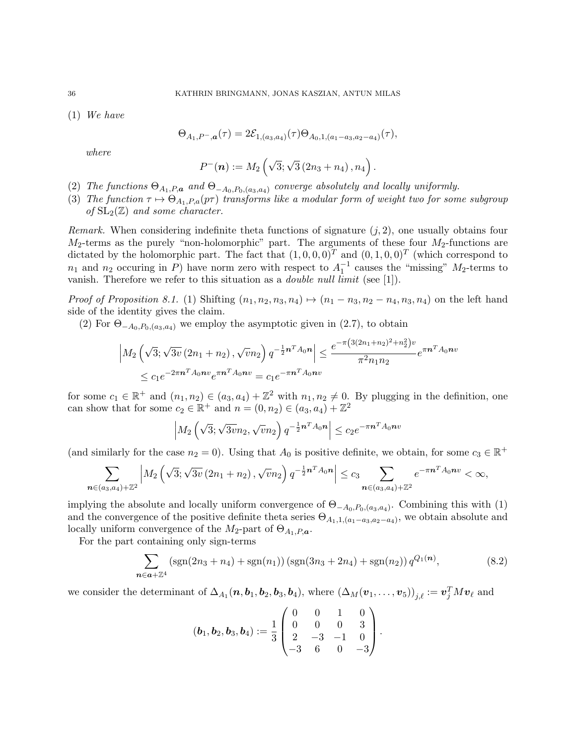(1) We have

$$
\Theta_{A_1,P^-,a}(\tau) = 2\mathcal{E}_{1,(a_3,a_4)}(\tau)\Theta_{A_0,1,(a_1-a_3,a_2-a_4)}(\tau),
$$

where

$$
P^-(n) := M_2\left(\sqrt{3}; \sqrt{3}\left(2n_3+n_4\right), n_4\right).
$$

- (2) The functions  $\Theta_{A_1,P,\mathbf{a}}$  and  $\Theta_{-A_0,P_0,(a_3,a_4)}$  converge absolutely and locally uniformly.
- (3) The function  $\tau \mapsto \Theta_{A_1,P,a}(p\tau)$  transforms like a modular form of weight two for some subgroup of  $SL_2(\mathbb{Z})$  and some character.

*Remark.* When considering indefinite theta functions of signature  $(j, 2)$ , one usually obtains four  $M_2$ -terms as the purely "non-holomorphic" part. The arguments of these four  $M_2$ -functions are dictated by the holomorphic part. The fact that  $(1,0,0,0)^T$  and  $(0,1,0,0)^T$  (which correspond to  $n_1$  and  $n_2$  occuring in P) have norm zero with respect to  $A_1^{-1}$  causes the "missing"  $M_2$ -terms to vanish. Therefore we refer to this situation as a *double null limit* (see [1]).

*Proof of Proposition 8.1.* (1) Shifting  $(n_1, n_2, n_3, n_4) \mapsto (n_1 - n_3, n_2 - n_4, n_3, n_4)$  on the left hand side of the identity gives the claim.

(2) For  $\Theta_{-A_0,P_0,(a_3,a_4)}$  we employ the asymptotic given in (2.7), to obtain

$$
\left| M_2 \left( \sqrt{3}; \sqrt{3v} \left( 2n_1 + n_2 \right), \sqrt{v} n_2 \right) q^{-\frac{1}{2} n^T A_0 n} \right| \le \frac{e^{-\pi \left( 3(2n_1 + n_2)^2 + n_2^2 \right) v}}{\pi^2 n_1 n_2} e^{\pi n^T A_0 n v}
$$
  

$$
\le c_1 e^{-2\pi n^T A_0 n v} e^{\pi n^T A_0 n v} = c_1 e^{-\pi n^T A_0 n v}
$$

for some  $c_1 \in \mathbb{R}^+$  and  $(n_1, n_2) \in (a_3, a_4) + \mathbb{Z}^2$  with  $n_1, n_2 \neq 0$ . By plugging in the definition, one can show that for some  $c_2 \in \mathbb{R}^+$  and  $n = (0, n_2) \in (a_3, a_4) + \mathbb{Z}^2$ 

$$
\left| M_2\left(\sqrt{3}; \sqrt{3v}n_2, \sqrt{v}n_2\right) q^{-\frac{1}{2}n^T A_0 n} \right| \le c_2 e^{-\pi n^T A_0 n v}
$$

(and similarly for the case  $n_2 = 0$ ). Using that  $A_0$  is positive definite, we obtain, for some  $c_3 \in \mathbb{R}^+$ 

$$
\sum_{n\in(a_3,a_4)+\mathbb{Z}^2} \left| M_2\left(\sqrt{3}; \sqrt{3v} \left(2n_1+n_2\right), \sqrt{v}n_2\right) q^{-\frac{1}{2}n^T A_0 n} \right| \le c_3 \sum_{n\in(a_3,a_4)+\mathbb{Z}^2} e^{-\pi n^T A_0 n v} < \infty,
$$

implying the absolute and locally uniform convergence of  $\Theta_{-A_0,P_0,(a_3,a_4)}$ . Combining this with (1) and the convergence of the positive definite theta series  $\Theta_{A_1,1,(a_1-a_3,a_2-a_4)}$ , we obtain absolute and locally uniform convergence of the  $M_2$ -part of  $\Theta_{A_1,P,\boldsymbol{a}}$ .

For the part containing only sign-terms

$$
\sum_{n \in \mathbf{a} + \mathbb{Z}^4} \left( \text{sgn}(2n_3 + n_4) + \text{sgn}(n_1) \right) \left( \text{sgn}(3n_3 + 2n_4) + \text{sgn}(n_2) \right) q^{Q_1(\mathbf{n})},\tag{8.2}
$$

we consider the determinant of  $\Delta_{A_1}$  (**n**, **b**<sub>1</sub>, **b**<sub>2</sub>, **b**<sub>3</sub>, **b**<sub>4</sub>), where  $(\Delta_M(v_1, \ldots, v_5))_{j,\ell} := \mathbf{v}_j^T M \mathbf{v}_\ell$  and

$$
(\boldsymbol{b}_1, \boldsymbol{b}_2, \boldsymbol{b}_3, \boldsymbol{b}_4) := \frac{1}{3} \begin{pmatrix} 0 & 0 & 1 & 0 \\ 0 & 0 & 0 & 3 \\ 2 & -3 & -1 & 0 \\ -3 & 6 & 0 & -3 \end{pmatrix}.
$$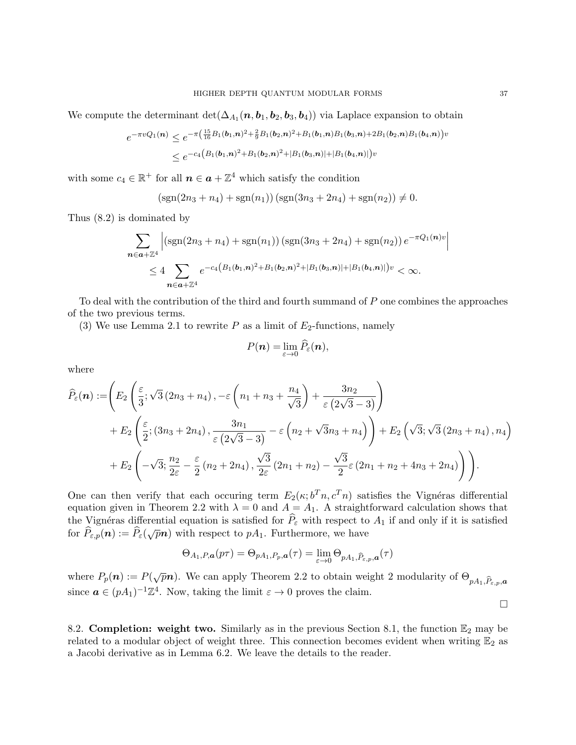We compute the determinant  $\det(\Delta_{A_1}(\boldsymbol{n},\boldsymbol{b}_1,\boldsymbol{b}_2,\boldsymbol{b}_3,\boldsymbol{b}_4))$  via Laplace expansion to obtain

$$
e^{-\pi vQ_1(\boldsymbol{n})} \leq e^{-\pi \left(\frac{15}{16}B_1(\boldsymbol{b}_1,\boldsymbol{n})^2 + \frac{2}{9}B_1(\boldsymbol{b}_2,\boldsymbol{n})^2 + B_1(\boldsymbol{b}_1,\boldsymbol{n})B_1(\boldsymbol{b}_3,\boldsymbol{n}) + 2B_1(\boldsymbol{b}_2,\boldsymbol{n})B_1(\boldsymbol{b}_4,\boldsymbol{n})\right)v}
$$
  
\$\leq e^{-c\_4\left(B\_1(\boldsymbol{b}\_1,\boldsymbol{n})^2 + B\_1(\boldsymbol{b}\_2,\boldsymbol{n})^2 + |B\_1(\boldsymbol{b}\_3,\boldsymbol{n})| + |B\_1(\boldsymbol{b}\_4,\boldsymbol{n})|\right)v}\$

with some  $c_4 \in \mathbb{R}^+$  for all  $n \in \mathbf{a} + \mathbb{Z}^4$  which satisfy the condition

$$
(sgn(2n_3 + n_4) + sgn(n_1)) (sgn(3n_3 + 2n_4) + sgn(n_2)) \neq 0.
$$

Thus (8.2) is dominated by

$$
\sum_{n \in a + \mathbb{Z}^4} \left| \left( \operatorname{sgn}(2n_3 + n_4) + \operatorname{sgn}(n_1) \right) \left( \operatorname{sgn}(3n_3 + 2n_4) + \operatorname{sgn}(n_2) \right) e^{-\pi Q_1(n)v} \right|
$$
  
 
$$
\leq 4 \sum_{n \in a + \mathbb{Z}^4} e^{-c_4 \left( B_1(b_1, n)^2 + B_1(b_2, n)^2 + |B_1(b_3, n)| + |B_1(b_4, n)| \right)v} < \infty.
$$

To deal with the contribution of the third and fourth summand of  $P$  one combines the approaches of the two previous terms.

(3) We use Lemma 2.1 to rewrite P as a limit of  $E_2$ -functions, namely

$$
P(\boldsymbol{n})=\lim_{\varepsilon\to 0}\widehat{P}_{\varepsilon}(\boldsymbol{n}),
$$

where

$$
\widehat{P}_{\varepsilon}(\boldsymbol{n}) := \left( E_2 \left( \frac{\varepsilon}{3}; \sqrt{3} (2n_3 + n_4), -\varepsilon \left( n_1 + n_3 + \frac{n_4}{\sqrt{3}} \right) + \frac{3n_2}{\varepsilon (2\sqrt{3} - 3)} \right) + E_2 \left( \frac{\varepsilon}{2}; (3n_3 + 2n_4), \frac{3n_1}{\varepsilon (2\sqrt{3} - 3)} - \varepsilon \left( n_2 + \sqrt{3}n_3 + n_4 \right) \right) + E_2 \left( \sqrt{3}; \sqrt{3} (2n_3 + n_4), n_4 \right) + E_2 \left( -\sqrt{3}; \frac{n_2}{2\varepsilon} - \frac{\varepsilon}{2} (n_2 + 2n_4), \frac{\sqrt{3}}{2\varepsilon} (2n_1 + n_2) - \frac{\sqrt{3}}{2\varepsilon} \varepsilon (2n_1 + n_2 + 4n_3 + 2n_4) \right) \right).
$$

One can then verify that each occuring term  $E_2(\kappa; b^T n, c^T n)$  satisfies the Vignéras differential equation given in Theorem 2.2 with  $\lambda = 0$  and  $A = A_1$ . A straightforward calculation shows that the Vignéras differential equation is satisfied for  $\hat{P}_{\varepsilon}$  with respect to  $A_1$  if and only if it is satisfied for  $\hat{P}_{\varepsilon,p}(n) := \hat{P}_{\varepsilon}(\sqrt{p}n)$  with respect to  $pA_1$ . Furthermore, we have

$$
\Theta_{A_1,P,\boldsymbol{a}}(p\tau) = \Theta_{pA_1,P_p,\boldsymbol{a}}(\tau) = \lim_{\varepsilon \to 0} \Theta_{pA_1,\widehat{P}_{\varepsilon,p},\boldsymbol{a}}(\tau)
$$

where  $P_p(n) := P(\sqrt{p}n)$ . We can apply Theorem 2.2 to obtain weight 2 modularity of  $\Theta_{pA_1,\widehat{P}_{\varepsilon,p},\boldsymbol{a}}$ since  $\boldsymbol{a} \in (pA_1)^{-1}\mathbb{Z}^4$ . Now, taking the limit  $\varepsilon \to 0$  proves the claim.  $\Box$ 

8.2. Completion: weight two. Similarly as in the previous Section 8.1, the function  $\mathbb{E}_2$  may be related to a modular object of weight three. This connection becomes evident when writing  $\mathbb{E}_2$  as a Jacobi derivative as in Lemma 6.2. We leave the details to the reader.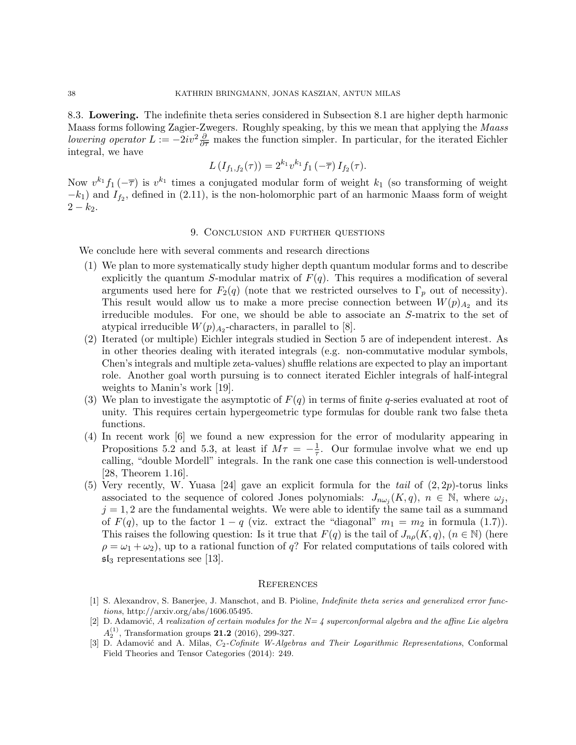8.3. Lowering. The indefinite theta series considered in Subsection 8.1 are higher depth harmonic Maass forms following Zagier-Zwegers. Roughly speaking, by this we mean that applying the Maass *lowering operator*  $L := -2iv^2 \frac{\partial}{\partial \overline{\tau}}$  makes the function simpler. In particular, for the iterated Eichler integral, we have

$$
L(I_{f_1,f_2}(\tau)) = 2^{k_1} v^{k_1} f_1(-\overline{\tau}) I_{f_2}(\tau).
$$

Now  $v^{k_1}f_1(-\overline{\tau})$  is  $v^{k_1}$  times a conjugated modular form of weight  $k_1$  (so transforming of weight  $-k_1$ ) and  $I_{f_2}$ , defined in (2.11), is the non-holomorphic part of an harmonic Maass form of weight  $2 - k_2$ .

## 9. Conclusion and further questions

We conclude here with several comments and research directions

- (1) We plan to more systematically study higher depth quantum modular forms and to describe explicitly the quantum S-modular matrix of  $F(q)$ . This requires a modification of several arguments used here for  $F_2(q)$  (note that we restricted ourselves to  $\Gamma_p$  out of necessity). This result would allow us to make a more precise connection between  $W(p)_{A_2}$  and its irreducible modules. For one, we should be able to associate an S-matrix to the set of atypical irreducible  $W(p)_{A_2}$ -characters, in parallel to [8].
- (2) Iterated (or multiple) Eichler integrals studied in Section 5 are of independent interest. As in other theories dealing with iterated integrals (e.g. non-commutative modular symbols, Chen's integrals and multiple zeta-values) shuffle relations are expected to play an important role. Another goal worth pursuing is to connect iterated Eichler integrals of half-integral weights to Manin's work [19].
- (3) We plan to investigate the asymptotic of  $F(q)$  in terms of finite q-series evaluated at root of unity. This requires certain hypergeometric type formulas for double rank two false theta functions.
- (4) In recent work [6] we found a new expression for the error of modularity appearing in Propositions 5.2 and 5.3, at least if  $M\tau = -\frac{1}{\tau}$  $\frac{1}{\tau}$ . Our formulae involve what we end up calling, "double Mordell" integrals. In the rank one case this connection is well-understood [28, Theorem 1.16].
- (5) Very recently, W. Yuasa [24] gave an explicit formula for the tail of  $(2, 2p)$ -torus links associated to the sequence of colored Jones polynomials:  $J_{n\omega_j}(K,q)$ ,  $n \in \mathbb{N}$ , where  $\omega_j$ ,  $j = 1, 2$  are the fundamental weights. We were able to identify the same tail as a summand of  $F(q)$ , up to the factor  $1 - q$  (viz. extract the "diagonal"  $m_1 = m_2$  in formula (1.7)). This raises the following question: Is it true that  $F(q)$  is the tail of  $J_{n\rho}(K, q)$ ,  $(n \in \mathbb{N})$  (here  $\rho = \omega_1 + \omega_2$ , up to a rational function of q? For related computations of tails colored with  $\mathfrak{sl}_3$  representations see [13].

#### **REFERENCES**

- [1] S. Alexandrov, S. Banerjee, J. Manschot, and B. Pioline, Indefinite theta series and generalized error functions, http://arxiv.org/abs/1606.05495.
- [2] D. Adamović, A realization of certain modules for the  $N=$  4 superconformal algebra and the affine Lie algebra  $A_2^{(1)}$ , Transformation groups 21.2 (2016), 299-327.
- [3] D. Adamović and A. Milas, C<sub>2</sub>-Cofinite W-Algebras and Their Logarithmic Representations, Conformal Field Theories and Tensor Categories (2014): 249.